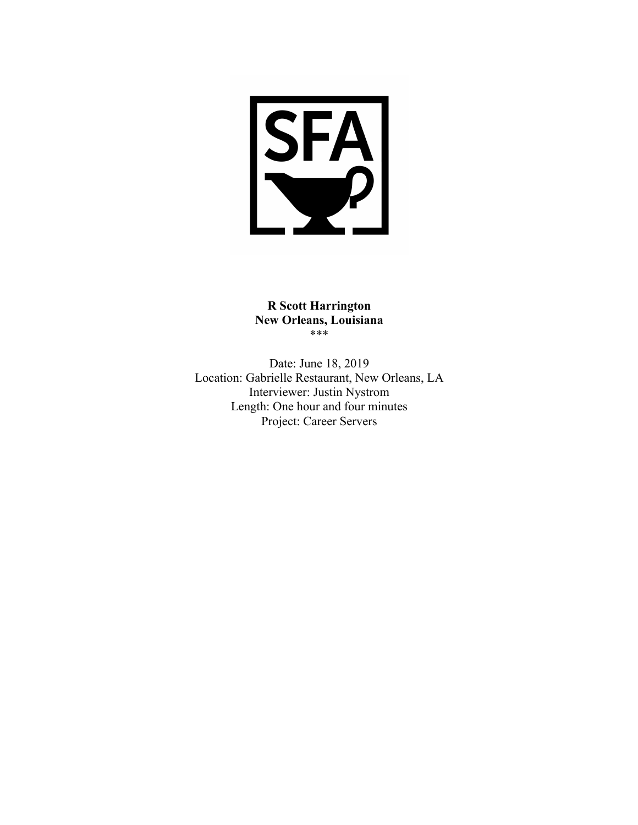

**R Scott Harrington New Orleans, Louisiana** \*\*\*

Date: June 18, 2019 Location: Gabrielle Restaurant, New Orleans, LA Interviewer: Justin Nystrom Length: One hour and four minutes Project: Career Servers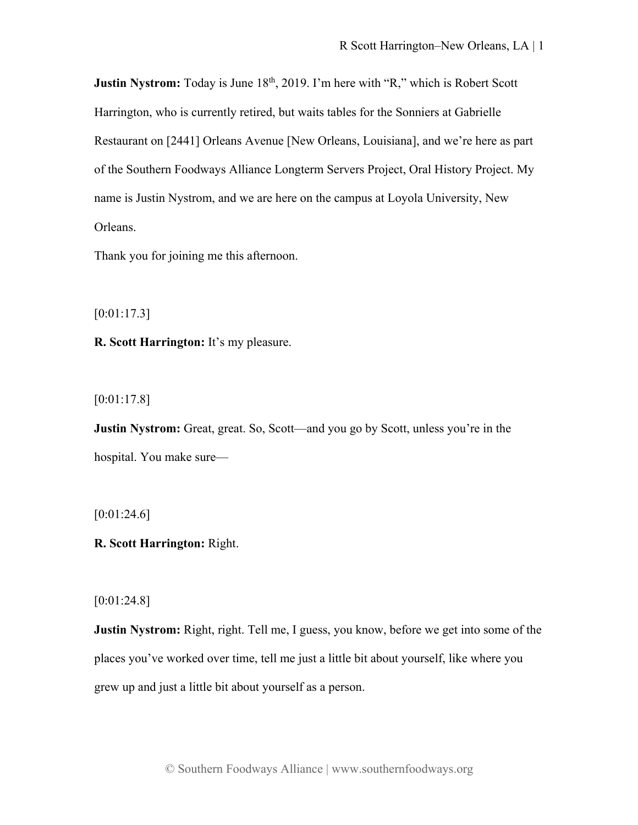**Justin Nystrom:** Today is June 18<sup>th</sup>, 2019. I'm here with "R," which is Robert Scott Harrington, who is currently retired, but waits tables for the Sonniers at Gabrielle Restaurant on [2441] Orleans Avenue [New Orleans, Louisiana], and we're here as part of the Southern Foodways Alliance Longterm Servers Project, Oral History Project. My name is Justin Nystrom, and we are here on the campus at Loyola University, New Orleans.

Thank you for joining me this afternoon.

[0:01:17.3]

**R. Scott Harrington:** It's my pleasure.

[0:01:17.8]

**Justin Nystrom:** Great, great. So, Scott—and you go by Scott, unless you're in the hospital. You make sure—

 $[0:01:24.6]$ 

**R. Scott Harrington:** Right.

[0:01:24.8]

**Justin Nystrom:** Right, right. Tell me, I guess, you know, before we get into some of the places you've worked over time, tell me just a little bit about yourself, like where you grew up and just a little bit about yourself as a person.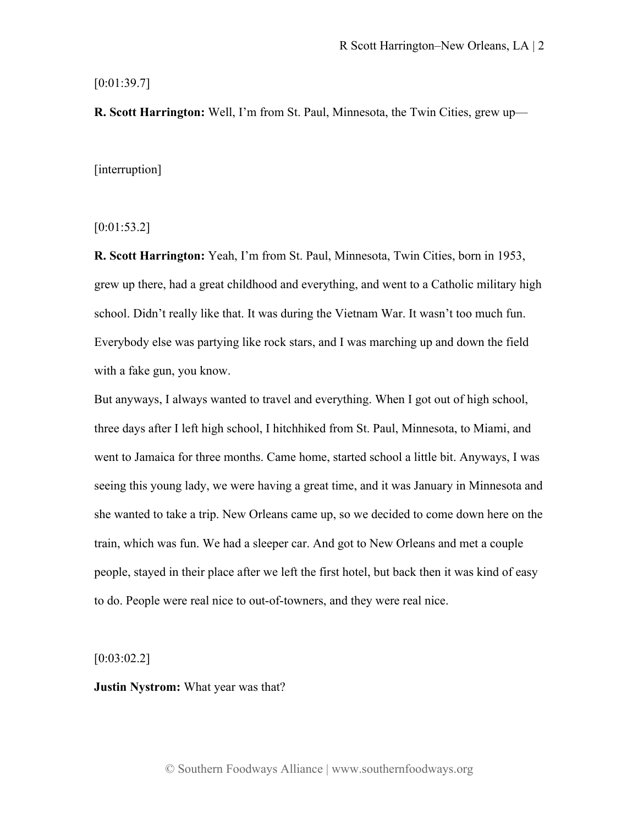[0:01:39.7]

**R. Scott Harrington:** Well, I'm from St. Paul, Minnesota, the Twin Cities, grew up—

[interruption]

[0:01:53.2]

**R. Scott Harrington:** Yeah, I'm from St. Paul, Minnesota, Twin Cities, born in 1953, grew up there, had a great childhood and everything, and went to a Catholic military high school. Didn't really like that. It was during the Vietnam War. It wasn't too much fun. Everybody else was partying like rock stars, and I was marching up and down the field with a fake gun, you know.

But anyways, I always wanted to travel and everything. When I got out of high school, three days after I left high school, I hitchhiked from St. Paul, Minnesota, to Miami, and went to Jamaica for three months. Came home, started school a little bit. Anyways, I was seeing this young lady, we were having a great time, and it was January in Minnesota and she wanted to take a trip. New Orleans came up, so we decided to come down here on the train, which was fun. We had a sleeper car. And got to New Orleans and met a couple people, stayed in their place after we left the first hotel, but back then it was kind of easy to do. People were real nice to out-of-towners, and they were real nice.

 $[0:03:02.2]$ 

**Justin Nystrom:** What year was that?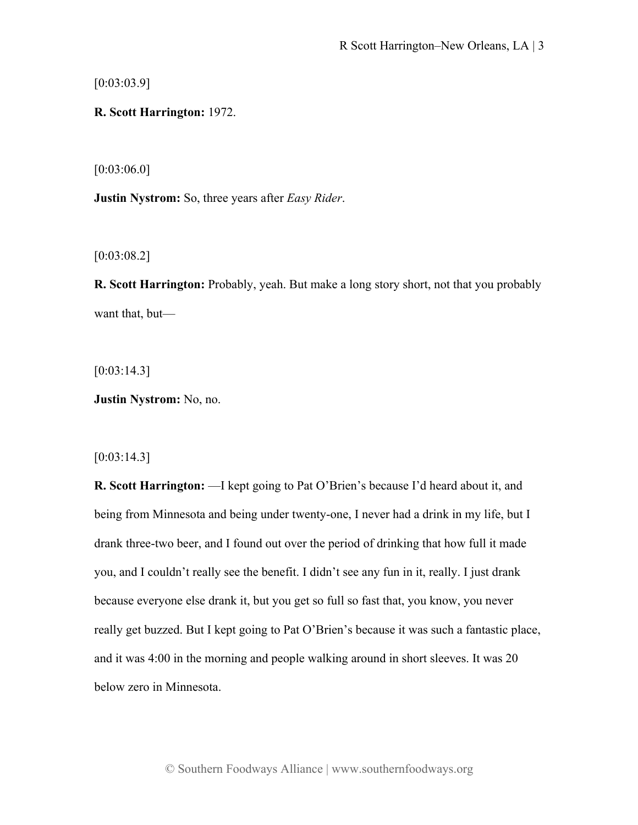[0:03:03.9]

**R. Scott Harrington:** 1972.

[0:03:06.0]

**Justin Nystrom:** So, three years after *Easy Rider*.

[0:03:08.2]

**R. Scott Harrington:** Probably, yeah. But make a long story short, not that you probably want that, but—

[0:03:14.3]

**Justin Nystrom:** No, no.

[0:03:14.3]

**R. Scott Harrington:** —I kept going to Pat O'Brien's because I'd heard about it, and being from Minnesota and being under twenty-one, I never had a drink in my life, but I drank three-two beer, and I found out over the period of drinking that how full it made you, and I couldn't really see the benefit. I didn't see any fun in it, really. I just drank because everyone else drank it, but you get so full so fast that, you know, you never really get buzzed. But I kept going to Pat O'Brien's because it was such a fantastic place, and it was 4:00 in the morning and people walking around in short sleeves. It was 20 below zero in Minnesota.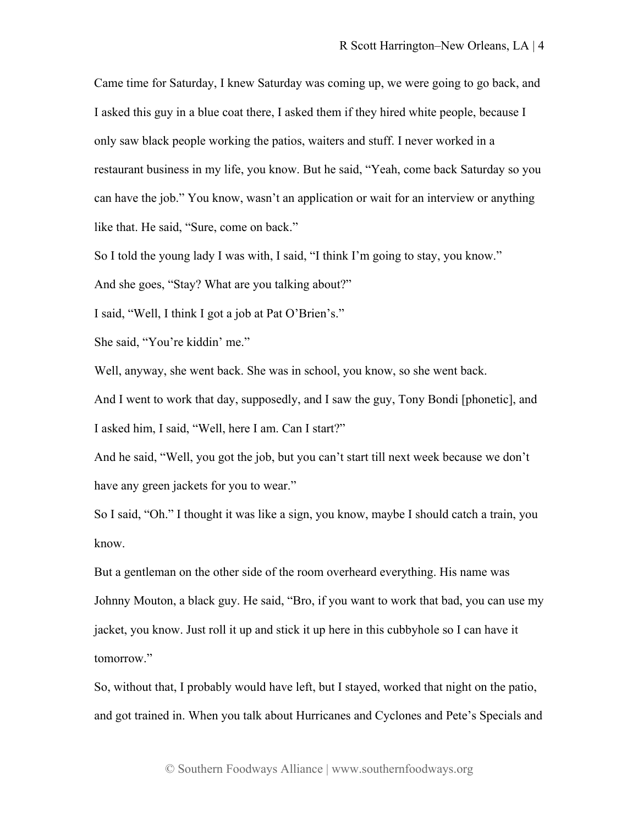Came time for Saturday, I knew Saturday was coming up, we were going to go back, and I asked this guy in a blue coat there, I asked them if they hired white people, because I only saw black people working the patios, waiters and stuff. I never worked in a restaurant business in my life, you know. But he said, "Yeah, come back Saturday so you can have the job." You know, wasn't an application or wait for an interview or anything like that. He said, "Sure, come on back."

So I told the young lady I was with, I said, "I think I'm going to stay, you know." And she goes, "Stay? What are you talking about?"

I said, "Well, I think I got a job at Pat O'Brien's."

She said, "You're kiddin' me."

Well, anyway, she went back. She was in school, you know, so she went back.

And I went to work that day, supposedly, and I saw the guy, Tony Bondi [phonetic], and I asked him, I said, "Well, here I am. Can I start?"

And he said, "Well, you got the job, but you can't start till next week because we don't have any green jackets for you to wear."

So I said, "Oh." I thought it was like a sign, you know, maybe I should catch a train, you know.

But a gentleman on the other side of the room overheard everything. His name was Johnny Mouton, a black guy. He said, "Bro, if you want to work that bad, you can use my jacket, you know. Just roll it up and stick it up here in this cubbyhole so I can have it tomorrow."

So, without that, I probably would have left, but I stayed, worked that night on the patio, and got trained in. When you talk about Hurricanes and Cyclones and Pete's Specials and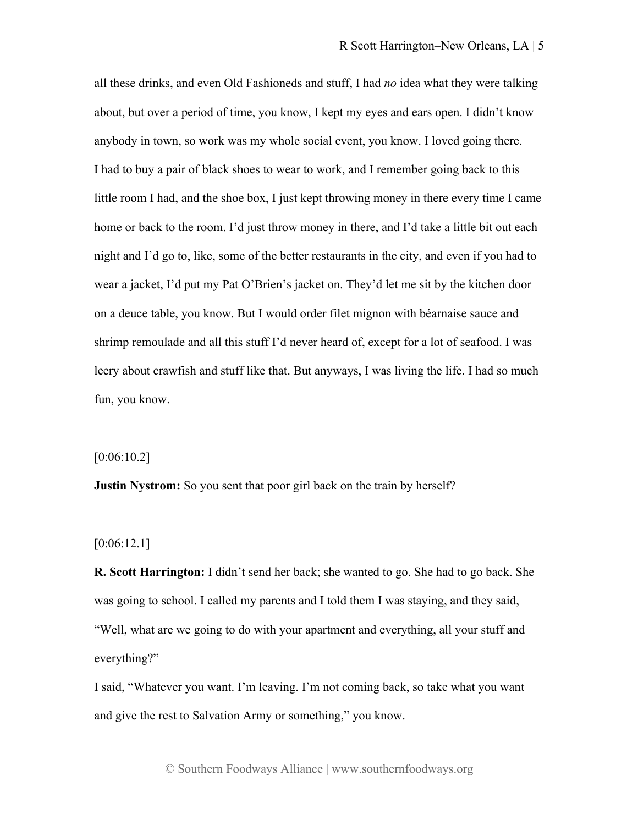all these drinks, and even Old Fashioneds and stuff, I had *no* idea what they were talking about, but over a period of time, you know, I kept my eyes and ears open. I didn't know anybody in town, so work was my whole social event, you know. I loved going there. I had to buy a pair of black shoes to wear to work, and I remember going back to this little room I had, and the shoe box, I just kept throwing money in there every time I came home or back to the room. I'd just throw money in there, and I'd take a little bit out each night and I'd go to, like, some of the better restaurants in the city, and even if you had to wear a jacket, I'd put my Pat O'Brien's jacket on. They'd let me sit by the kitchen door on a deuce table, you know. But I would order filet mignon with béarnaise sauce and shrimp remoulade and all this stuff I'd never heard of, except for a lot of seafood. I was leery about crawfish and stuff like that. But anyways, I was living the life. I had so much fun, you know.

#### $[0:06:10.2]$

**Justin Nystrom:** So you sent that poor girl back on the train by herself?

# [0:06:12.1]

**R. Scott Harrington:** I didn't send her back; she wanted to go. She had to go back. She was going to school. I called my parents and I told them I was staying, and they said, "Well, what are we going to do with your apartment and everything, all your stuff and everything?"

I said, "Whatever you want. I'm leaving. I'm not coming back, so take what you want and give the rest to Salvation Army or something," you know.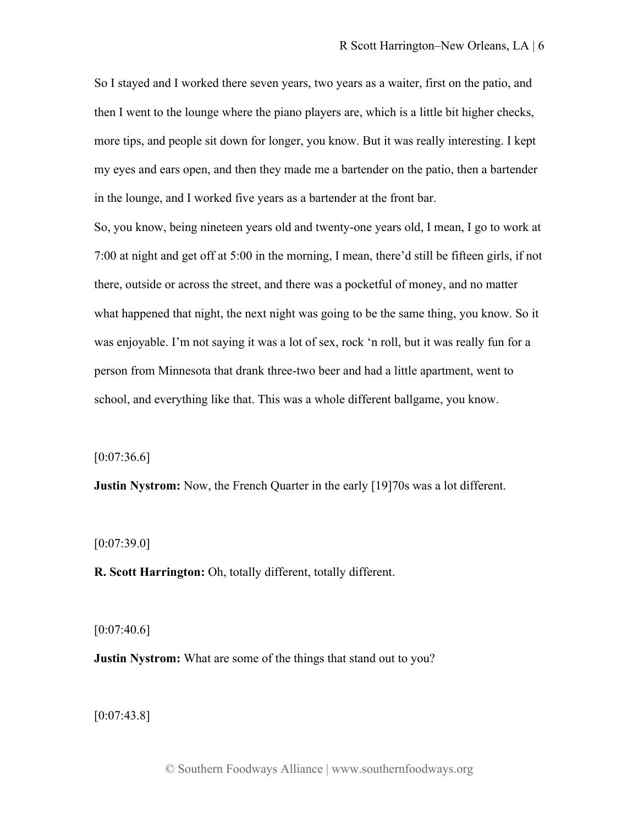So I stayed and I worked there seven years, two years as a waiter, first on the patio, and then I went to the lounge where the piano players are, which is a little bit higher checks, more tips, and people sit down for longer, you know. But it was really interesting. I kept my eyes and ears open, and then they made me a bartender on the patio, then a bartender in the lounge, and I worked five years as a bartender at the front bar.

So, you know, being nineteen years old and twenty-one years old, I mean, I go to work at 7:00 at night and get off at 5:00 in the morning, I mean, there'd still be fifteen girls, if not there, outside or across the street, and there was a pocketful of money, and no matter what happened that night, the next night was going to be the same thing, you know. So it was enjoyable. I'm not saying it was a lot of sex, rock 'n roll, but it was really fun for a person from Minnesota that drank three-two beer and had a little apartment, went to school, and everything like that. This was a whole different ballgame, you know.

 $[0:07:36.6]$ 

**Justin Nystrom:** Now, the French Quarter in the early [19]70s was a lot different.

 $[0:07:39.0]$ 

**R. Scott Harrington:** Oh, totally different, totally different.

 $[0:07:40.6]$ 

**Justin Nystrom:** What are some of the things that stand out to you?

[0:07:43.8]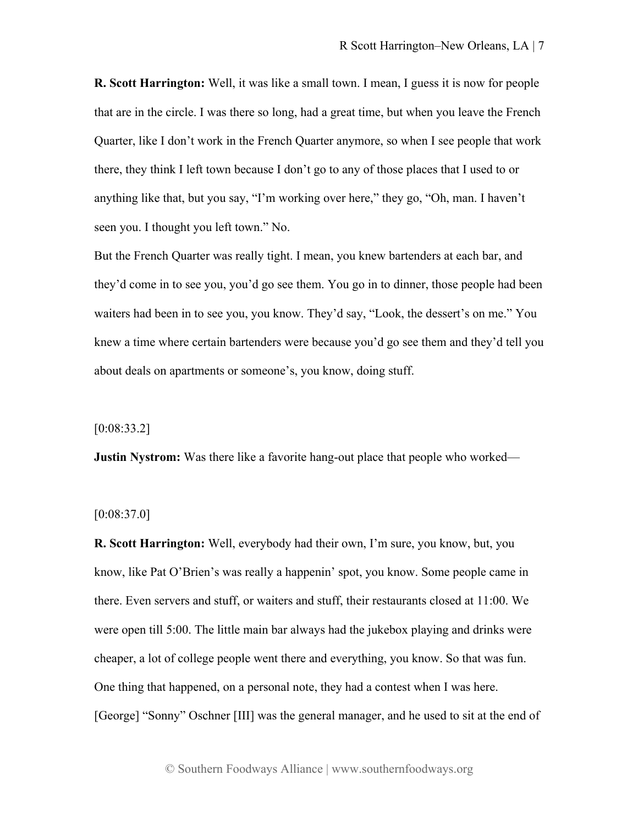**R. Scott Harrington:** Well, it was like a small town. I mean, I guess it is now for people that are in the circle. I was there so long, had a great time, but when you leave the French Quarter, like I don't work in the French Quarter anymore, so when I see people that work there, they think I left town because I don't go to any of those places that I used to or anything like that, but you say, "I'm working over here," they go, "Oh, man. I haven't seen you. I thought you left town." No.

But the French Quarter was really tight. I mean, you knew bartenders at each bar, and they'd come in to see you, you'd go see them. You go in to dinner, those people had been waiters had been in to see you, you know. They'd say, "Look, the dessert's on me." You knew a time where certain bartenders were because you'd go see them and they'd tell you about deals on apartments or someone's, you know, doing stuff.

[0:08:33.2]

**Justin Nystrom:** Was there like a favorite hang-out place that people who worked—

[0:08:37.0]

**R. Scott Harrington:** Well, everybody had their own, I'm sure, you know, but, you know, like Pat O'Brien's was really a happenin' spot, you know. Some people came in there. Even servers and stuff, or waiters and stuff, their restaurants closed at 11:00. We were open till 5:00. The little main bar always had the jukebox playing and drinks were cheaper, a lot of college people went there and everything, you know. So that was fun. One thing that happened, on a personal note, they had a contest when I was here. [George] "Sonny" Oschner [III] was the general manager, and he used to sit at the end of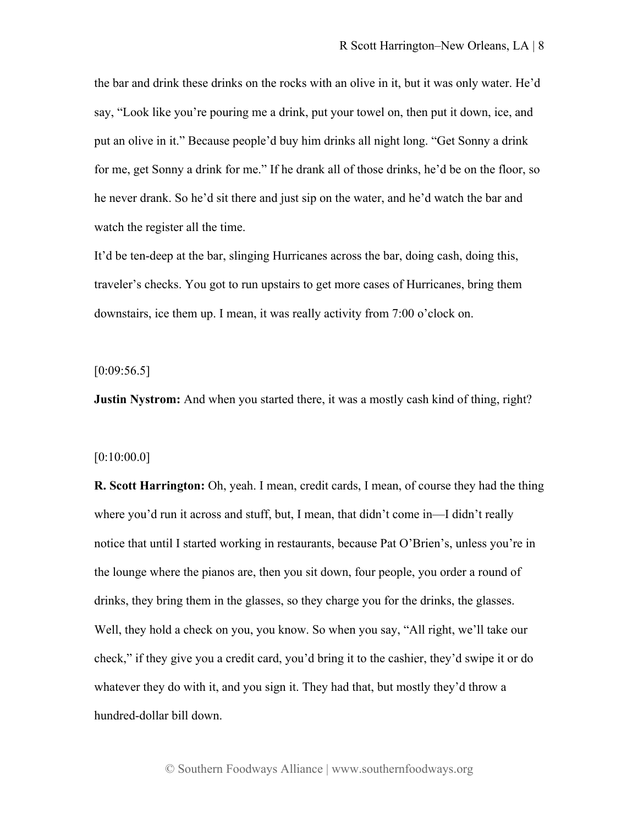the bar and drink these drinks on the rocks with an olive in it, but it was only water. He'd say, "Look like you're pouring me a drink, put your towel on, then put it down, ice, and put an olive in it." Because people'd buy him drinks all night long. "Get Sonny a drink for me, get Sonny a drink for me." If he drank all of those drinks, he'd be on the floor, so he never drank. So he'd sit there and just sip on the water, and he'd watch the bar and watch the register all the time.

It'd be ten-deep at the bar, slinging Hurricanes across the bar, doing cash, doing this, traveler's checks. You got to run upstairs to get more cases of Hurricanes, bring them downstairs, ice them up. I mean, it was really activity from 7:00 o'clock on.

 $[0:09:56.5]$ 

**Justin Nystrom:** And when you started there, it was a mostly cash kind of thing, right?

#### $[0:10:00.0]$

**R. Scott Harrington:** Oh, yeah. I mean, credit cards, I mean, of course they had the thing where you'd run it across and stuff, but, I mean, that didn't come in—I didn't really notice that until I started working in restaurants, because Pat O'Brien's, unless you're in the lounge where the pianos are, then you sit down, four people, you order a round of drinks, they bring them in the glasses, so they charge you for the drinks, the glasses. Well, they hold a check on you, you know. So when you say, "All right, we'll take our check," if they give you a credit card, you'd bring it to the cashier, they'd swipe it or do whatever they do with it, and you sign it. They had that, but mostly they'd throw a hundred-dollar bill down.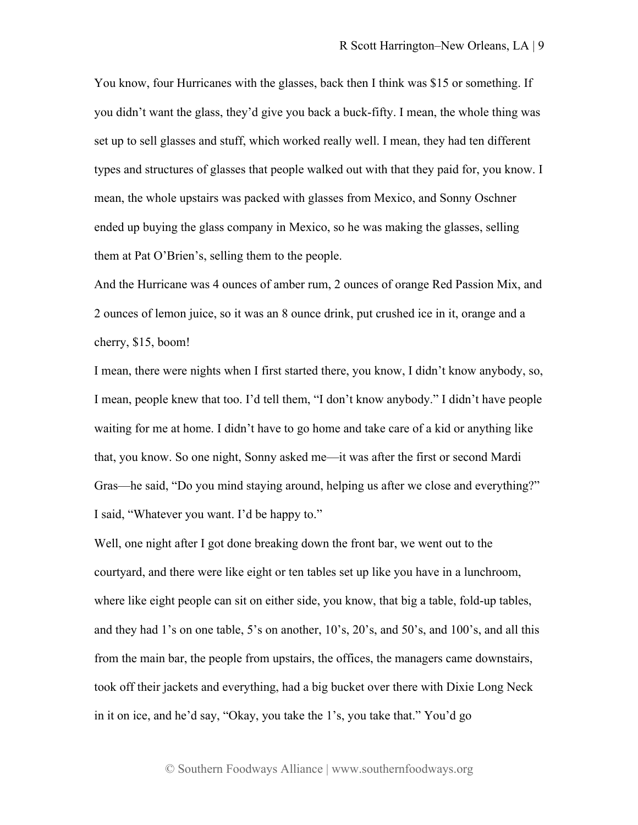You know, four Hurricanes with the glasses, back then I think was \$15 or something. If you didn't want the glass, they'd give you back a buck-fifty. I mean, the whole thing was set up to sell glasses and stuff, which worked really well. I mean, they had ten different types and structures of glasses that people walked out with that they paid for, you know. I mean, the whole upstairs was packed with glasses from Mexico, and Sonny Oschner ended up buying the glass company in Mexico, so he was making the glasses, selling them at Pat O'Brien's, selling them to the people.

And the Hurricane was 4 ounces of amber rum, 2 ounces of orange Red Passion Mix, and 2 ounces of lemon juice, so it was an 8 ounce drink, put crushed ice in it, orange and a cherry, \$15, boom!

I mean, there were nights when I first started there, you know, I didn't know anybody, so, I mean, people knew that too. I'd tell them, "I don't know anybody." I didn't have people waiting for me at home. I didn't have to go home and take care of a kid or anything like that, you know. So one night, Sonny asked me—it was after the first or second Mardi Gras—he said, "Do you mind staying around, helping us after we close and everything?" I said, "Whatever you want. I'd be happy to."

Well, one night after I got done breaking down the front bar, we went out to the courtyard, and there were like eight or ten tables set up like you have in a lunchroom, where like eight people can sit on either side, you know, that big a table, fold-up tables, and they had 1's on one table, 5's on another, 10's, 20's, and 50's, and 100's, and all this from the main bar, the people from upstairs, the offices, the managers came downstairs, took off their jackets and everything, had a big bucket over there with Dixie Long Neck in it on ice, and he'd say, "Okay, you take the 1's, you take that." You'd go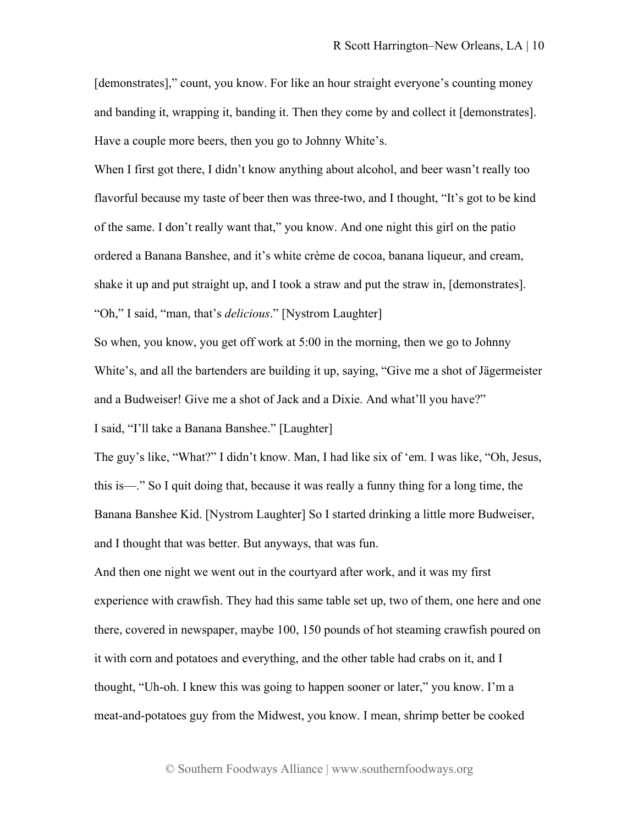[demonstrates]," count, you know. For like an hour straight everyone's counting money and banding it, wrapping it, banding it. Then they come by and collect it [demonstrates]. Have a couple more beers, then you go to Johnny White's.

When I first got there, I didn't know anything about alcohol, and beer wasn't really too flavorful because my taste of beer then was three-two, and I thought, "It's got to be kind of the same. I don't really want that," you know. And one night this girl on the patio ordered a Banana Banshee, and it's white crème de cocoa, banana liqueur, and cream, shake it up and put straight up, and I took a straw and put the straw in, [demonstrates]. "Oh," I said, "man, that's *delicious*." [Nystrom Laughter]

So when, you know, you get off work at 5:00 in the morning, then we go to Johnny White's, and all the bartenders are building it up, saying, "Give me a shot of Jägermeister and a Budweiser! Give me a shot of Jack and a Dixie. And what'll you have?"

I said, "I'll take a Banana Banshee." [Laughter]

The guy's like, "What?" I didn't know. Man, I had like six of 'em. I was like, "Oh, Jesus, this is—." So I quit doing that, because it was really a funny thing for a long time, the Banana Banshee Kid. [Nystrom Laughter] So I started drinking a little more Budweiser, and I thought that was better. But anyways, that was fun.

And then one night we went out in the courtyard after work, and it was my first experience with crawfish. They had this same table set up, two of them, one here and one there, covered in newspaper, maybe 100, 150 pounds of hot steaming crawfish poured on it with corn and potatoes and everything, and the other table had crabs on it, and I thought, "Uh-oh. I knew this was going to happen sooner or later," you know. I'm a meat-and-potatoes guy from the Midwest, you know. I mean, shrimp better be cooked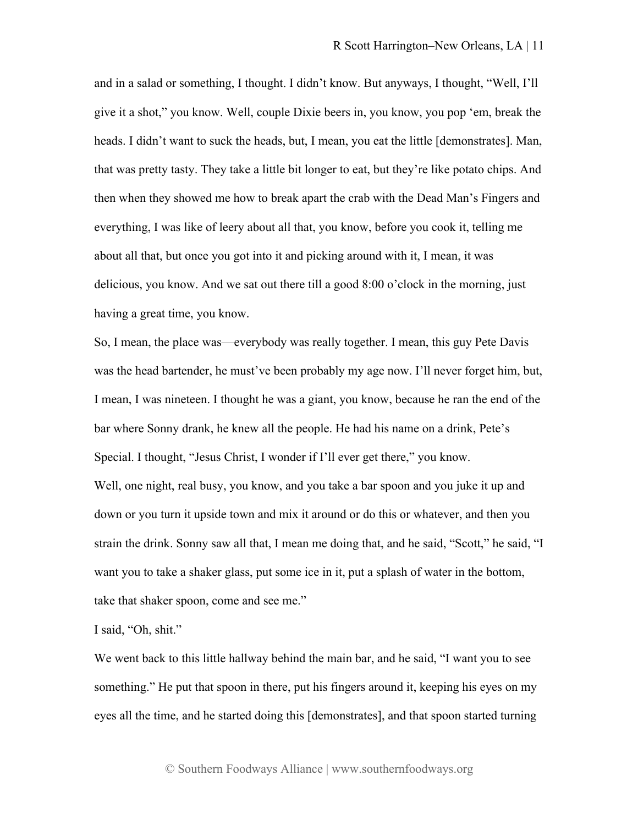and in a salad or something, I thought. I didn't know. But anyways, I thought, "Well, I'll give it a shot," you know. Well, couple Dixie beers in, you know, you pop 'em, break the heads. I didn't want to suck the heads, but, I mean, you eat the little [demonstrates]. Man, that was pretty tasty. They take a little bit longer to eat, but they're like potato chips. And then when they showed me how to break apart the crab with the Dead Man's Fingers and everything, I was like of leery about all that, you know, before you cook it, telling me about all that, but once you got into it and picking around with it, I mean, it was delicious, you know. And we sat out there till a good 8:00 o'clock in the morning, just having a great time, you know.

So, I mean, the place was—everybody was really together. I mean, this guy Pete Davis was the head bartender, he must've been probably my age now. I'll never forget him, but, I mean, I was nineteen. I thought he was a giant, you know, because he ran the end of the bar where Sonny drank, he knew all the people. He had his name on a drink, Pete's Special. I thought, "Jesus Christ, I wonder if I'll ever get there," you know. Well, one night, real busy, you know, and you take a bar spoon and you juke it up and down or you turn it upside town and mix it around or do this or whatever, and then you strain the drink. Sonny saw all that, I mean me doing that, and he said, "Scott," he said, "I want you to take a shaker glass, put some ice in it, put a splash of water in the bottom, take that shaker spoon, come and see me."

I said, "Oh, shit."

We went back to this little hallway behind the main bar, and he said, "I want you to see something." He put that spoon in there, put his fingers around it, keeping his eyes on my eyes all the time, and he started doing this [demonstrates], and that spoon started turning

© Southern Foodways Alliance | www.southernfoodways.org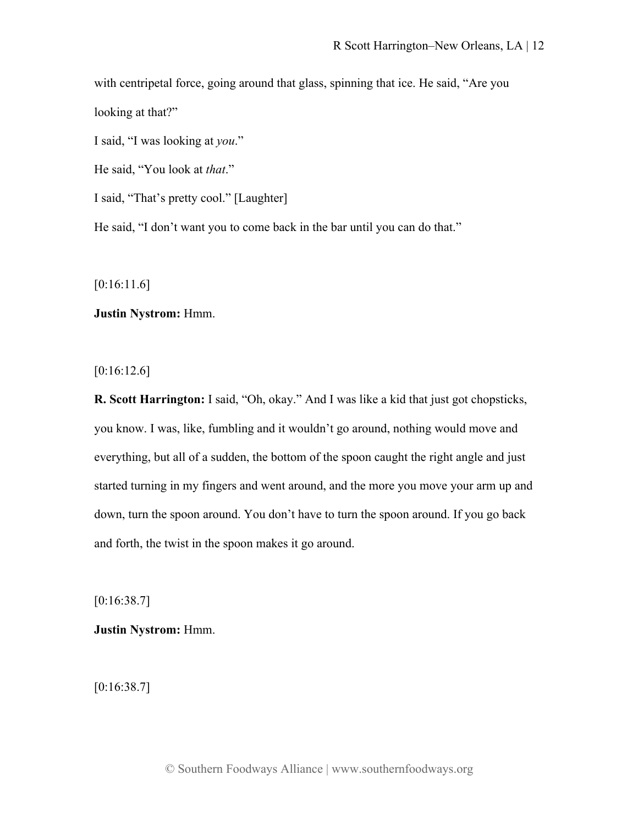with centripetal force, going around that glass, spinning that ice. He said, "Are you looking at that?"

I said, "I was looking at *you*."

He said, "You look at *that*."

I said, "That's pretty cool." [Laughter]

He said, "I don't want you to come back in the bar until you can do that."

[0:16:11.6]

# **Justin Nystrom:** Hmm.

[0:16:12.6]

**R. Scott Harrington:** I said, "Oh, okay." And I was like a kid that just got chopsticks, you know. I was, like, fumbling and it wouldn't go around, nothing would move and everything, but all of a sudden, the bottom of the spoon caught the right angle and just started turning in my fingers and went around, and the more you move your arm up and down, turn the spoon around. You don't have to turn the spoon around. If you go back and forth, the twist in the spoon makes it go around.

 $[0:16:38.7]$ 

**Justin Nystrom:** Hmm.

 $[0:16:38.7]$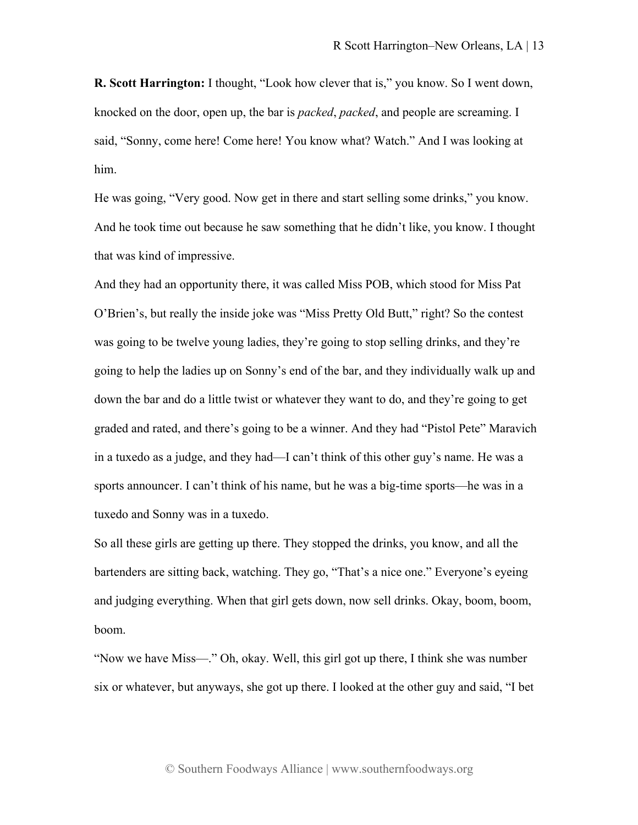**R. Scott Harrington:** I thought, "Look how clever that is," you know. So I went down, knocked on the door, open up, the bar is *packed*, *packed*, and people are screaming. I said, "Sonny, come here! Come here! You know what? Watch." And I was looking at him.

He was going, "Very good. Now get in there and start selling some drinks," you know. And he took time out because he saw something that he didn't like, you know. I thought that was kind of impressive.

And they had an opportunity there, it was called Miss POB, which stood for Miss Pat O'Brien's, but really the inside joke was "Miss Pretty Old Butt," right? So the contest was going to be twelve young ladies, they're going to stop selling drinks, and they're going to help the ladies up on Sonny's end of the bar, and they individually walk up and down the bar and do a little twist or whatever they want to do, and they're going to get graded and rated, and there's going to be a winner. And they had "Pistol Pete" Maravich in a tuxedo as a judge, and they had—I can't think of this other guy's name. He was a sports announcer. I can't think of his name, but he was a big-time sports—he was in a tuxedo and Sonny was in a tuxedo.

So all these girls are getting up there. They stopped the drinks, you know, and all the bartenders are sitting back, watching. They go, "That's a nice one." Everyone's eyeing and judging everything. When that girl gets down, now sell drinks. Okay, boom, boom, boom.

"Now we have Miss—." Oh, okay. Well, this girl got up there, I think she was number six or whatever, but anyways, she got up there. I looked at the other guy and said, "I bet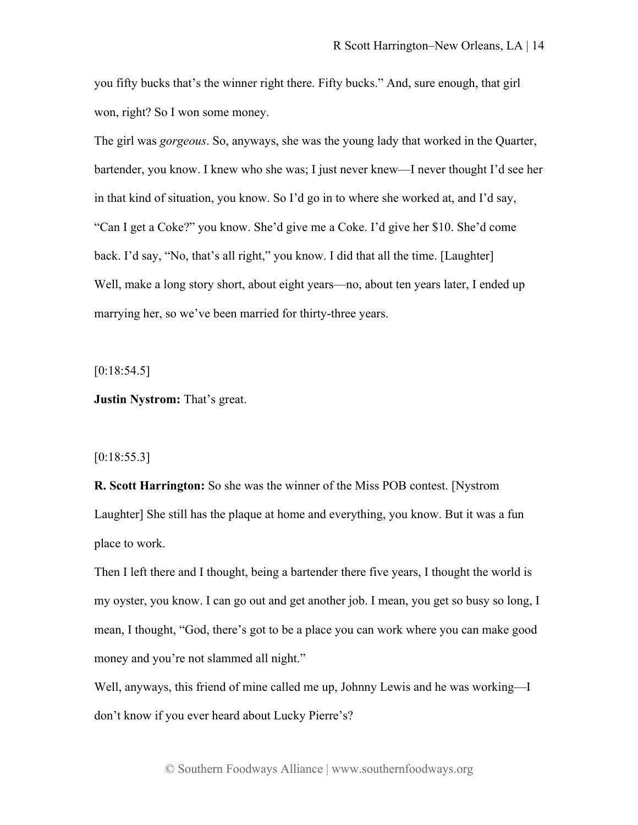you fifty bucks that's the winner right there. Fifty bucks." And, sure enough, that girl won, right? So I won some money.

The girl was *gorgeous*. So, anyways, she was the young lady that worked in the Quarter, bartender, you know. I knew who she was; I just never knew—I never thought I'd see her in that kind of situation, you know. So I'd go in to where she worked at, and I'd say, "Can I get a Coke?" you know. She'd give me a Coke. I'd give her \$10. She'd come back. I'd say, "No, that's all right," you know. I did that all the time. [Laughter] Well, make a long story short, about eight years—no, about ten years later, I ended up marrying her, so we've been married for thirty-three years.

 $[0:18:54.5]$ 

**Justin Nystrom:** That's great.

### $[0:18:55.3]$

**R. Scott Harrington:** So she was the winner of the Miss POB contest. [Nystrom Laughter] She still has the plaque at home and everything, you know. But it was a fun place to work.

Then I left there and I thought, being a bartender there five years, I thought the world is my oyster, you know. I can go out and get another job. I mean, you get so busy so long, I mean, I thought, "God, there's got to be a place you can work where you can make good money and you're not slammed all night."

Well, anyways, this friend of mine called me up, Johnny Lewis and he was working—I don't know if you ever heard about Lucky Pierre's?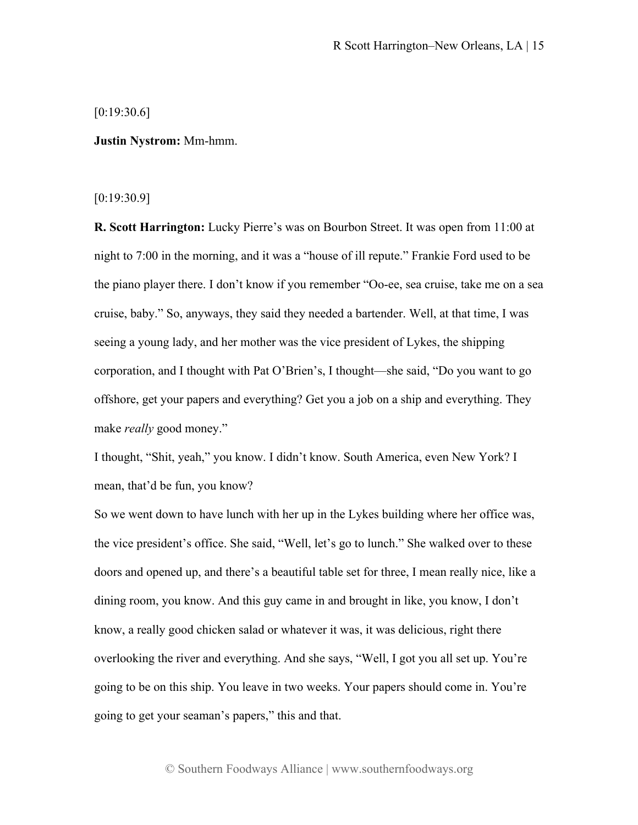$[0:19:30.6]$ 

**Justin Nystrom:** Mm-hmm.

# [0:19:30.9]

**R. Scott Harrington:** Lucky Pierre's was on Bourbon Street. It was open from 11:00 at night to 7:00 in the morning, and it was a "house of ill repute." Frankie Ford used to be the piano player there. I don't know if you remember "Oo-ee, sea cruise, take me on a sea cruise, baby." So, anyways, they said they needed a bartender. Well, at that time, I was seeing a young lady, and her mother was the vice president of Lykes, the shipping corporation, and I thought with Pat O'Brien's, I thought—she said, "Do you want to go offshore, get your papers and everything? Get you a job on a ship and everything. They make *really* good money."

I thought, "Shit, yeah," you know. I didn't know. South America, even New York? I mean, that'd be fun, you know?

So we went down to have lunch with her up in the Lykes building where her office was, the vice president's office. She said, "Well, let's go to lunch." She walked over to these doors and opened up, and there's a beautiful table set for three, I mean really nice, like a dining room, you know. And this guy came in and brought in like, you know, I don't know, a really good chicken salad or whatever it was, it was delicious, right there overlooking the river and everything. And she says, "Well, I got you all set up. You're going to be on this ship. You leave in two weeks. Your papers should come in. You're going to get your seaman's papers," this and that.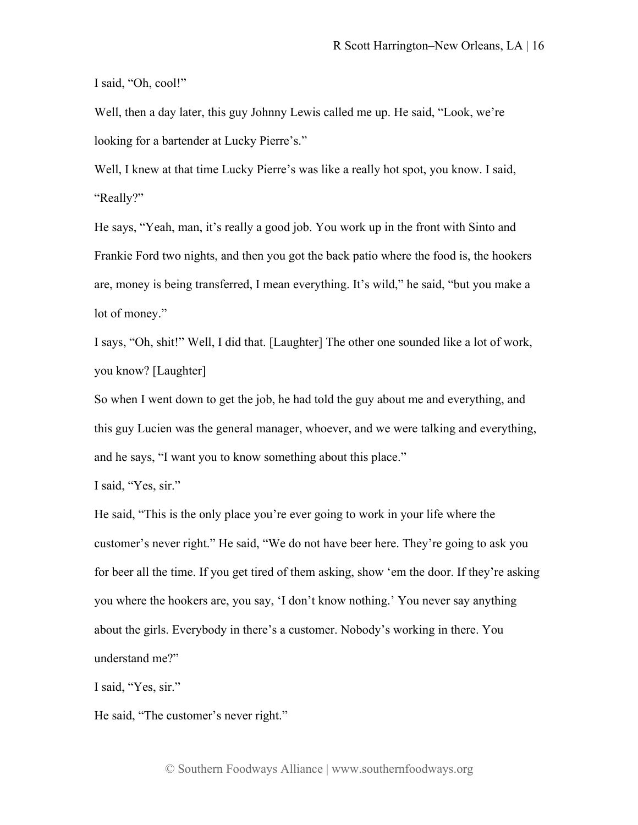I said, "Oh, cool!"

Well, then a day later, this guy Johnny Lewis called me up. He said, "Look, we're looking for a bartender at Lucky Pierre's."

Well, I knew at that time Lucky Pierre's was like a really hot spot, you know. I said, "Really?"

He says, "Yeah, man, it's really a good job. You work up in the front with Sinto and Frankie Ford two nights, and then you got the back patio where the food is, the hookers are, money is being transferred, I mean everything. It's wild," he said, "but you make a lot of money."

I says, "Oh, shit!" Well, I did that. [Laughter] The other one sounded like a lot of work, you know? [Laughter]

So when I went down to get the job, he had told the guy about me and everything, and this guy Lucien was the general manager, whoever, and we were talking and everything, and he says, "I want you to know something about this place."

I said, "Yes, sir."

He said, "This is the only place you're ever going to work in your life where the customer's never right." He said, "We do not have beer here. They're going to ask you for beer all the time. If you get tired of them asking, show 'em the door. If they're asking you where the hookers are, you say, 'I don't know nothing.' You never say anything about the girls. Everybody in there's a customer. Nobody's working in there. You understand me?"

I said, "Yes, sir."

He said, "The customer's never right."

© Southern Foodways Alliance | www.southernfoodways.org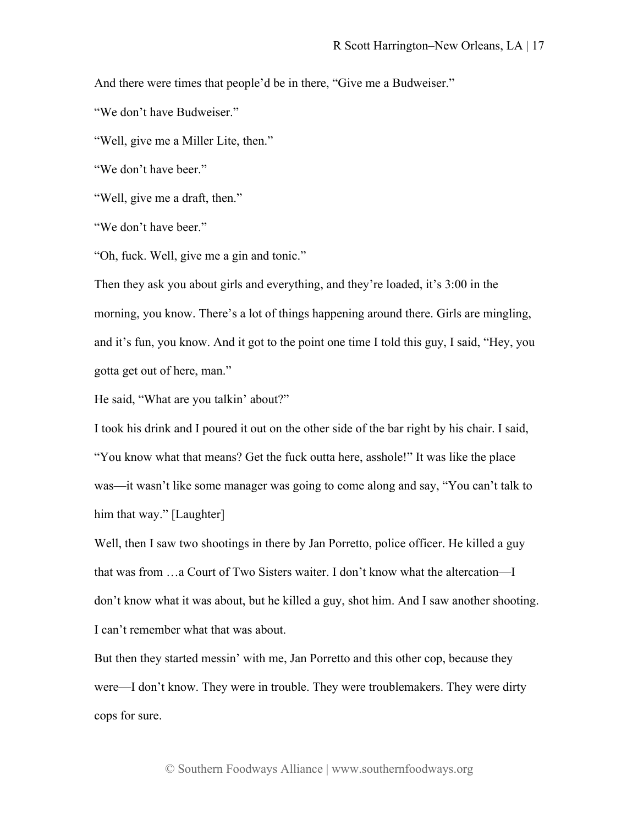And there were times that people'd be in there, "Give me a Budweiser."

"We don't have Budweiser."

"Well, give me a Miller Lite, then."

"We don't have beer."

"Well, give me a draft, then."

"We don't have beer."

"Oh, fuck. Well, give me a gin and tonic."

Then they ask you about girls and everything, and they're loaded, it's 3:00 in the morning, you know. There's a lot of things happening around there. Girls are mingling, and it's fun, you know. And it got to the point one time I told this guy, I said, "Hey, you gotta get out of here, man."

He said, "What are you talkin' about?"

I took his drink and I poured it out on the other side of the bar right by his chair. I said, "You know what that means? Get the fuck outta here, asshole!" It was like the place was—it wasn't like some manager was going to come along and say, "You can't talk to him that way." [Laughter]

Well, then I saw two shootings in there by Jan Porretto, police officer. He killed a guy that was from …a Court of Two Sisters waiter. I don't know what the altercation—I don't know what it was about, but he killed a guy, shot him. And I saw another shooting. I can't remember what that was about.

But then they started messin' with me, Jan Porretto and this other cop, because they were—I don't know. They were in trouble. They were troublemakers. They were dirty cops for sure.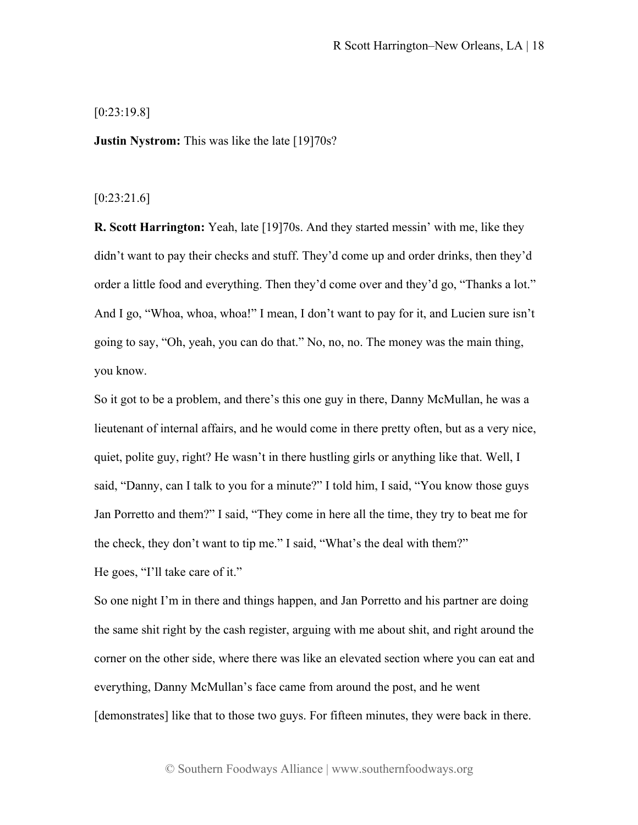$[0:23:19.8]$ 

**Justin Nystrom:** This was like the late [19]70s?

# [0:23:21.6]

**R. Scott Harrington:** Yeah, late [19]70s. And they started messin' with me, like they didn't want to pay their checks and stuff. They'd come up and order drinks, then they'd order a little food and everything. Then they'd come over and they'd go, "Thanks a lot." And I go, "Whoa, whoa, whoa!" I mean, I don't want to pay for it, and Lucien sure isn't going to say, "Oh, yeah, you can do that." No, no, no. The money was the main thing, you know.

So it got to be a problem, and there's this one guy in there, Danny McMullan, he was a lieutenant of internal affairs, and he would come in there pretty often, but as a very nice, quiet, polite guy, right? He wasn't in there hustling girls or anything like that. Well, I said, "Danny, can I talk to you for a minute?" I told him, I said, "You know those guys Jan Porretto and them?" I said, "They come in here all the time, they try to beat me for the check, they don't want to tip me." I said, "What's the deal with them?"

He goes, "I'll take care of it."

So one night I'm in there and things happen, and Jan Porretto and his partner are doing the same shit right by the cash register, arguing with me about shit, and right around the corner on the other side, where there was like an elevated section where you can eat and everything, Danny McMullan's face came from around the post, and he went [demonstrates] like that to those two guys. For fifteen minutes, they were back in there.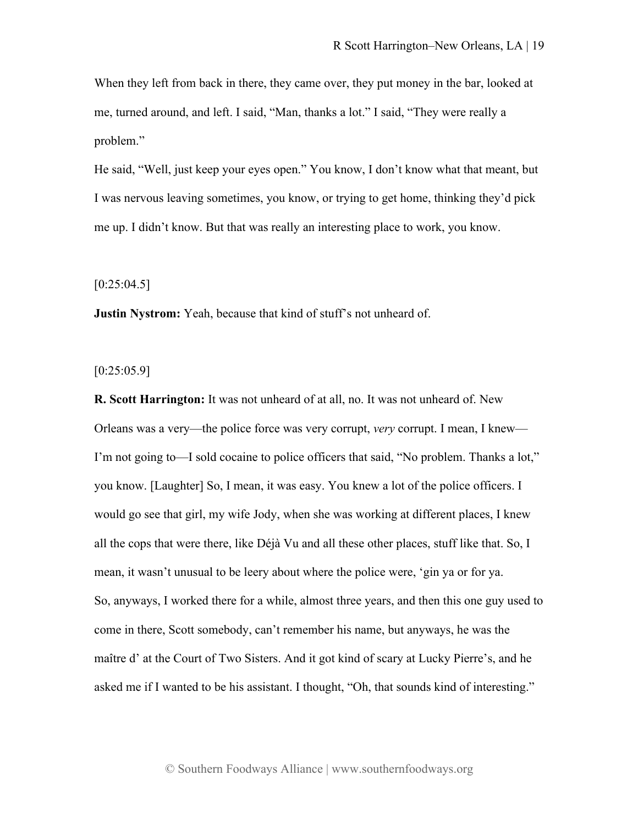When they left from back in there, they came over, they put money in the bar, looked at me, turned around, and left. I said, "Man, thanks a lot." I said, "They were really a problem."

He said, "Well, just keep your eyes open." You know, I don't know what that meant, but I was nervous leaving sometimes, you know, or trying to get home, thinking they'd pick me up. I didn't know. But that was really an interesting place to work, you know.

 $[0:25:04.5]$ 

**Justin Nystrom:** Yeah, because that kind of stuff's not unheard of.

 $[0:25:05.9]$ 

**R. Scott Harrington:** It was not unheard of at all, no. It was not unheard of. New Orleans was a very—the police force was very corrupt, *very* corrupt. I mean, I knew— I'm not going to—I sold cocaine to police officers that said, "No problem. Thanks a lot," you know. [Laughter] So, I mean, it was easy. You knew a lot of the police officers. I would go see that girl, my wife Jody, when she was working at different places, I knew all the cops that were there, like Déjà Vu and all these other places, stuff like that. So, I mean, it wasn't unusual to be leery about where the police were, 'gin ya or for ya. So, anyways, I worked there for a while, almost three years, and then this one guy used to come in there, Scott somebody, can't remember his name, but anyways, he was the maître d' at the Court of Two Sisters. And it got kind of scary at Lucky Pierre's, and he asked me if I wanted to be his assistant. I thought, "Oh, that sounds kind of interesting."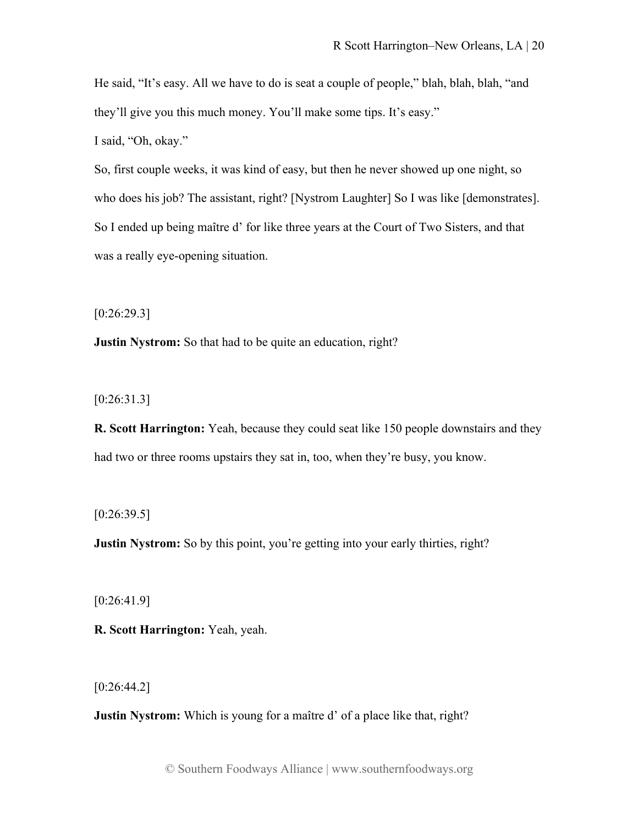He said, "It's easy. All we have to do is seat a couple of people," blah, blah, blah, "and they'll give you this much money. You'll make some tips. It's easy." I said, "Oh, okay."

So, first couple weeks, it was kind of easy, but then he never showed up one night, so who does his job? The assistant, right? [Nystrom Laughter] So I was like [demonstrates]. So I ended up being maître d' for like three years at the Court of Two Sisters, and that was a really eye-opening situation.

[0:26:29.3]

**Justin Nystrom:** So that had to be quite an education, right?

[0:26:31.3]

**R. Scott Harrington:** Yeah, because they could seat like 150 people downstairs and they had two or three rooms upstairs they sat in, too, when they're busy, you know.

 $[0:26:39.5]$ 

**Justin Nystrom:** So by this point, you're getting into your early thirties, right?

[0:26:41.9]

**R. Scott Harrington:** Yeah, yeah.

 $[0:26:44.2]$ 

**Justin Nystrom:** Which is young for a maître d' of a place like that, right?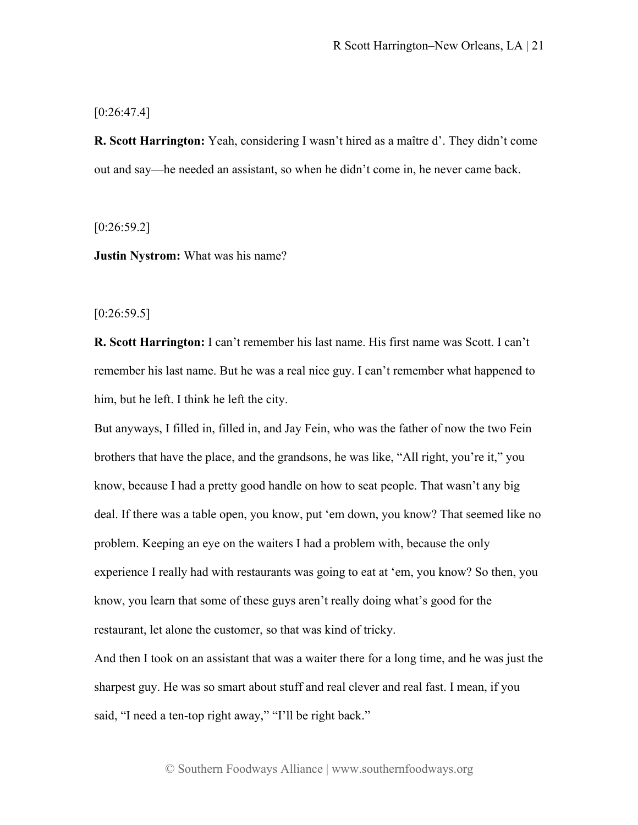$[0:26:47.4]$ 

**R. Scott Harrington:** Yeah, considering I wasn't hired as a maître d'. They didn't come out and say—he needed an assistant, so when he didn't come in, he never came back.

[0:26:59.2]

**Justin Nystrom:** What was his name?

 $[0:26:59.5]$ 

**R. Scott Harrington:** I can't remember his last name. His first name was Scott. I can't remember his last name. But he was a real nice guy. I can't remember what happened to him, but he left. I think he left the city.

But anyways, I filled in, filled in, and Jay Fein, who was the father of now the two Fein brothers that have the place, and the grandsons, he was like, "All right, you're it," you know, because I had a pretty good handle on how to seat people. That wasn't any big deal. If there was a table open, you know, put 'em down, you know? That seemed like no problem. Keeping an eye on the waiters I had a problem with, because the only experience I really had with restaurants was going to eat at 'em, you know? So then, you know, you learn that some of these guys aren't really doing what's good for the restaurant, let alone the customer, so that was kind of tricky.

And then I took on an assistant that was a waiter there for a long time, and he was just the sharpest guy. He was so smart about stuff and real clever and real fast. I mean, if you said, "I need a ten-top right away," "I'll be right back."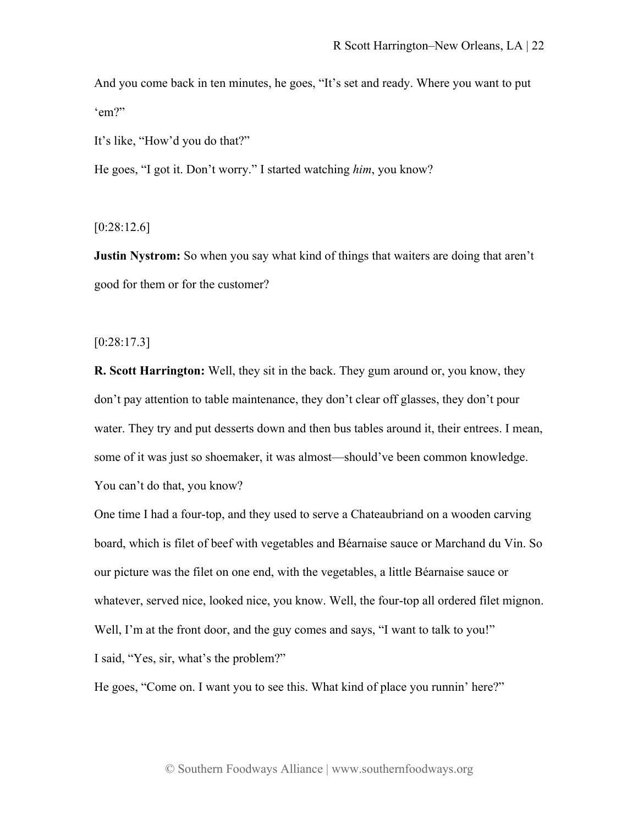And you come back in ten minutes, he goes, "It's set and ready. Where you want to put 'em?"

It's like, "How'd you do that?"

He goes, "I got it. Don't worry." I started watching *him*, you know?

[0:28:12.6]

**Justin Nystrom:** So when you say what kind of things that waiters are doing that aren't good for them or for the customer?

[0:28:17.3]

**R. Scott Harrington:** Well, they sit in the back. They gum around or, you know, they don't pay attention to table maintenance, they don't clear off glasses, they don't pour water. They try and put desserts down and then bus tables around it, their entrees. I mean, some of it was just so shoemaker, it was almost—should've been common knowledge. You can't do that, you know?

One time I had a four-top, and they used to serve a Chateaubriand on a wooden carving board, which is filet of beef with vegetables and Béarnaise sauce or Marchand du Vin. So our picture was the filet on one end, with the vegetables, a little Béarnaise sauce or whatever, served nice, looked nice, you know. Well, the four-top all ordered filet mignon. Well, I'm at the front door, and the guy comes and says, "I want to talk to you!" I said, "Yes, sir, what's the problem?"

He goes, "Come on. I want you to see this. What kind of place you runnin' here?"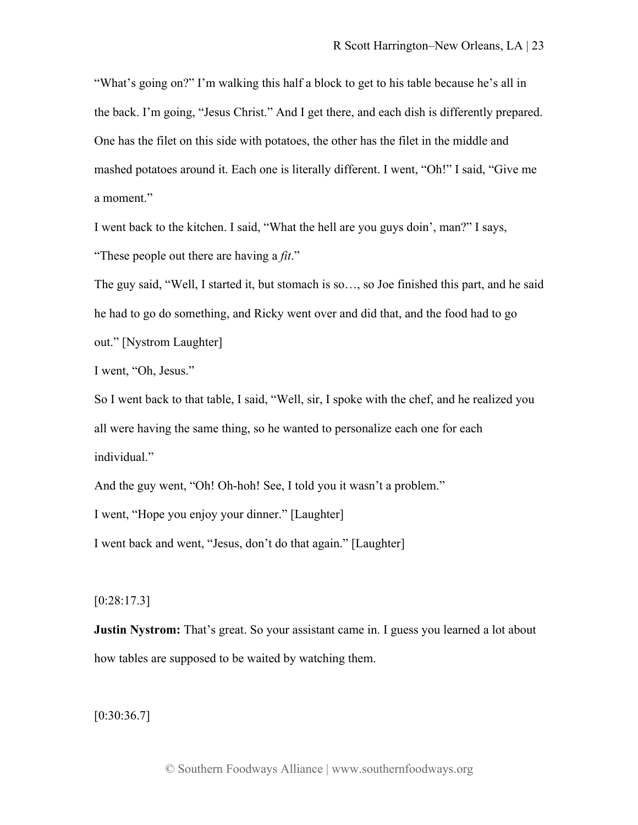"What's going on?" I'm walking this half a block to get to his table because he's all in the back. I'm going, "Jesus Christ." And I get there, and each dish is differently prepared. One has the filet on this side with potatoes, the other has the filet in the middle and mashed potatoes around it. Each one is literally different. I went, "Oh!" I said, "Give me a moment."

I went back to the kitchen. I said, "What the hell are you guys doin', man?" I says, "These people out there are having a *fit*."

The guy said, "Well, I started it, but stomach is so…, so Joe finished this part, and he said he had to go do something, and Ricky went over and did that, and the food had to go out." [Nystrom Laughter]

I went, "Oh, Jesus."

So I went back to that table, I said, "Well, sir, I spoke with the chef, and he realized you all were having the same thing, so he wanted to personalize each one for each individual."

And the guy went, "Oh! Oh-hoh! See, I told you it wasn't a problem." I went, "Hope you enjoy your dinner." [Laughter] I went back and went, "Jesus, don't do that again." [Laughter]

[0:28:17.3]

**Justin Nystrom:** That's great. So your assistant came in. I guess you learned a lot about how tables are supposed to be waited by watching them.

 $[0:30:36.7]$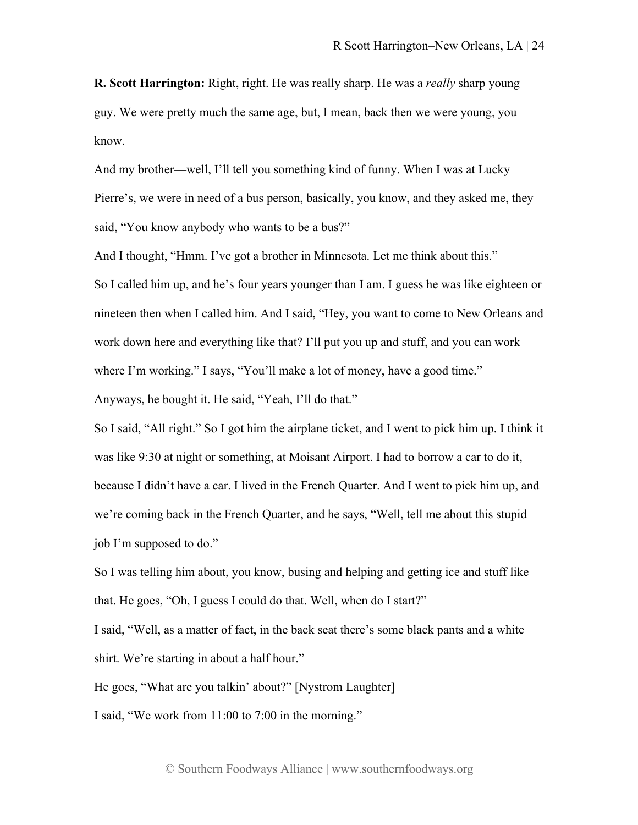**R. Scott Harrington:** Right, right. He was really sharp. He was a *really* sharp young guy. We were pretty much the same age, but, I mean, back then we were young, you know.

And my brother—well, I'll tell you something kind of funny. When I was at Lucky Pierre's, we were in need of a bus person, basically, you know, and they asked me, they said, "You know anybody who wants to be a bus?"

And I thought, "Hmm. I've got a brother in Minnesota. Let me think about this." So I called him up, and he's four years younger than I am. I guess he was like eighteen or nineteen then when I called him. And I said, "Hey, you want to come to New Orleans and work down here and everything like that? I'll put you up and stuff, and you can work where I'm working." I says, "You'll make a lot of money, have a good time." Anyways, he bought it. He said, "Yeah, I'll do that."

So I said, "All right." So I got him the airplane ticket, and I went to pick him up. I think it was like 9:30 at night or something, at Moisant Airport. I had to borrow a car to do it, because I didn't have a car. I lived in the French Quarter. And I went to pick him up, and we're coming back in the French Quarter, and he says, "Well, tell me about this stupid job I'm supposed to do."

So I was telling him about, you know, busing and helping and getting ice and stuff like that. He goes, "Oh, I guess I could do that. Well, when do I start?"

I said, "Well, as a matter of fact, in the back seat there's some black pants and a white shirt. We're starting in about a half hour."

He goes, "What are you talkin' about?" [Nystrom Laughter]

I said, "We work from 11:00 to 7:00 in the morning."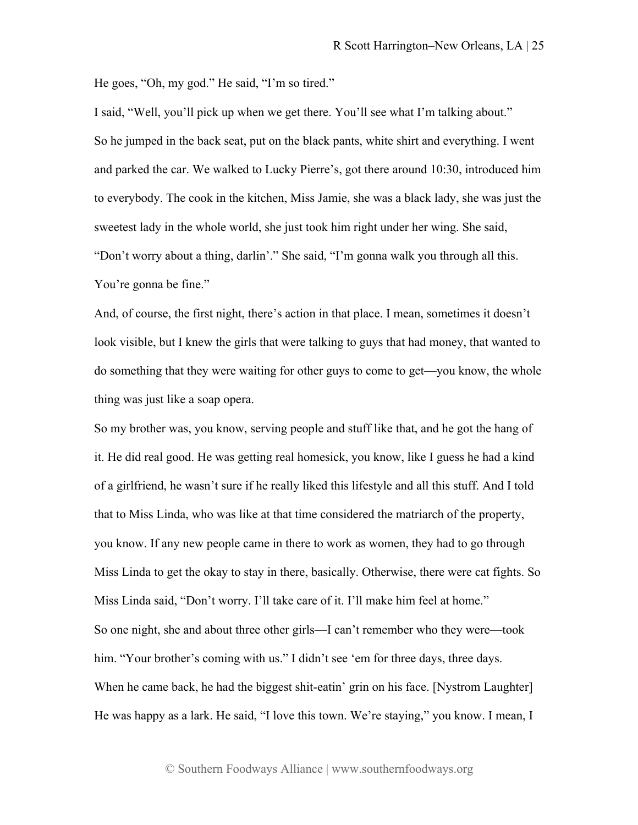He goes, "Oh, my god." He said, "I'm so tired."

I said, "Well, you'll pick up when we get there. You'll see what I'm talking about." So he jumped in the back seat, put on the black pants, white shirt and everything. I went and parked the car. We walked to Lucky Pierre's, got there around 10:30, introduced him to everybody. The cook in the kitchen, Miss Jamie, she was a black lady, she was just the sweetest lady in the whole world, she just took him right under her wing. She said, "Don't worry about a thing, darlin'." She said, "I'm gonna walk you through all this. You're gonna be fine."

And, of course, the first night, there's action in that place. I mean, sometimes it doesn't look visible, but I knew the girls that were talking to guys that had money, that wanted to do something that they were waiting for other guys to come to get—you know, the whole thing was just like a soap opera.

So my brother was, you know, serving people and stuff like that, and he got the hang of it. He did real good. He was getting real homesick, you know, like I guess he had a kind of a girlfriend, he wasn't sure if he really liked this lifestyle and all this stuff. And I told that to Miss Linda, who was like at that time considered the matriarch of the property, you know. If any new people came in there to work as women, they had to go through Miss Linda to get the okay to stay in there, basically. Otherwise, there were cat fights. So Miss Linda said, "Don't worry. I'll take care of it. I'll make him feel at home." So one night, she and about three other girls—I can't remember who they were—took him. "Your brother's coming with us." I didn't see 'em for three days, three days. When he came back, he had the biggest shit-eatin' grin on his face. [Nystrom Laughter] He was happy as a lark. He said, "I love this town. We're staying," you know. I mean, I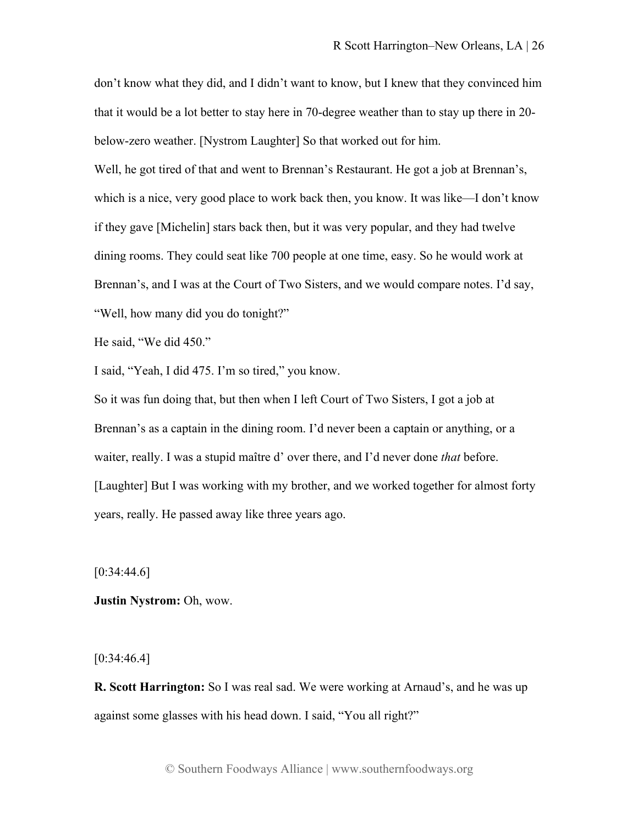don't know what they did, and I didn't want to know, but I knew that they convinced him that it would be a lot better to stay here in 70-degree weather than to stay up there in 20 below-zero weather. [Nystrom Laughter] So that worked out for him. Well, he got tired of that and went to Brennan's Restaurant. He got a job at Brennan's, which is a nice, very good place to work back then, you know. It was like—I don't know if they gave [Michelin] stars back then, but it was very popular, and they had twelve dining rooms. They could seat like 700 people at one time, easy. So he would work at Brennan's, and I was at the Court of Two Sisters, and we would compare notes. I'd say, "Well, how many did you do tonight?"

He said, "We did 450."

I said, "Yeah, I did 475. I'm so tired," you know.

So it was fun doing that, but then when I left Court of Two Sisters, I got a job at Brennan's as a captain in the dining room. I'd never been a captain or anything, or a waiter, really. I was a stupid maître d' over there, and I'd never done *that* before. [Laughter] But I was working with my brother, and we worked together for almost forty years, really. He passed away like three years ago.

 $[0:34:44.6]$ 

**Justin Nystrom:** Oh, wow.

 $[0:34:46.4]$ 

**R. Scott Harrington:** So I was real sad. We were working at Arnaud's, and he was up against some glasses with his head down. I said, "You all right?"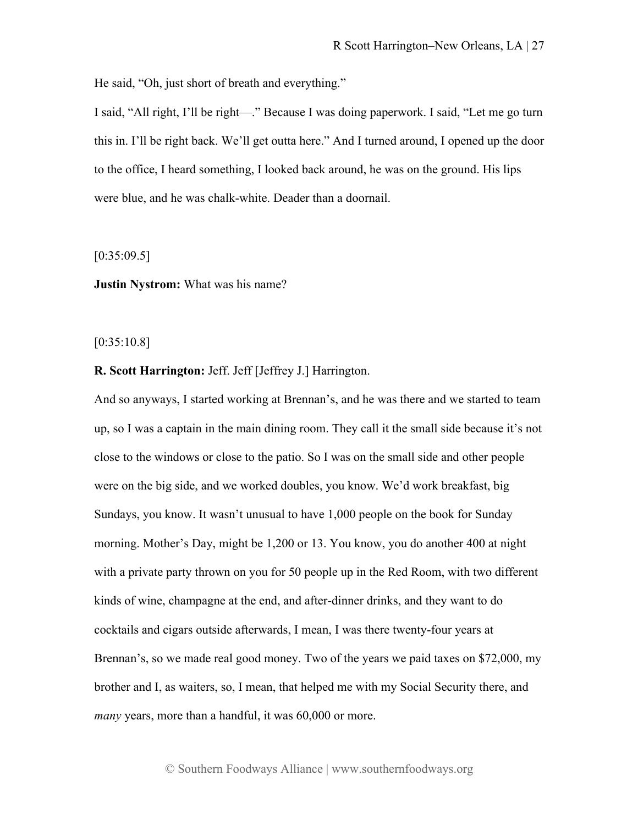He said, "Oh, just short of breath and everything."

I said, "All right, I'll be right—." Because I was doing paperwork. I said, "Let me go turn this in. I'll be right back. We'll get outta here." And I turned around, I opened up the door to the office, I heard something, I looked back around, he was on the ground. His lips were blue, and he was chalk-white. Deader than a doornail.

 $[0:35:09.5]$ 

**Justin Nystrom:** What was his name?

[0:35:10.8]

**R. Scott Harrington:** Jeff. Jeff [Jeffrey J.] Harrington.

And so anyways, I started working at Brennan's, and he was there and we started to team up, so I was a captain in the main dining room. They call it the small side because it's not close to the windows or close to the patio. So I was on the small side and other people were on the big side, and we worked doubles, you know. We'd work breakfast, big Sundays, you know. It wasn't unusual to have 1,000 people on the book for Sunday morning. Mother's Day, might be 1,200 or 13. You know, you do another 400 at night with a private party thrown on you for 50 people up in the Red Room, with two different kinds of wine, champagne at the end, and after-dinner drinks, and they want to do cocktails and cigars outside afterwards, I mean, I was there twenty-four years at Brennan's, so we made real good money. Two of the years we paid taxes on \$72,000, my brother and I, as waiters, so, I mean, that helped me with my Social Security there, and *many* years, more than a handful, it was 60,000 or more.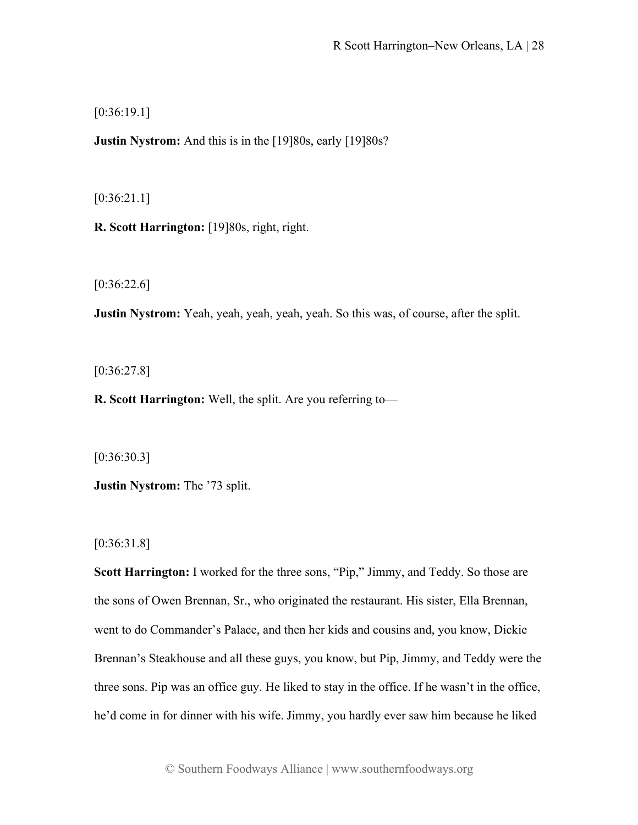$[0:36:19.1]$ 

**Justin Nystrom:** And this is in the [19]80s, early [19]80s?

[0:36:21.1]

**R. Scott Harrington:** [19]80s, right, right.

[0:36:22.6]

**Justin Nystrom:** Yeah, yeah, yeah, yeah, yeah. So this was, of course, after the split.

[0:36:27.8]

**R. Scott Harrington:** Well, the split. Are you referring to—

[0:36:30.3]

**Justin Nystrom:** The '73 split.

[0:36:31.8]

**Scott Harrington:** I worked for the three sons, "Pip," Jimmy, and Teddy. So those are the sons of Owen Brennan, Sr., who originated the restaurant. His sister, Ella Brennan, went to do Commander's Palace, and then her kids and cousins and, you know, Dickie Brennan's Steakhouse and all these guys, you know, but Pip, Jimmy, and Teddy were the three sons. Pip was an office guy. He liked to stay in the office. If he wasn't in the office, he'd come in for dinner with his wife. Jimmy, you hardly ever saw him because he liked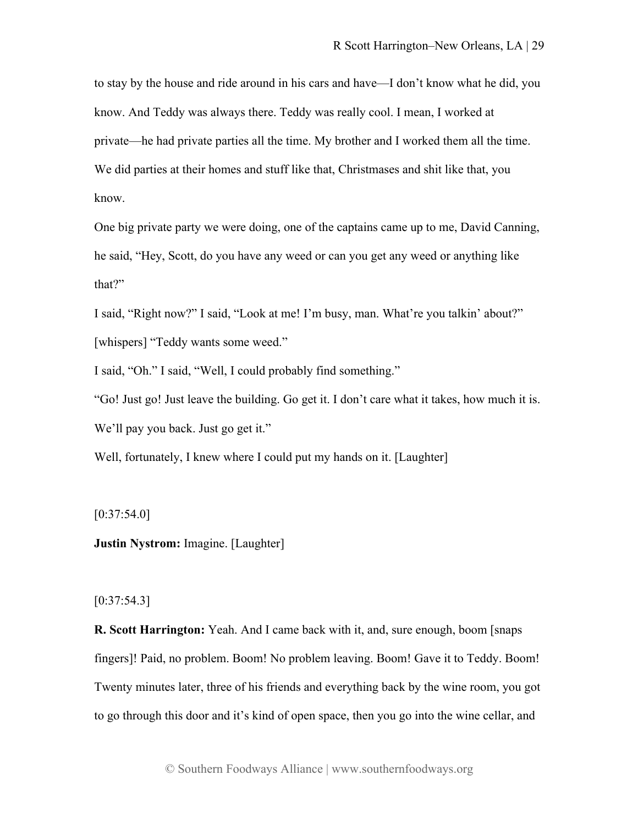to stay by the house and ride around in his cars and have—I don't know what he did, you know. And Teddy was always there. Teddy was really cool. I mean, I worked at private—he had private parties all the time. My brother and I worked them all the time. We did parties at their homes and stuff like that, Christmases and shit like that, you know.

One big private party we were doing, one of the captains came up to me, David Canning, he said, "Hey, Scott, do you have any weed or can you get any weed or anything like that?"

I said, "Right now?" I said, "Look at me! I'm busy, man. What're you talkin' about?" [whispers] "Teddy wants some weed."

I said, "Oh." I said, "Well, I could probably find something."

"Go! Just go! Just leave the building. Go get it. I don't care what it takes, how much it is. We'll pay you back. Just go get it."

Well, fortunately, I knew where I could put my hands on it. [Laughter]

 $[0:37:54.0]$ 

**Justin Nystrom:** Imagine. [Laughter]

 $[0:37:54.3]$ 

**R. Scott Harrington:** Yeah. And I came back with it, and, sure enough, boom [snaps fingers]! Paid, no problem. Boom! No problem leaving. Boom! Gave it to Teddy. Boom! Twenty minutes later, three of his friends and everything back by the wine room, you got to go through this door and it's kind of open space, then you go into the wine cellar, and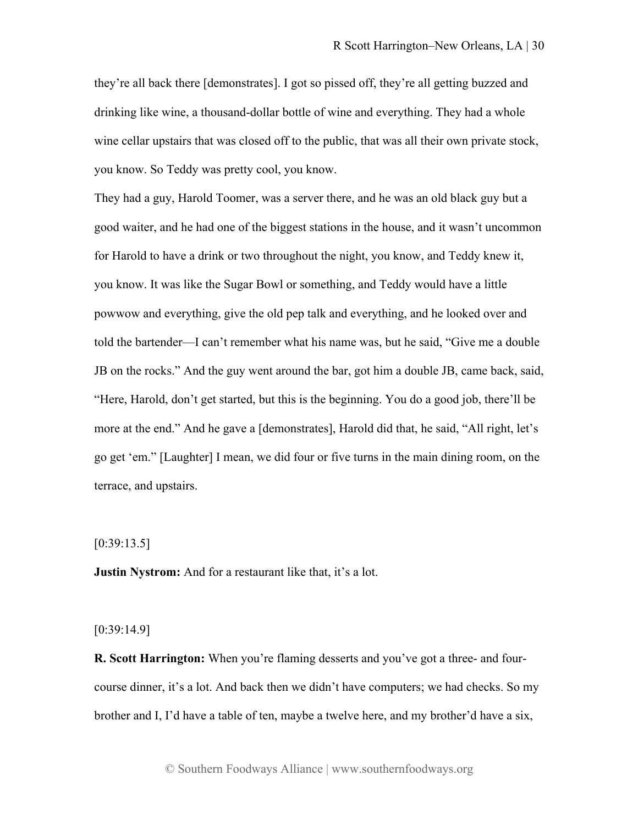they're all back there [demonstrates]. I got so pissed off, they're all getting buzzed and drinking like wine, a thousand-dollar bottle of wine and everything. They had a whole wine cellar upstairs that was closed off to the public, that was all their own private stock, you know. So Teddy was pretty cool, you know.

They had a guy, Harold Toomer, was a server there, and he was an old black guy but a good waiter, and he had one of the biggest stations in the house, and it wasn't uncommon for Harold to have a drink or two throughout the night, you know, and Teddy knew it, you know. It was like the Sugar Bowl or something, and Teddy would have a little powwow and everything, give the old pep talk and everything, and he looked over and told the bartender—I can't remember what his name was, but he said, "Give me a double JB on the rocks." And the guy went around the bar, got him a double JB, came back, said, "Here, Harold, don't get started, but this is the beginning. You do a good job, there'll be more at the end." And he gave a [demonstrates], Harold did that, he said, "All right, let's go get 'em." [Laughter] I mean, we did four or five turns in the main dining room, on the terrace, and upstairs.

# $[0:39:13.5]$

**Justin Nystrom:** And for a restaurant like that, it's a lot.

# [0:39:14.9]

**R. Scott Harrington:** When you're flaming desserts and you've got a three- and fourcourse dinner, it's a lot. And back then we didn't have computers; we had checks. So my brother and I, I'd have a table of ten, maybe a twelve here, and my brother'd have a six,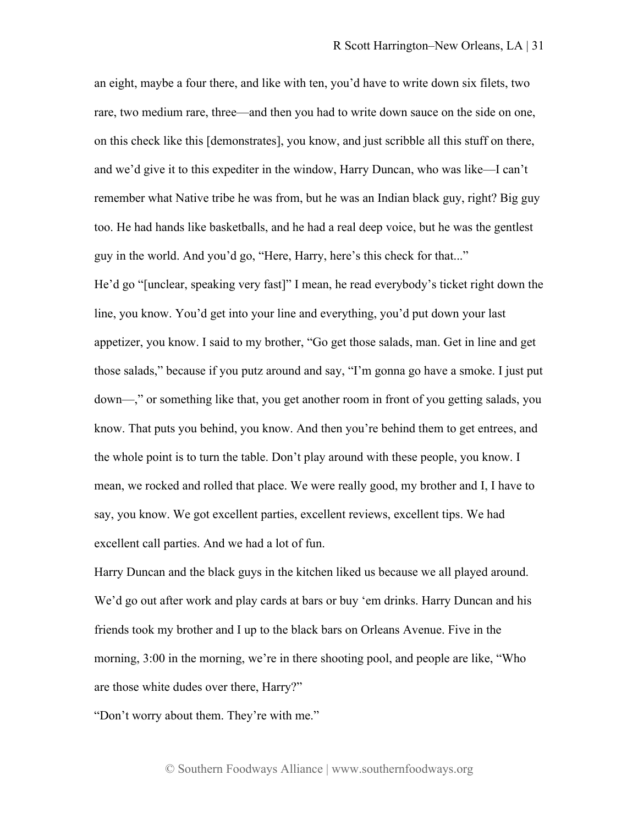an eight, maybe a four there, and like with ten, you'd have to write down six filets, two rare, two medium rare, three—and then you had to write down sauce on the side on one, on this check like this [demonstrates], you know, and just scribble all this stuff on there, and we'd give it to this expediter in the window, Harry Duncan, who was like—I can't remember what Native tribe he was from, but he was an Indian black guy, right? Big guy too. He had hands like basketballs, and he had a real deep voice, but he was the gentlest guy in the world. And you'd go, "Here, Harry, here's this check for that..." He'd go "[unclear, speaking very fast]" I mean, he read everybody's ticket right down the line, you know. You'd get into your line and everything, you'd put down your last appetizer, you know. I said to my brother, "Go get those salads, man. Get in line and get those salads," because if you putz around and say, "I'm gonna go have a smoke. I just put down—," or something like that, you get another room in front of you getting salads, you know. That puts you behind, you know. And then you're behind them to get entrees, and the whole point is to turn the table. Don't play around with these people, you know. I mean, we rocked and rolled that place. We were really good, my brother and I, I have to say, you know. We got excellent parties, excellent reviews, excellent tips. We had excellent call parties. And we had a lot of fun.

Harry Duncan and the black guys in the kitchen liked us because we all played around. We'd go out after work and play cards at bars or buy 'em drinks. Harry Duncan and his friends took my brother and I up to the black bars on Orleans Avenue. Five in the morning, 3:00 in the morning, we're in there shooting pool, and people are like, "Who are those white dudes over there, Harry?"

"Don't worry about them. They're with me."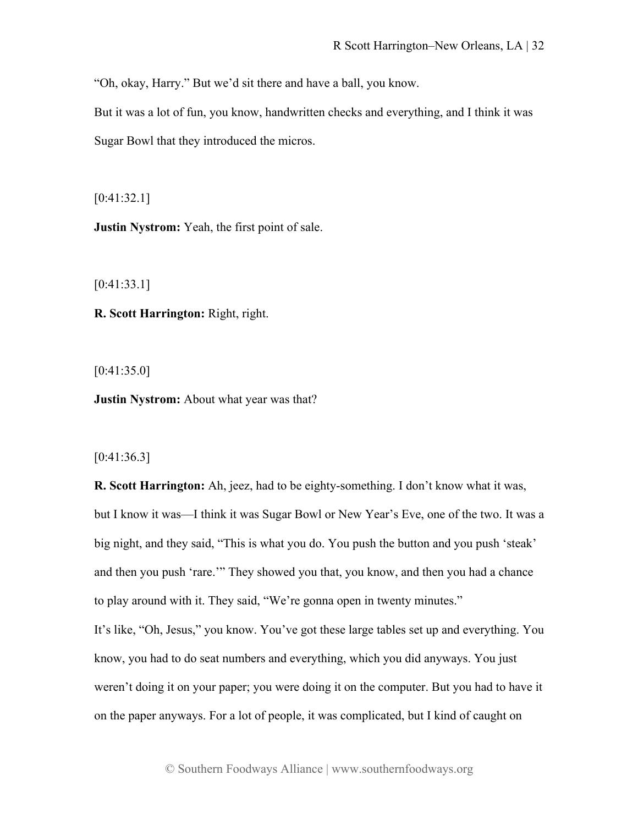"Oh, okay, Harry." But we'd sit there and have a ball, you know.

But it was a lot of fun, you know, handwritten checks and everything, and I think it was Sugar Bowl that they introduced the micros.

[0:41:32.1]

**Justin Nystrom:** Yeah, the first point of sale.

[0:41:33.1]

**R. Scott Harrington:** Right, right.

[0:41:35.0]

**Justin Nystrom:** About what year was that?

## [0:41:36.3]

**R. Scott Harrington:** Ah, jeez, had to be eighty-something. I don't know what it was, but I know it was—I think it was Sugar Bowl or New Year's Eve, one of the two. It was a big night, and they said, "This is what you do. You push the button and you push 'steak' and then you push 'rare.'" They showed you that, you know, and then you had a chance to play around with it. They said, "We're gonna open in twenty minutes." It's like, "Oh, Jesus," you know. You've got these large tables set up and everything. You know, you had to do seat numbers and everything, which you did anyways. You just weren't doing it on your paper; you were doing it on the computer. But you had to have it on the paper anyways. For a lot of people, it was complicated, but I kind of caught on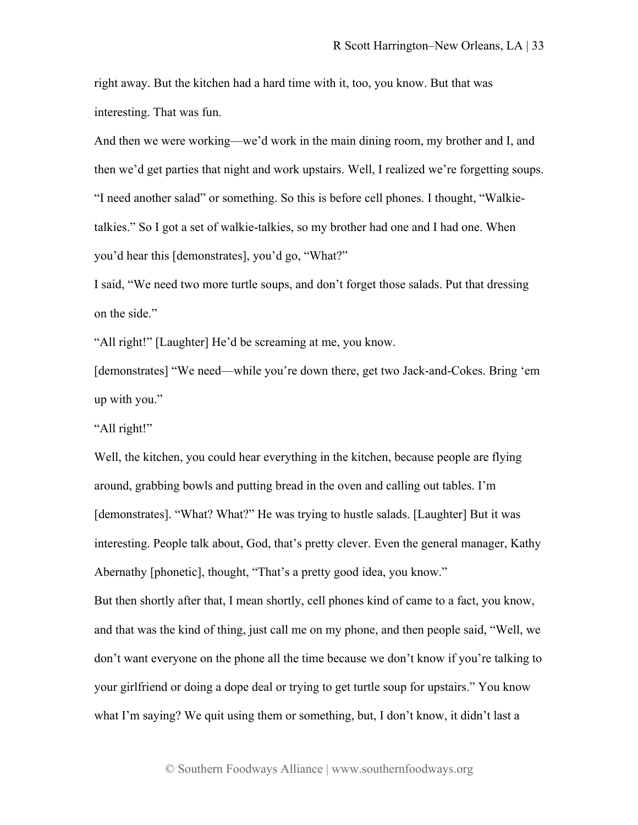right away. But the kitchen had a hard time with it, too, you know. But that was interesting. That was fun.

And then we were working—we'd work in the main dining room, my brother and I, and then we'd get parties that night and work upstairs. Well, I realized we're forgetting soups. "I need another salad" or something. So this is before cell phones. I thought, "Walkietalkies." So I got a set of walkie-talkies, so my brother had one and I had one. When you'd hear this [demonstrates], you'd go, "What?"

I said, "We need two more turtle soups, and don't forget those salads. Put that dressing on the side."

"All right!" [Laughter] He'd be screaming at me, you know.

[demonstrates] "We need—while you're down there, get two Jack-and-Cokes. Bring 'em up with you."

"All right!"

Well, the kitchen, you could hear everything in the kitchen, because people are flying around, grabbing bowls and putting bread in the oven and calling out tables. I'm [demonstrates]. "What? What?" He was trying to hustle salads. [Laughter] But it was interesting. People talk about, God, that's pretty clever. Even the general manager, Kathy Abernathy [phonetic], thought, "That's a pretty good idea, you know." But then shortly after that, I mean shortly, cell phones kind of came to a fact, you know, and that was the kind of thing, just call me on my phone, and then people said, "Well, we don't want everyone on the phone all the time because we don't know if you're talking to

your girlfriend or doing a dope deal or trying to get turtle soup for upstairs." You know what I'm saying? We quit using them or something, but, I don't know, it didn't last a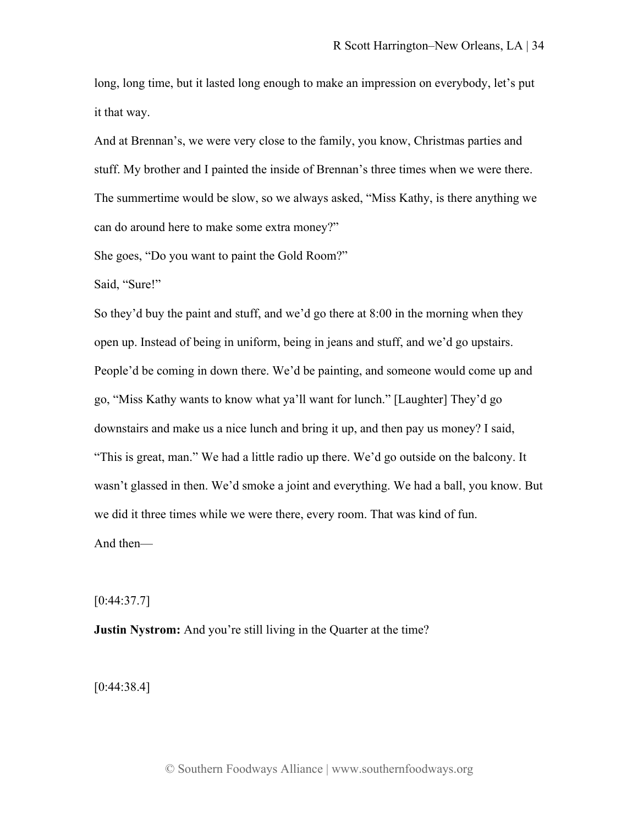long, long time, but it lasted long enough to make an impression on everybody, let's put it that way.

And at Brennan's, we were very close to the family, you know, Christmas parties and stuff. My brother and I painted the inside of Brennan's three times when we were there. The summertime would be slow, so we always asked, "Miss Kathy, is there anything we can do around here to make some extra money?"

She goes, "Do you want to paint the Gold Room?"

Said, "Sure!"

So they'd buy the paint and stuff, and we'd go there at 8:00 in the morning when they open up. Instead of being in uniform, being in jeans and stuff, and we'd go upstairs. People'd be coming in down there. We'd be painting, and someone would come up and go, "Miss Kathy wants to know what ya'll want for lunch." [Laughter] They'd go downstairs and make us a nice lunch and bring it up, and then pay us money? I said, "This is great, man." We had a little radio up there. We'd go outside on the balcony. It wasn't glassed in then. We'd smoke a joint and everything. We had a ball, you know. But we did it three times while we were there, every room. That was kind of fun. And then—

[0:44:37.7]

**Justin Nystrom:** And you're still living in the Quarter at the time?

[0:44:38.4]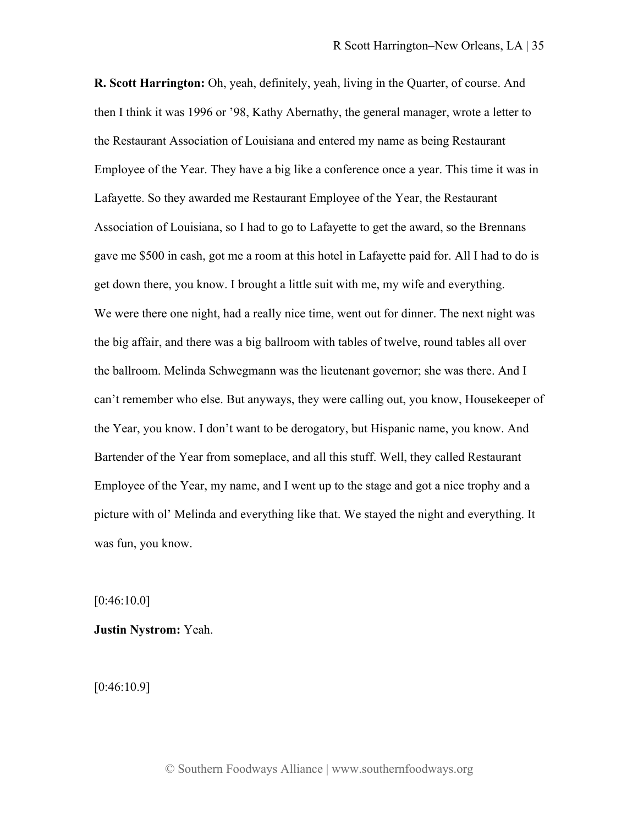**R. Scott Harrington:** Oh, yeah, definitely, yeah, living in the Quarter, of course. And then I think it was 1996 or '98, Kathy Abernathy, the general manager, wrote a letter to the Restaurant Association of Louisiana and entered my name as being Restaurant Employee of the Year. They have a big like a conference once a year. This time it was in Lafayette. So they awarded me Restaurant Employee of the Year, the Restaurant Association of Louisiana, so I had to go to Lafayette to get the award, so the Brennans gave me \$500 in cash, got me a room at this hotel in Lafayette paid for. All I had to do is get down there, you know. I brought a little suit with me, my wife and everything. We were there one night, had a really nice time, went out for dinner. The next night was the big affair, and there was a big ballroom with tables of twelve, round tables all over the ballroom. Melinda Schwegmann was the lieutenant governor; she was there. And I can't remember who else. But anyways, they were calling out, you know, Housekeeper of the Year, you know. I don't want to be derogatory, but Hispanic name, you know. And Bartender of the Year from someplace, and all this stuff. Well, they called Restaurant Employee of the Year, my name, and I went up to the stage and got a nice trophy and a picture with ol' Melinda and everything like that. We stayed the night and everything. It was fun, you know.

[0:46:10.0]

**Justin Nystrom:** Yeah.

[0:46:10.9]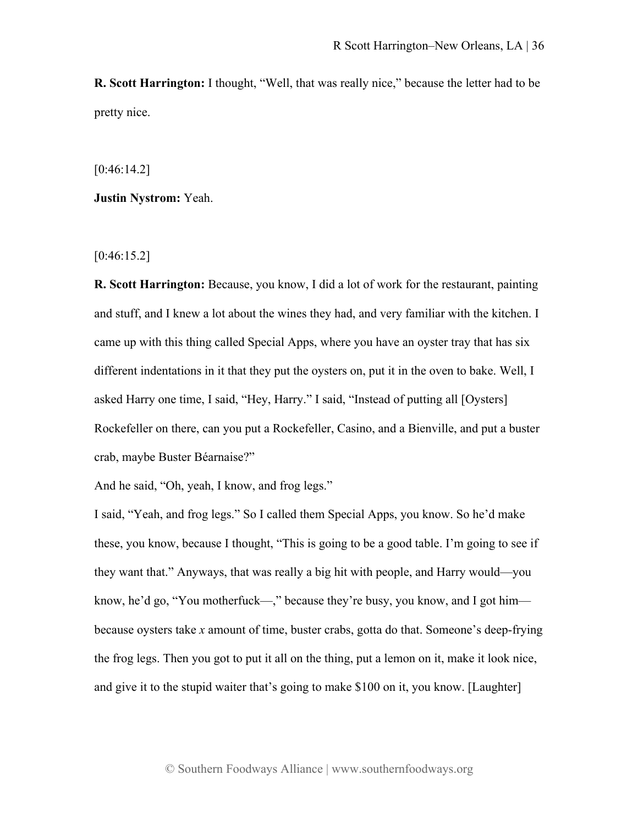**R. Scott Harrington:** I thought, "Well, that was really nice," because the letter had to be pretty nice.

[0:46:14.2]

**Justin Nystrom:** Yeah.

 $[0:46:15.2]$ 

**R. Scott Harrington:** Because, you know, I did a lot of work for the restaurant, painting and stuff, and I knew a lot about the wines they had, and very familiar with the kitchen. I came up with this thing called Special Apps, where you have an oyster tray that has six different indentations in it that they put the oysters on, put it in the oven to bake. Well, I asked Harry one time, I said, "Hey, Harry." I said, "Instead of putting all [Oysters] Rockefeller on there, can you put a Rockefeller, Casino, and a Bienville, and put a buster crab, maybe Buster Béarnaise?"

And he said, "Oh, yeah, I know, and frog legs."

I said, "Yeah, and frog legs." So I called them Special Apps, you know. So he'd make these, you know, because I thought, "This is going to be a good table. I'm going to see if they want that." Anyways, that was really a big hit with people, and Harry would—you know, he'd go, "You motherfuck—," because they're busy, you know, and I got him because oysters take *x* amount of time, buster crabs, gotta do that. Someone's deep-frying the frog legs. Then you got to put it all on the thing, put a lemon on it, make it look nice, and give it to the stupid waiter that's going to make \$100 on it, you know. [Laughter]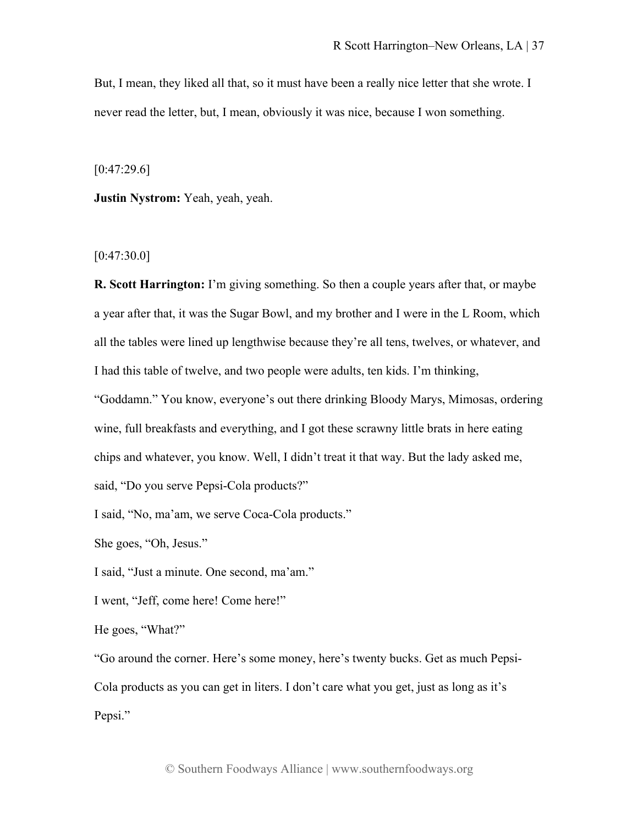But, I mean, they liked all that, so it must have been a really nice letter that she wrote. I never read the letter, but, I mean, obviously it was nice, because I won something.

 $[0:47:29.6]$ 

**Justin Nystrom:** Yeah, yeah, yeah.

[0:47:30.0]

**R. Scott Harrington:** I'm giving something. So then a couple years after that, or maybe a year after that, it was the Sugar Bowl, and my brother and I were in the L Room, which all the tables were lined up lengthwise because they're all tens, twelves, or whatever, and I had this table of twelve, and two people were adults, ten kids. I'm thinking,

"Goddamn." You know, everyone's out there drinking Bloody Marys, Mimosas, ordering wine, full breakfasts and everything, and I got these scrawny little brats in here eating chips and whatever, you know. Well, I didn't treat it that way. But the lady asked me, said, "Do you serve Pepsi-Cola products?"

I said, "No, ma'am, we serve Coca-Cola products."

She goes, "Oh, Jesus."

I said, "Just a minute. One second, ma'am."

I went, "Jeff, come here! Come here!"

He goes, "What?"

"Go around the corner. Here's some money, here's twenty bucks. Get as much Pepsi-Cola products as you can get in liters. I don't care what you get, just as long as it's Pepsi."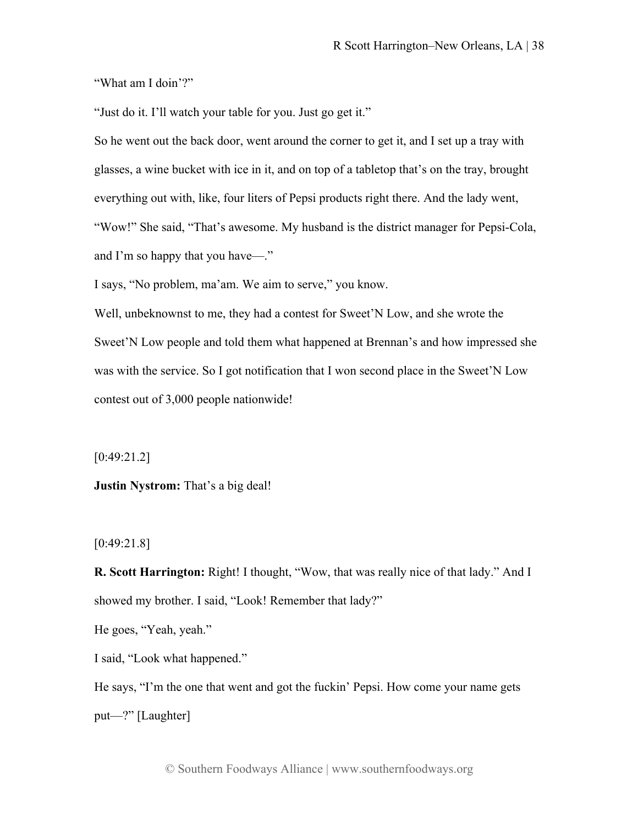"What am I doin'?"

"Just do it. I'll watch your table for you. Just go get it."

So he went out the back door, went around the corner to get it, and I set up a tray with glasses, a wine bucket with ice in it, and on top of a tabletop that's on the tray, brought everything out with, like, four liters of Pepsi products right there. And the lady went, "Wow!" She said, "That's awesome. My husband is the district manager for Pepsi-Cola, and I'm so happy that you have—."

I says, "No problem, ma'am. We aim to serve," you know.

Well, unbeknownst to me, they had a contest for Sweet'N Low, and she wrote the Sweet'N Low people and told them what happened at Brennan's and how impressed she was with the service. So I got notification that I won second place in the Sweet'N Low contest out of 3,000 people nationwide!

[0:49:21.2]

**Justin Nystrom:** That's a big deal!

[0:49:21.8]

**R. Scott Harrington:** Right! I thought, "Wow, that was really nice of that lady." And I showed my brother. I said, "Look! Remember that lady?"

He goes, "Yeah, yeah."

I said, "Look what happened."

He says, "I'm the one that went and got the fuckin' Pepsi. How come your name gets put—?" [Laughter]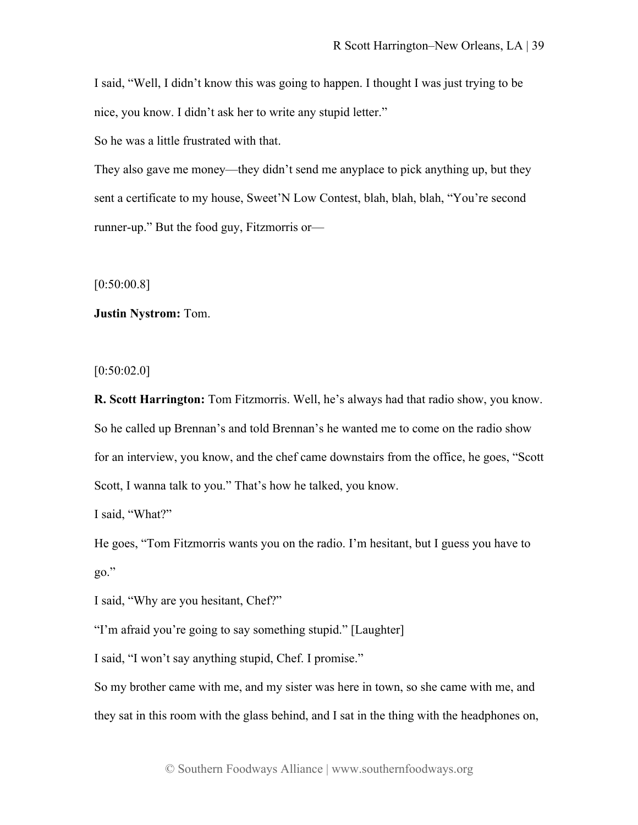I said, "Well, I didn't know this was going to happen. I thought I was just trying to be nice, you know. I didn't ask her to write any stupid letter."

So he was a little frustrated with that.

They also gave me money—they didn't send me anyplace to pick anything up, but they sent a certificate to my house, Sweet'N Low Contest, blah, blah, blah, "You're second runner-up." But the food guy, Fitzmorris or—

[0:50:00.8]

**Justin Nystrom:** Tom.

 $[0:50:02.0]$ 

**R. Scott Harrington:** Tom Fitzmorris. Well, he's always had that radio show, you know. So he called up Brennan's and told Brennan's he wanted me to come on the radio show for an interview, you know, and the chef came downstairs from the office, he goes, "Scott Scott, I wanna talk to you." That's how he talked, you know.

I said, "What?"

He goes, "Tom Fitzmorris wants you on the radio. I'm hesitant, but I guess you have to go."

I said, "Why are you hesitant, Chef?"

"I'm afraid you're going to say something stupid." [Laughter]

I said, "I won't say anything stupid, Chef. I promise."

So my brother came with me, and my sister was here in town, so she came with me, and they sat in this room with the glass behind, and I sat in the thing with the headphones on,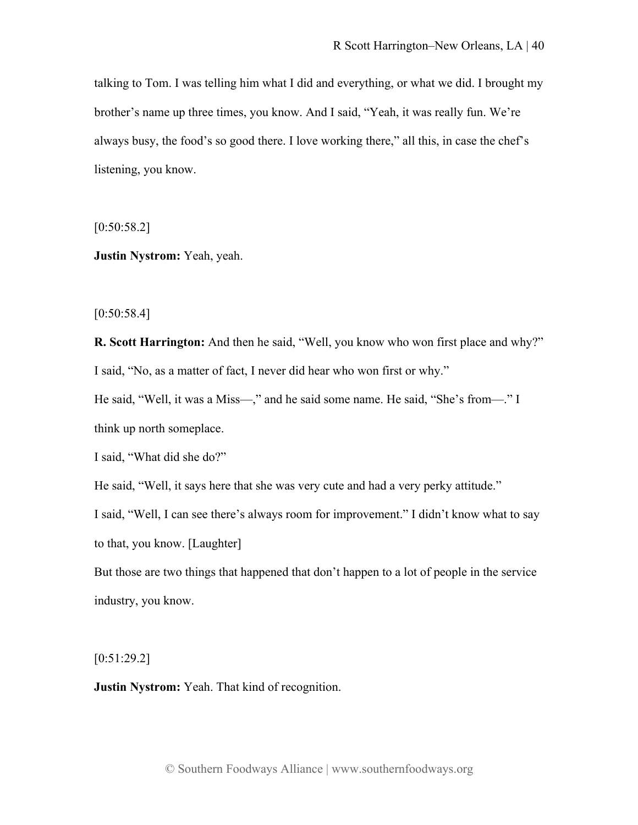talking to Tom. I was telling him what I did and everything, or what we did. I brought my brother's name up three times, you know. And I said, "Yeah, it was really fun. We're always busy, the food's so good there. I love working there," all this, in case the chef's listening, you know.

 $[0:50:58.2]$ 

**Justin Nystrom:** Yeah, yeah.

 $[0:50:58.4]$ 

**R. Scott Harrington:** And then he said, "Well, you know who won first place and why?" I said, "No, as a matter of fact, I never did hear who won first or why."

He said, "Well, it was a Miss—," and he said some name. He said, "She's from—." I think up north someplace.

I said, "What did she do?"

He said, "Well, it says here that she was very cute and had a very perky attitude."

I said, "Well, I can see there's always room for improvement." I didn't know what to say

to that, you know. [Laughter]

But those are two things that happened that don't happen to a lot of people in the service industry, you know.

 $[0:51:29.2]$ 

**Justin Nystrom:** Yeah. That kind of recognition.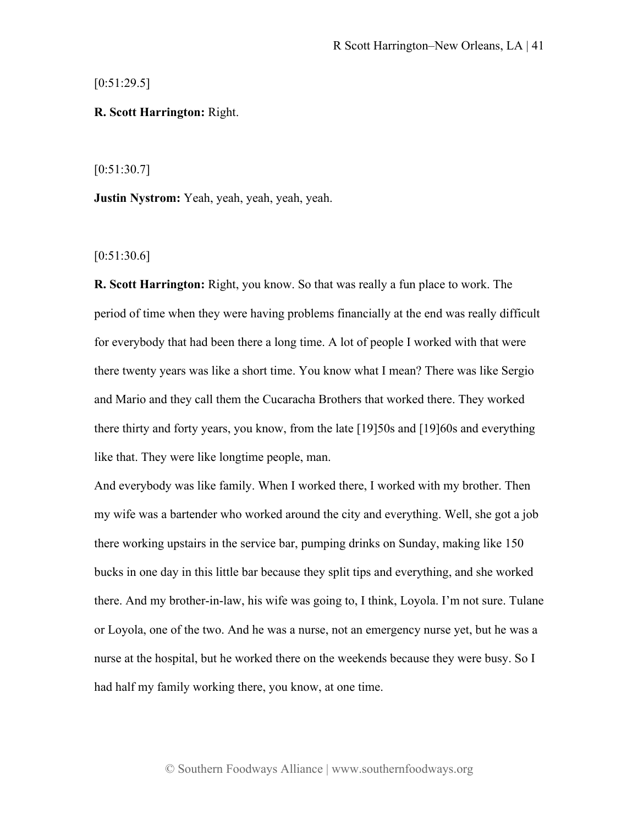$[0:51:29.5]$ 

### **R. Scott Harrington:** Right.

[0:51:30.7]

**Justin Nystrom:** Yeah, yeah, yeah, yeah, yeah.

[0:51:30.6]

**R. Scott Harrington:** Right, you know. So that was really a fun place to work. The period of time when they were having problems financially at the end was really difficult for everybody that had been there a long time. A lot of people I worked with that were there twenty years was like a short time. You know what I mean? There was like Sergio and Mario and they call them the Cucaracha Brothers that worked there. They worked there thirty and forty years, you know, from the late [19]50s and [19]60s and everything like that. They were like longtime people, man.

And everybody was like family. When I worked there, I worked with my brother. Then my wife was a bartender who worked around the city and everything. Well, she got a job there working upstairs in the service bar, pumping drinks on Sunday, making like 150 bucks in one day in this little bar because they split tips and everything, and she worked there. And my brother-in-law, his wife was going to, I think, Loyola. I'm not sure. Tulane or Loyola, one of the two. And he was a nurse, not an emergency nurse yet, but he was a nurse at the hospital, but he worked there on the weekends because they were busy. So I had half my family working there, you know, at one time.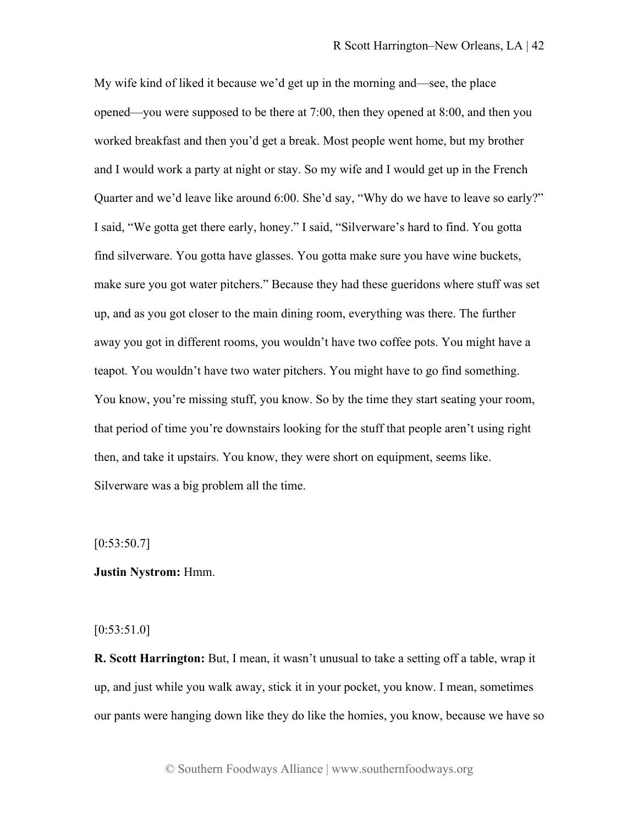My wife kind of liked it because we'd get up in the morning and—see, the place opened—you were supposed to be there at 7:00, then they opened at 8:00, and then you worked breakfast and then you'd get a break. Most people went home, but my brother and I would work a party at night or stay. So my wife and I would get up in the French Quarter and we'd leave like around 6:00. She'd say, "Why do we have to leave so early?" I said, "We gotta get there early, honey." I said, "Silverware's hard to find. You gotta find silverware. You gotta have glasses. You gotta make sure you have wine buckets, make sure you got water pitchers." Because they had these gueridons where stuff was set up, and as you got closer to the main dining room, everything was there. The further away you got in different rooms, you wouldn't have two coffee pots. You might have a teapot. You wouldn't have two water pitchers. You might have to go find something. You know, you're missing stuff, you know. So by the time they start seating your room, that period of time you're downstairs looking for the stuff that people aren't using right then, and take it upstairs. You know, they were short on equipment, seems like. Silverware was a big problem all the time.

# $[0:53:50.7]$

#### **Justin Nystrom:** Hmm.

### $[0:53:51.0]$

**R. Scott Harrington:** But, I mean, it wasn't unusual to take a setting off a table, wrap it up, and just while you walk away, stick it in your pocket, you know. I mean, sometimes our pants were hanging down like they do like the homies, you know, because we have so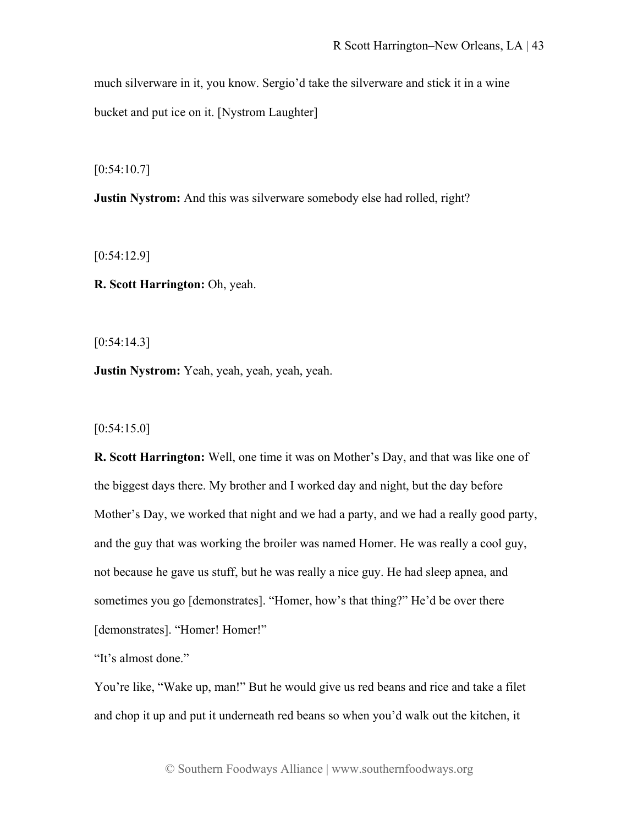much silverware in it, you know. Sergio'd take the silverware and stick it in a wine bucket and put ice on it. [Nystrom Laughter]

 $[0:54:10.7]$ 

**Justin Nystrom:** And this was silverware somebody else had rolled, right?

 $[0:54:12.9]$ 

**R. Scott Harrington:** Oh, yeah.

 $[0:54:14.3]$ 

**Justin Nystrom:** Yeah, yeah, yeah, yeah, yeah.

 $[0:54:15.0]$ 

**R. Scott Harrington:** Well, one time it was on Mother's Day, and that was like one of the biggest days there. My brother and I worked day and night, but the day before Mother's Day, we worked that night and we had a party, and we had a really good party, and the guy that was working the broiler was named Homer. He was really a cool guy, not because he gave us stuff, but he was really a nice guy. He had sleep apnea, and sometimes you go [demonstrates]. "Homer, how's that thing?" He'd be over there [demonstrates]. "Homer! Homer!"

"It's almost done."

You're like, "Wake up, man!" But he would give us red beans and rice and take a filet and chop it up and put it underneath red beans so when you'd walk out the kitchen, it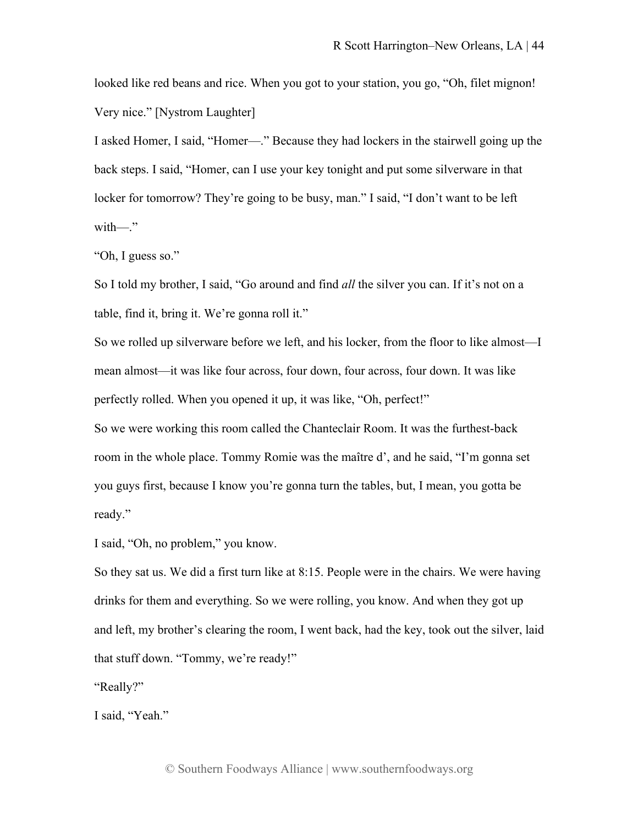looked like red beans and rice. When you got to your station, you go, "Oh, filet mignon! Very nice." [Nystrom Laughter]

I asked Homer, I said, "Homer—." Because they had lockers in the stairwell going up the back steps. I said, "Homer, can I use your key tonight and put some silverware in that locker for tomorrow? They're going to be busy, man." I said, "I don't want to be left with—."

"Oh, I guess so."

So I told my brother, I said, "Go around and find *all* the silver you can. If it's not on a table, find it, bring it. We're gonna roll it."

So we rolled up silverware before we left, and his locker, from the floor to like almost—I mean almost—it was like four across, four down, four across, four down. It was like perfectly rolled. When you opened it up, it was like, "Oh, perfect!" So we were working this room called the Chanteclair Room. It was the furthest-back room in the whole place. Tommy Romie was the maître d', and he said, "I'm gonna set you guys first, because I know you're gonna turn the tables, but, I mean, you gotta be

ready."

I said, "Oh, no problem," you know.

So they sat us. We did a first turn like at 8:15. People were in the chairs. We were having drinks for them and everything. So we were rolling, you know. And when they got up and left, my brother's clearing the room, I went back, had the key, took out the silver, laid that stuff down. "Tommy, we're ready!"

"Really?"

I said, "Yeah."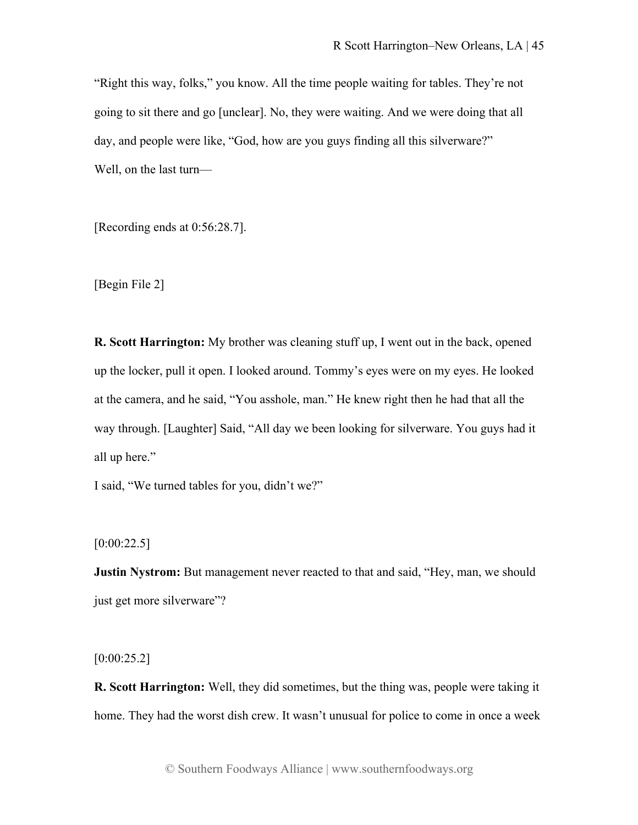"Right this way, folks," you know. All the time people waiting for tables. They're not going to sit there and go [unclear]. No, they were waiting. And we were doing that all day, and people were like, "God, how are you guys finding all this silverware?" Well, on the last turn—

[Recording ends at 0:56:28.7].

[Begin File 2]

**R. Scott Harrington:** My brother was cleaning stuff up, I went out in the back, opened up the locker, pull it open. I looked around. Tommy's eyes were on my eyes. He looked at the camera, and he said, "You asshole, man." He knew right then he had that all the way through. [Laughter] Said, "All day we been looking for silverware. You guys had it all up here."

I said, "We turned tables for you, didn't we?"

 $[0:00:22.5]$ 

**Justin Nystrom:** But management never reacted to that and said, "Hey, man, we should just get more silverware"?

 $[0:00:25.2]$ 

**R. Scott Harrington:** Well, they did sometimes, but the thing was, people were taking it home. They had the worst dish crew. It wasn't unusual for police to come in once a week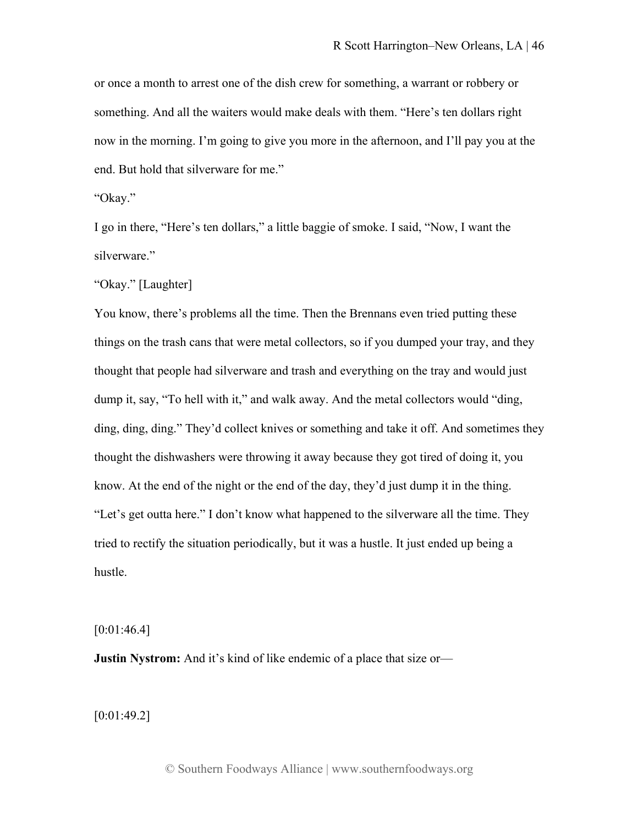or once a month to arrest one of the dish crew for something, a warrant or robbery or something. And all the waiters would make deals with them. "Here's ten dollars right now in the morning. I'm going to give you more in the afternoon, and I'll pay you at the end. But hold that silverware for me."

"Okay."

I go in there, "Here's ten dollars," a little baggie of smoke. I said, "Now, I want the silverware."

"Okay." [Laughter]

You know, there's problems all the time. Then the Brennans even tried putting these things on the trash cans that were metal collectors, so if you dumped your tray, and they thought that people had silverware and trash and everything on the tray and would just dump it, say, "To hell with it," and walk away. And the metal collectors would "ding, ding, ding, ding." They'd collect knives or something and take it off. And sometimes they thought the dishwashers were throwing it away because they got tired of doing it, you know. At the end of the night or the end of the day, they'd just dump it in the thing. "Let's get outta here." I don't know what happened to the silverware all the time. They tried to rectify the situation periodically, but it was a hustle. It just ended up being a hustle.

 $[0:01:46.4]$ 

**Justin Nystrom:** And it's kind of like endemic of a place that size or—

[0:01:49.2]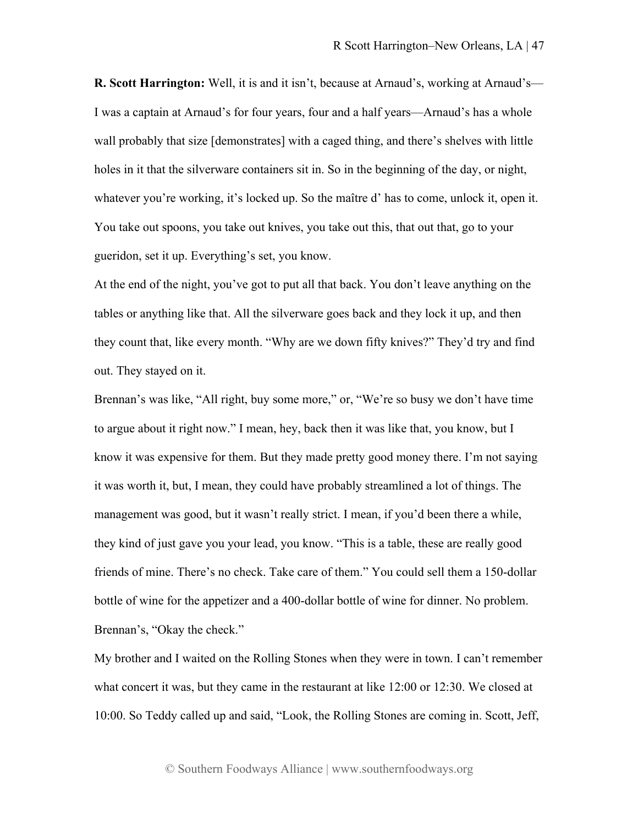**R. Scott Harrington:** Well, it is and it isn't, because at Arnaud's, working at Arnaud's— I was a captain at Arnaud's for four years, four and a half years—Arnaud's has a whole wall probably that size [demonstrates] with a caged thing, and there's shelves with little holes in it that the silverware containers sit in. So in the beginning of the day, or night, whatever you're working, it's locked up. So the maître d' has to come, unlock it, open it. You take out spoons, you take out knives, you take out this, that out that, go to your gueridon, set it up. Everything's set, you know.

At the end of the night, you've got to put all that back. You don't leave anything on the tables or anything like that. All the silverware goes back and they lock it up, and then they count that, like every month. "Why are we down fifty knives?" They'd try and find out. They stayed on it.

Brennan's was like, "All right, buy some more," or, "We're so busy we don't have time to argue about it right now." I mean, hey, back then it was like that, you know, but I know it was expensive for them. But they made pretty good money there. I'm not saying it was worth it, but, I mean, they could have probably streamlined a lot of things. The management was good, but it wasn't really strict. I mean, if you'd been there a while, they kind of just gave you your lead, you know. "This is a table, these are really good friends of mine. There's no check. Take care of them." You could sell them a 150-dollar bottle of wine for the appetizer and a 400-dollar bottle of wine for dinner. No problem. Brennan's, "Okay the check."

My brother and I waited on the Rolling Stones when they were in town. I can't remember what concert it was, but they came in the restaurant at like 12:00 or 12:30. We closed at 10:00. So Teddy called up and said, "Look, the Rolling Stones are coming in. Scott, Jeff,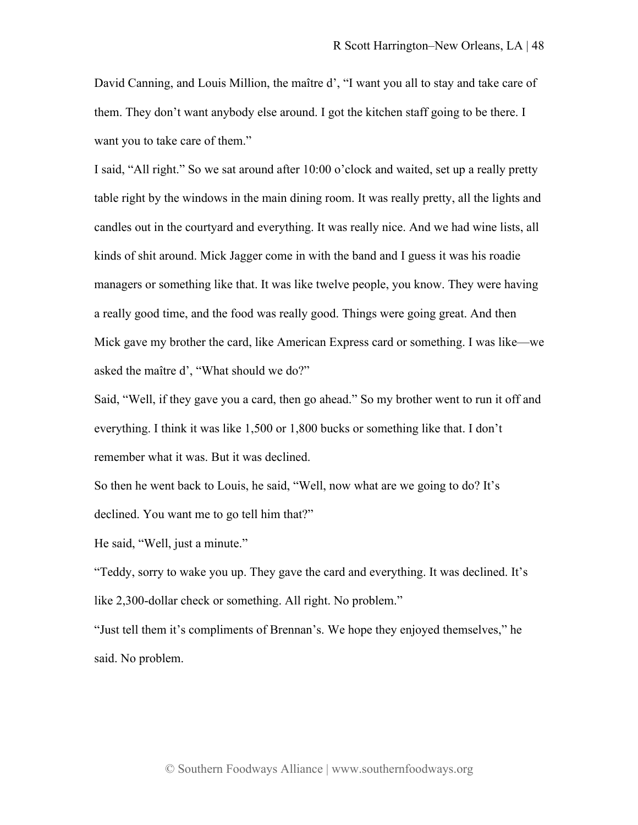David Canning, and Louis Million, the maître d', "I want you all to stay and take care of them. They don't want anybody else around. I got the kitchen staff going to be there. I want you to take care of them."

I said, "All right." So we sat around after 10:00 o'clock and waited, set up a really pretty table right by the windows in the main dining room. It was really pretty, all the lights and candles out in the courtyard and everything. It was really nice. And we had wine lists, all kinds of shit around. Mick Jagger come in with the band and I guess it was his roadie managers or something like that. It was like twelve people, you know. They were having a really good time, and the food was really good. Things were going great. And then Mick gave my brother the card, like American Express card or something. I was like—we asked the maître d', "What should we do?"

Said, "Well, if they gave you a card, then go ahead." So my brother went to run it off and everything. I think it was like 1,500 or 1,800 bucks or something like that. I don't remember what it was. But it was declined.

So then he went back to Louis, he said, "Well, now what are we going to do? It's declined. You want me to go tell him that?"

He said, "Well, just a minute."

"Teddy, sorry to wake you up. They gave the card and everything. It was declined. It's like 2,300-dollar check or something. All right. No problem."

"Just tell them it's compliments of Brennan's. We hope they enjoyed themselves," he said. No problem.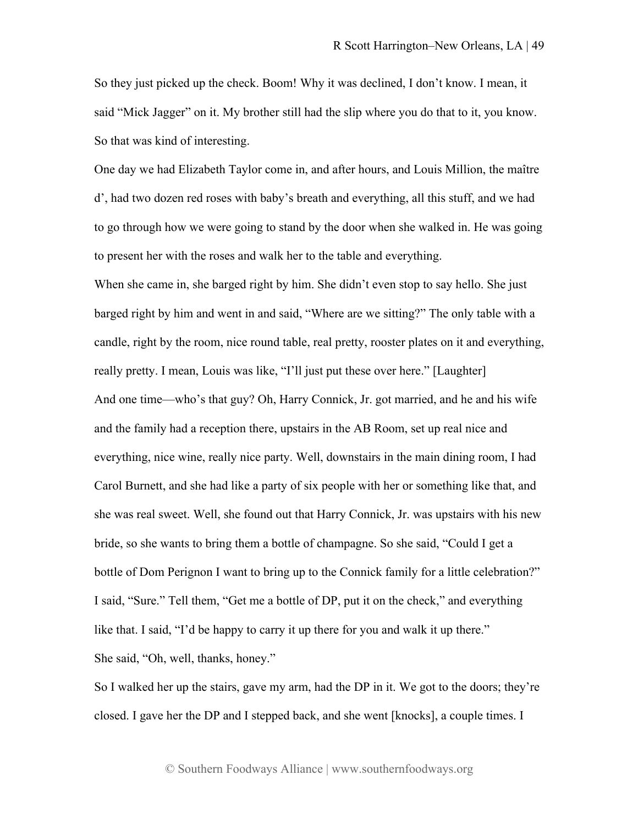So they just picked up the check. Boom! Why it was declined, I don't know. I mean, it said "Mick Jagger" on it. My brother still had the slip where you do that to it, you know. So that was kind of interesting.

One day we had Elizabeth Taylor come in, and after hours, and Louis Million, the maître d', had two dozen red roses with baby's breath and everything, all this stuff, and we had to go through how we were going to stand by the door when she walked in. He was going to present her with the roses and walk her to the table and everything.

When she came in, she barged right by him. She didn't even stop to say hello. She just barged right by him and went in and said, "Where are we sitting?" The only table with a candle, right by the room, nice round table, real pretty, rooster plates on it and everything, really pretty. I mean, Louis was like, "I'll just put these over here." [Laughter] And one time—who's that guy? Oh, Harry Connick, Jr. got married, and he and his wife and the family had a reception there, upstairs in the AB Room, set up real nice and everything, nice wine, really nice party. Well, downstairs in the main dining room, I had Carol Burnett, and she had like a party of six people with her or something like that, and she was real sweet. Well, she found out that Harry Connick, Jr. was upstairs with his new bride, so she wants to bring them a bottle of champagne. So she said, "Could I get a bottle of Dom Perignon I want to bring up to the Connick family for a little celebration?" I said, "Sure." Tell them, "Get me a bottle of DP, put it on the check," and everything like that. I said, "I'd be happy to carry it up there for you and walk it up there." She said, "Oh, well, thanks, honey."

So I walked her up the stairs, gave my arm, had the DP in it. We got to the doors; they're closed. I gave her the DP and I stepped back, and she went [knocks], a couple times. I

© Southern Foodways Alliance | www.southernfoodways.org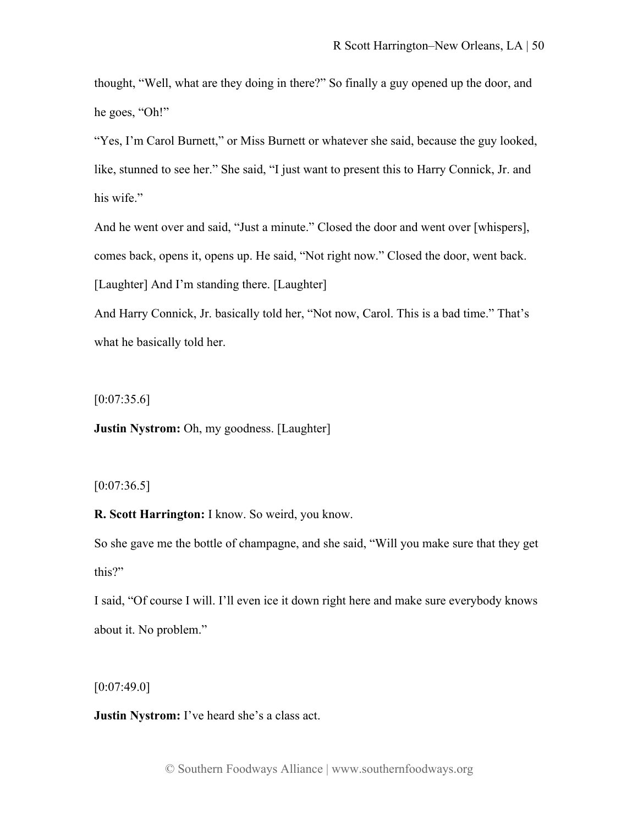thought, "Well, what are they doing in there?" So finally a guy opened up the door, and he goes, "Oh!"

"Yes, I'm Carol Burnett," or Miss Burnett or whatever she said, because the guy looked, like, stunned to see her." She said, "I just want to present this to Harry Connick, Jr. and his wife."

And he went over and said, "Just a minute." Closed the door and went over [whispers], comes back, opens it, opens up. He said, "Not right now." Closed the door, went back. [Laughter] And I'm standing there. [Laughter]

And Harry Connick, Jr. basically told her, "Not now, Carol. This is a bad time." That's what he basically told her.

 $[0:07:35.6]$ 

**Justin Nystrom:** Oh, my goodness. [Laughter]

 $[0:07:36.5]$ 

**R. Scott Harrington:** I know. So weird, you know.

So she gave me the bottle of champagne, and she said, "Will you make sure that they get this?"

I said, "Of course I will. I'll even ice it down right here and make sure everybody knows about it. No problem."

 $[0:07:49.0]$ 

**Justin Nystrom:** I've heard she's a class act.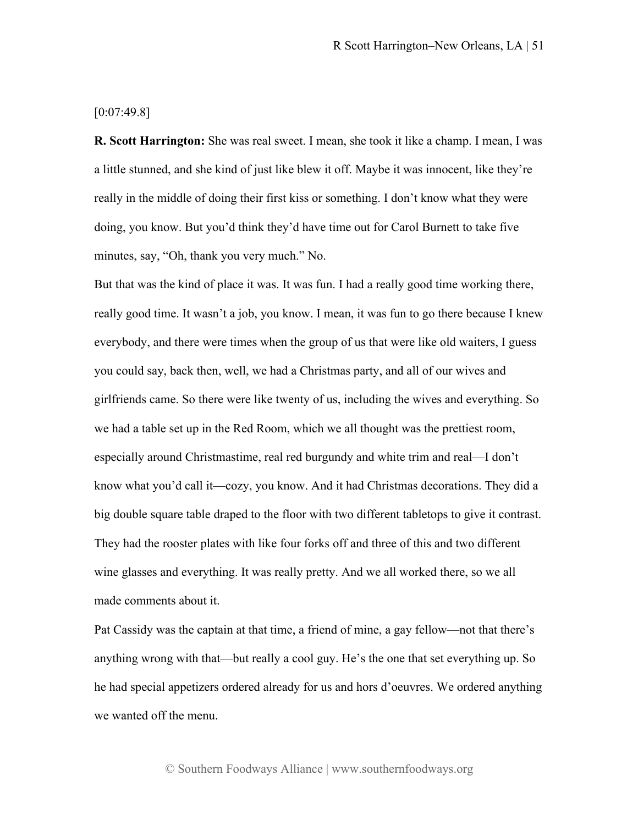[0:07:49.8]

**R. Scott Harrington:** She was real sweet. I mean, she took it like a champ. I mean, I was a little stunned, and she kind of just like blew it off. Maybe it was innocent, like they're really in the middle of doing their first kiss or something. I don't know what they were doing, you know. But you'd think they'd have time out for Carol Burnett to take five minutes, say, "Oh, thank you very much." No.

But that was the kind of place it was. It was fun. I had a really good time working there, really good time. It wasn't a job, you know. I mean, it was fun to go there because I knew everybody, and there were times when the group of us that were like old waiters, I guess you could say, back then, well, we had a Christmas party, and all of our wives and girlfriends came. So there were like twenty of us, including the wives and everything. So we had a table set up in the Red Room, which we all thought was the prettiest room, especially around Christmastime, real red burgundy and white trim and real—I don't know what you'd call it—cozy, you know. And it had Christmas decorations. They did a big double square table draped to the floor with two different tabletops to give it contrast. They had the rooster plates with like four forks off and three of this and two different wine glasses and everything. It was really pretty. And we all worked there, so we all made comments about it.

Pat Cassidy was the captain at that time, a friend of mine, a gay fellow—not that there's anything wrong with that—but really a cool guy. He's the one that set everything up. So he had special appetizers ordered already for us and hors d'oeuvres. We ordered anything we wanted off the menu.

© Southern Foodways Alliance | www.southernfoodways.org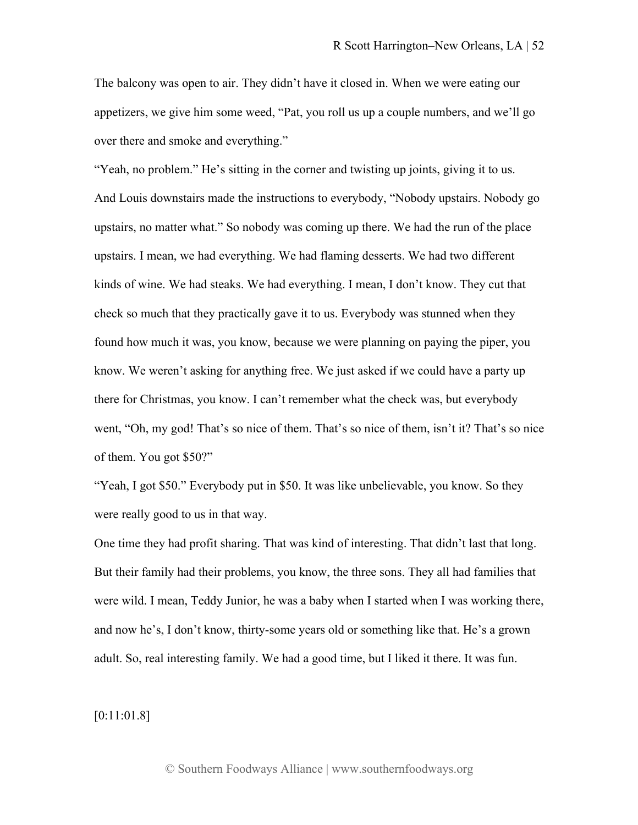The balcony was open to air. They didn't have it closed in. When we were eating our appetizers, we give him some weed, "Pat, you roll us up a couple numbers, and we'll go over there and smoke and everything."

"Yeah, no problem." He's sitting in the corner and twisting up joints, giving it to us. And Louis downstairs made the instructions to everybody, "Nobody upstairs. Nobody go upstairs, no matter what." So nobody was coming up there. We had the run of the place upstairs. I mean, we had everything. We had flaming desserts. We had two different kinds of wine. We had steaks. We had everything. I mean, I don't know. They cut that check so much that they practically gave it to us. Everybody was stunned when they found how much it was, you know, because we were planning on paying the piper, you know. We weren't asking for anything free. We just asked if we could have a party up there for Christmas, you know. I can't remember what the check was, but everybody went, "Oh, my god! That's so nice of them. That's so nice of them, isn't it? That's so nice of them. You got \$50?"

"Yeah, I got \$50." Everybody put in \$50. It was like unbelievable, you know. So they were really good to us in that way.

One time they had profit sharing. That was kind of interesting. That didn't last that long. But their family had their problems, you know, the three sons. They all had families that were wild. I mean, Teddy Junior, he was a baby when I started when I was working there, and now he's, I don't know, thirty-some years old or something like that. He's a grown adult. So, real interesting family. We had a good time, but I liked it there. It was fun.

[0:11:01.8]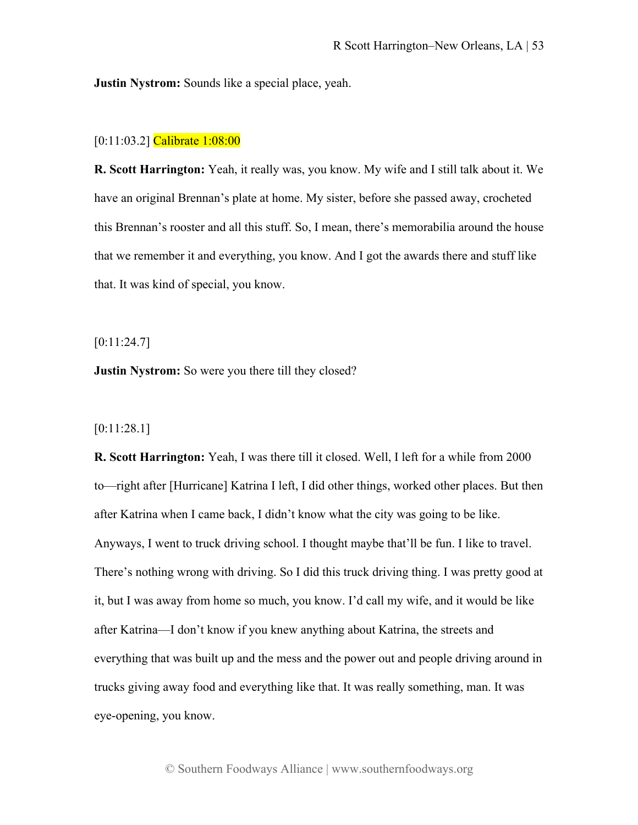**Justin Nystrom:** Sounds like a special place, yeah.

## [0:11:03.2] Calibrate 1:08:00

**R. Scott Harrington:** Yeah, it really was, you know. My wife and I still talk about it. We have an original Brennan's plate at home. My sister, before she passed away, crocheted this Brennan's rooster and all this stuff. So, I mean, there's memorabilia around the house that we remember it and everything, you know. And I got the awards there and stuff like that. It was kind of special, you know.

[0:11:24.7]

**Justin Nystrom:** So were you there till they closed?

[0:11:28.1]

**R. Scott Harrington:** Yeah, I was there till it closed. Well, I left for a while from 2000 to—right after [Hurricane] Katrina I left, I did other things, worked other places. But then after Katrina when I came back, I didn't know what the city was going to be like. Anyways, I went to truck driving school. I thought maybe that'll be fun. I like to travel. There's nothing wrong with driving. So I did this truck driving thing. I was pretty good at it, but I was away from home so much, you know. I'd call my wife, and it would be like after Katrina—I don't know if you knew anything about Katrina, the streets and everything that was built up and the mess and the power out and people driving around in trucks giving away food and everything like that. It was really something, man. It was eye-opening, you know.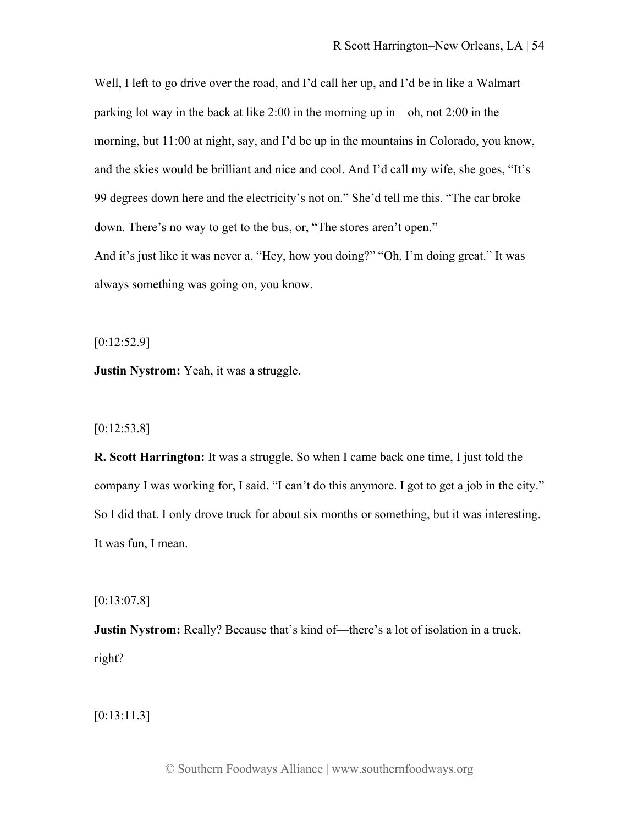Well, I left to go drive over the road, and I'd call her up, and I'd be in like a Walmart parking lot way in the back at like 2:00 in the morning up in—oh, not 2:00 in the morning, but 11:00 at night, say, and I'd be up in the mountains in Colorado, you know, and the skies would be brilliant and nice and cool. And I'd call my wife, she goes, "It's 99 degrees down here and the electricity's not on." She'd tell me this. "The car broke down. There's no way to get to the bus, or, "The stores aren't open." And it's just like it was never a, "Hey, how you doing?" "Oh, I'm doing great." It was always something was going on, you know.

[0:12:52.9]

**Justin Nystrom:** Yeah, it was a struggle.

[0:12:53.8]

**R. Scott Harrington:** It was a struggle. So when I came back one time, I just told the company I was working for, I said, "I can't do this anymore. I got to get a job in the city." So I did that. I only drove truck for about six months or something, but it was interesting. It was fun, I mean.

[0:13:07.8]

**Justin Nystrom:** Really? Because that's kind of—there's a lot of isolation in a truck, right?

[0:13:11.3]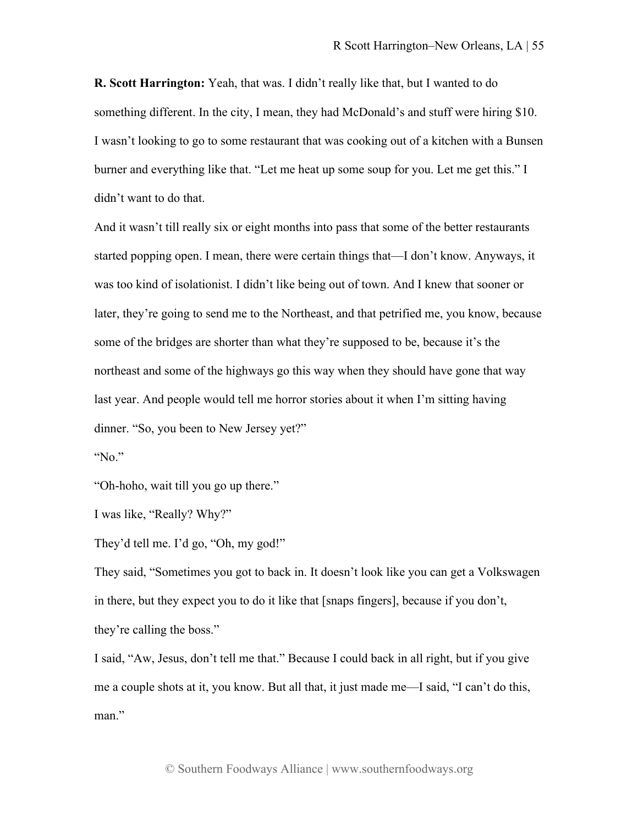**R. Scott Harrington:** Yeah, that was. I didn't really like that, but I wanted to do something different. In the city, I mean, they had McDonald's and stuff were hiring \$10. I wasn't looking to go to some restaurant that was cooking out of a kitchen with a Bunsen burner and everything like that. "Let me heat up some soup for you. Let me get this." I didn't want to do that.

And it wasn't till really six or eight months into pass that some of the better restaurants started popping open. I mean, there were certain things that—I don't know. Anyways, it was too kind of isolationist. I didn't like being out of town. And I knew that sooner or later, they're going to send me to the Northeast, and that petrified me, you know, because some of the bridges are shorter than what they're supposed to be, because it's the northeast and some of the highways go this way when they should have gone that way last year. And people would tell me horror stories about it when I'm sitting having dinner. "So, you been to New Jersey yet?"

"No."

"Oh-hoho, wait till you go up there."

I was like, "Really? Why?"

They'd tell me. I'd go, "Oh, my god!"

They said, "Sometimes you got to back in. It doesn't look like you can get a Volkswagen in there, but they expect you to do it like that [snaps fingers], because if you don't, they're calling the boss."

I said, "Aw, Jesus, don't tell me that." Because I could back in all right, but if you give me a couple shots at it, you know. But all that, it just made me—I said, "I can't do this, man."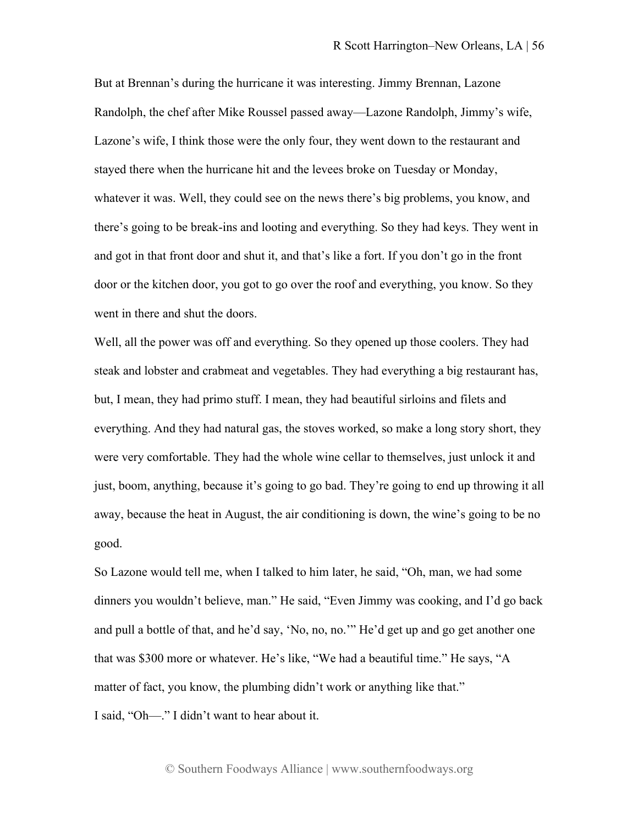But at Brennan's during the hurricane it was interesting. Jimmy Brennan, Lazone Randolph, the chef after Mike Roussel passed away—Lazone Randolph, Jimmy's wife, Lazone's wife, I think those were the only four, they went down to the restaurant and stayed there when the hurricane hit and the levees broke on Tuesday or Monday, whatever it was. Well, they could see on the news there's big problems, you know, and there's going to be break-ins and looting and everything. So they had keys. They went in and got in that front door and shut it, and that's like a fort. If you don't go in the front door or the kitchen door, you got to go over the roof and everything, you know. So they went in there and shut the doors.

Well, all the power was off and everything. So they opened up those coolers. They had steak and lobster and crabmeat and vegetables. They had everything a big restaurant has, but, I mean, they had primo stuff. I mean, they had beautiful sirloins and filets and everything. And they had natural gas, the stoves worked, so make a long story short, they were very comfortable. They had the whole wine cellar to themselves, just unlock it and just, boom, anything, because it's going to go bad. They're going to end up throwing it all away, because the heat in August, the air conditioning is down, the wine's going to be no good.

So Lazone would tell me, when I talked to him later, he said, "Oh, man, we had some dinners you wouldn't believe, man." He said, "Even Jimmy was cooking, and I'd go back and pull a bottle of that, and he'd say, 'No, no, no.'" He'd get up and go get another one that was \$300 more or whatever. He's like, "We had a beautiful time." He says, "A matter of fact, you know, the plumbing didn't work or anything like that." I said, "Oh—." I didn't want to hear about it.

© Southern Foodways Alliance | www.southernfoodways.org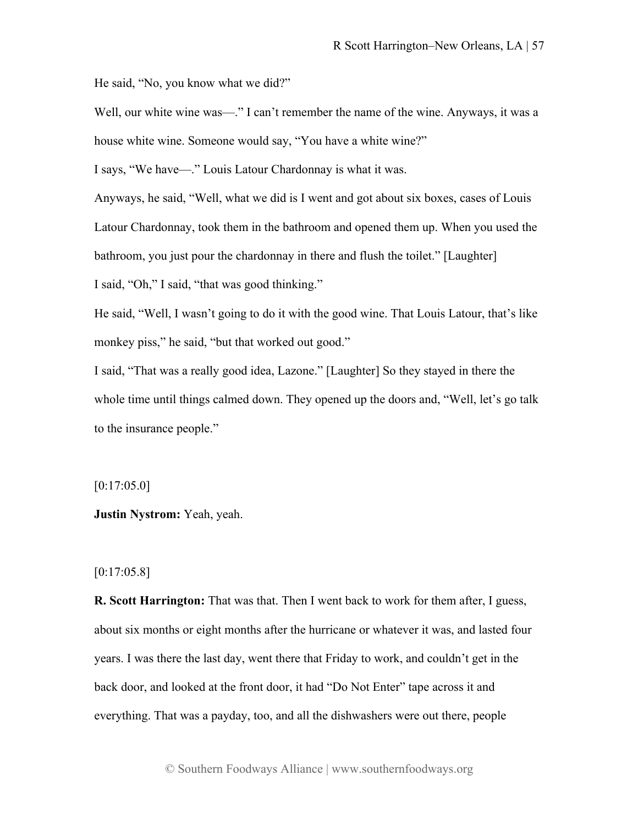He said, "No, you know what we did?"

Well, our white wine was—." I can't remember the name of the wine. Anyways, it was a house white wine. Someone would say, "You have a white wine?"

I says, "We have—." Louis Latour Chardonnay is what it was.

Anyways, he said, "Well, what we did is I went and got about six boxes, cases of Louis

Latour Chardonnay, took them in the bathroom and opened them up. When you used the

bathroom, you just pour the chardonnay in there and flush the toilet." [Laughter]

I said, "Oh," I said, "that was good thinking."

He said, "Well, I wasn't going to do it with the good wine. That Louis Latour, that's like monkey piss," he said, "but that worked out good."

I said, "That was a really good idea, Lazone." [Laughter] So they stayed in there the whole time until things calmed down. They opened up the doors and, "Well, let's go talk to the insurance people."

 $[0:17:05.0]$ 

**Justin Nystrom:** Yeah, yeah.

#### $[0:17:05.8]$

**R. Scott Harrington:** That was that. Then I went back to work for them after, I guess, about six months or eight months after the hurricane or whatever it was, and lasted four years. I was there the last day, went there that Friday to work, and couldn't get in the back door, and looked at the front door, it had "Do Not Enter" tape across it and everything. That was a payday, too, and all the dishwashers were out there, people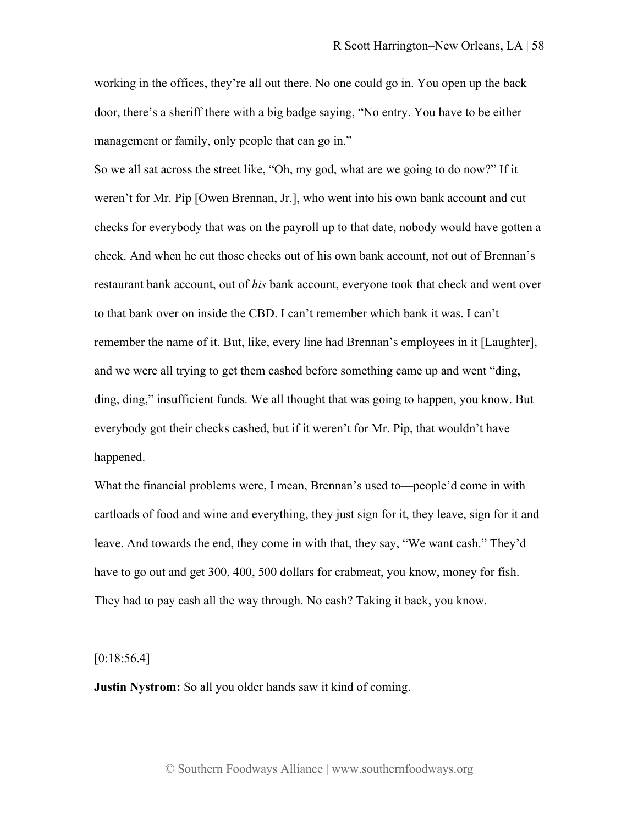working in the offices, they're all out there. No one could go in. You open up the back door, there's a sheriff there with a big badge saying, "No entry. You have to be either management or family, only people that can go in."

So we all sat across the street like, "Oh, my god, what are we going to do now?" If it weren't for Mr. Pip [Owen Brennan, Jr.], who went into his own bank account and cut checks for everybody that was on the payroll up to that date, nobody would have gotten a check. And when he cut those checks out of his own bank account, not out of Brennan's restaurant bank account, out of *his* bank account, everyone took that check and went over to that bank over on inside the CBD. I can't remember which bank it was. I can't remember the name of it. But, like, every line had Brennan's employees in it [Laughter], and we were all trying to get them cashed before something came up and went "ding, ding, ding," insufficient funds. We all thought that was going to happen, you know. But everybody got their checks cashed, but if it weren't for Mr. Pip, that wouldn't have happened.

What the financial problems were, I mean, Brennan's used to—people'd come in with cartloads of food and wine and everything, they just sign for it, they leave, sign for it and leave. And towards the end, they come in with that, they say, "We want cash." They'd have to go out and get 300, 400, 500 dollars for crabmeat, you know, money for fish. They had to pay cash all the way through. No cash? Taking it back, you know.

 $[0:18:56.4]$ 

**Justin Nystrom:** So all you older hands saw it kind of coming.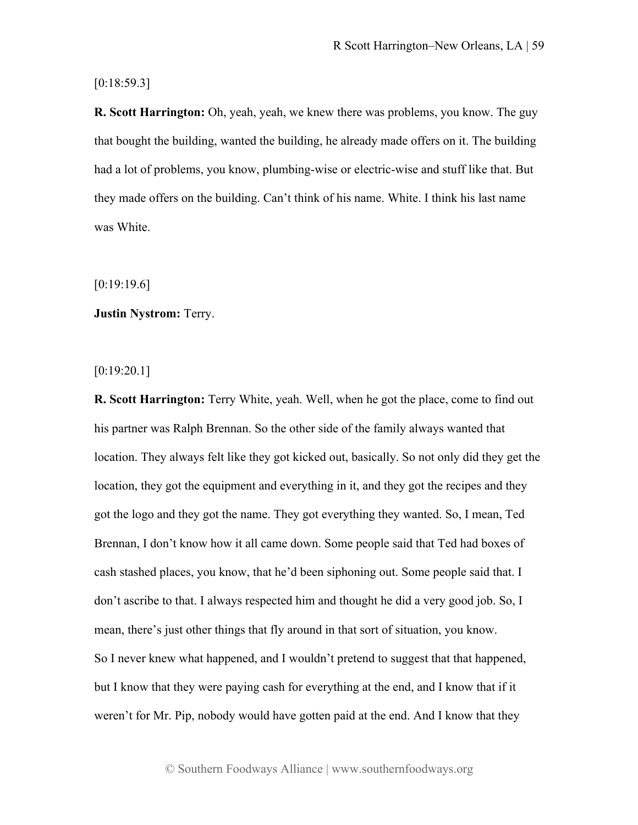[0:18:59.3]

**R. Scott Harrington:** Oh, yeah, yeah, we knew there was problems, you know. The guy that bought the building, wanted the building, he already made offers on it. The building had a lot of problems, you know, plumbing-wise or electric-wise and stuff like that. But they made offers on the building. Can't think of his name. White. I think his last name was White.

[0:19:19.6]

### **Justin Nystrom:** Terry.

[0:19:20.1]

**R. Scott Harrington:** Terry White, yeah. Well, when he got the place, come to find out his partner was Ralph Brennan. So the other side of the family always wanted that location. They always felt like they got kicked out, basically. So not only did they get the location, they got the equipment and everything in it, and they got the recipes and they got the logo and they got the name. They got everything they wanted. So, I mean, Ted Brennan, I don't know how it all came down. Some people said that Ted had boxes of cash stashed places, you know, that he'd been siphoning out. Some people said that. I don't ascribe to that. I always respected him and thought he did a very good job. So, I mean, there's just other things that fly around in that sort of situation, you know. So I never knew what happened, and I wouldn't pretend to suggest that that happened, but I know that they were paying cash for everything at the end, and I know that if it weren't for Mr. Pip, nobody would have gotten paid at the end. And I know that they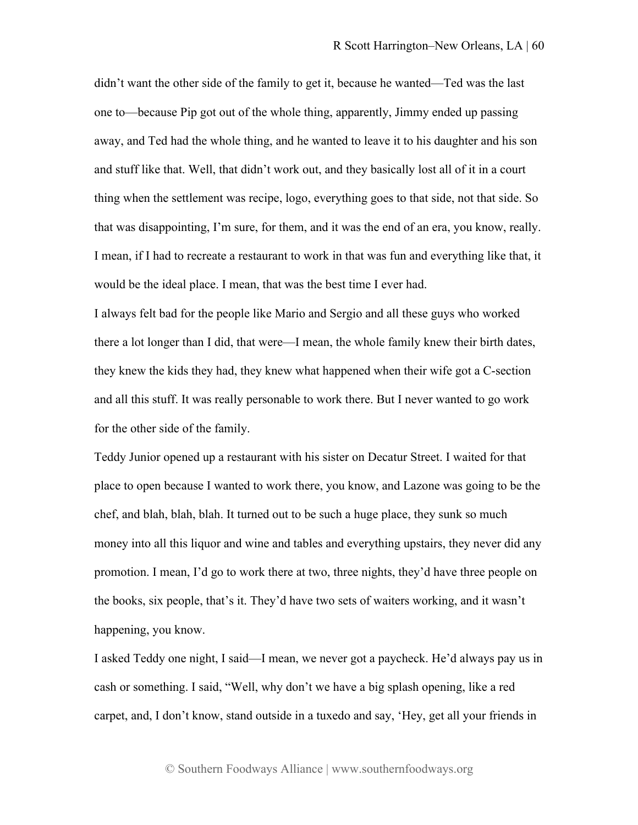didn't want the other side of the family to get it, because he wanted—Ted was the last one to—because Pip got out of the whole thing, apparently, Jimmy ended up passing away, and Ted had the whole thing, and he wanted to leave it to his daughter and his son and stuff like that. Well, that didn't work out, and they basically lost all of it in a court thing when the settlement was recipe, logo, everything goes to that side, not that side. So that was disappointing, I'm sure, for them, and it was the end of an era, you know, really. I mean, if I had to recreate a restaurant to work in that was fun and everything like that, it would be the ideal place. I mean, that was the best time I ever had.

I always felt bad for the people like Mario and Sergio and all these guys who worked there a lot longer than I did, that were—I mean, the whole family knew their birth dates, they knew the kids they had, they knew what happened when their wife got a C-section and all this stuff. It was really personable to work there. But I never wanted to go work for the other side of the family.

Teddy Junior opened up a restaurant with his sister on Decatur Street. I waited for that place to open because I wanted to work there, you know, and Lazone was going to be the chef, and blah, blah, blah. It turned out to be such a huge place, they sunk so much money into all this liquor and wine and tables and everything upstairs, they never did any promotion. I mean, I'd go to work there at two, three nights, they'd have three people on the books, six people, that's it. They'd have two sets of waiters working, and it wasn't happening, you know.

I asked Teddy one night, I said—I mean, we never got a paycheck. He'd always pay us in cash or something. I said, "Well, why don't we have a big splash opening, like a red carpet, and, I don't know, stand outside in a tuxedo and say, 'Hey, get all your friends in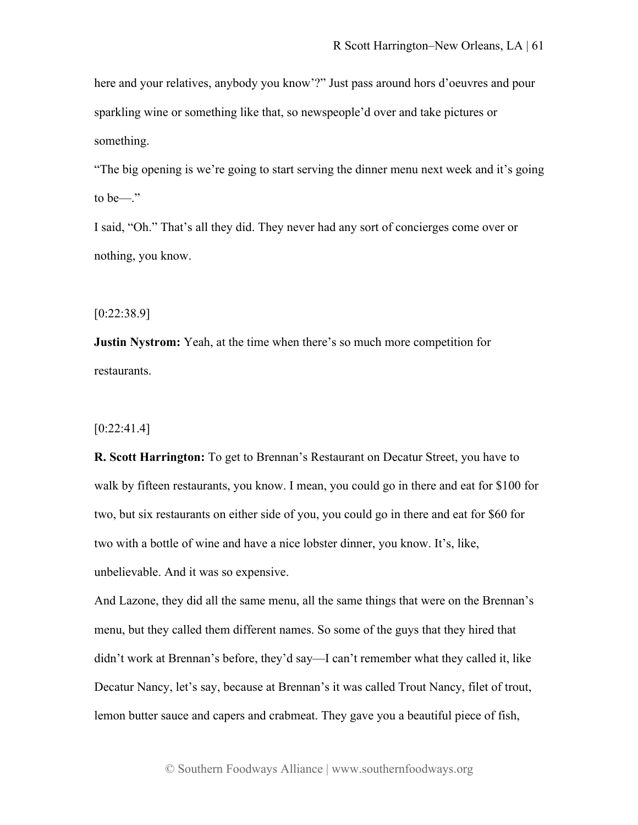here and your relatives, anybody you know'?" Just pass around hors d'oeuvres and pour sparkling wine or something like that, so newspeople'd over and take pictures or something.

"The big opening is we're going to start serving the dinner menu next week and it's going to be—."

I said, "Oh." That's all they did. They never had any sort of concierges come over or nothing, you know.

[0:22:38.9]

**Justin Nystrom:** Yeah, at the time when there's so much more competition for restaurants.

[0:22:41.4]

**R. Scott Harrington:** To get to Brennan's Restaurant on Decatur Street, you have to walk by fifteen restaurants, you know. I mean, you could go in there and eat for \$100 for two, but six restaurants on either side of you, you could go in there and eat for \$60 for two with a bottle of wine and have a nice lobster dinner, you know. It's, like, unbelievable. And it was so expensive.

And Lazone, they did all the same menu, all the same things that were on the Brennan's menu, but they called them different names. So some of the guys that they hired that didn't work at Brennan's before, they'd say—I can't remember what they called it, like Decatur Nancy, let's say, because at Brennan's it was called Trout Nancy, filet of trout, lemon butter sauce and capers and crabmeat. They gave you a beautiful piece of fish,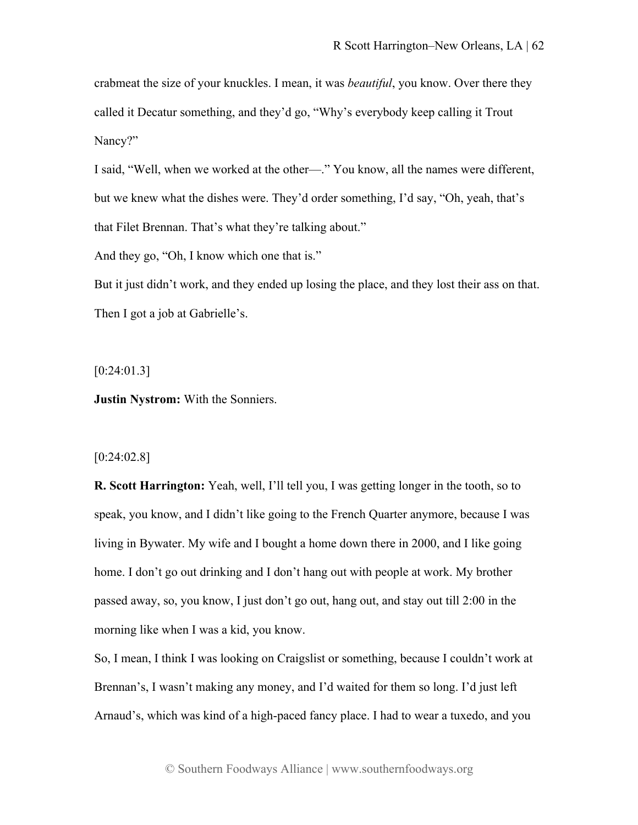crabmeat the size of your knuckles. I mean, it was *beautiful*, you know. Over there they called it Decatur something, and they'd go, "Why's everybody keep calling it Trout Nancy?"

I said, "Well, when we worked at the other—." You know, all the names were different, but we knew what the dishes were. They'd order something, I'd say, "Oh, yeah, that's that Filet Brennan. That's what they're talking about."

And they go, "Oh, I know which one that is."

But it just didn't work, and they ended up losing the place, and they lost their ass on that. Then I got a job at Gabrielle's.

[0:24:01.3]

**Justin Nystrom:** With the Sonniers.

#### $[0:24:02.8]$

**R. Scott Harrington:** Yeah, well, I'll tell you, I was getting longer in the tooth, so to speak, you know, and I didn't like going to the French Quarter anymore, because I was living in Bywater. My wife and I bought a home down there in 2000, and I like going home. I don't go out drinking and I don't hang out with people at work. My brother passed away, so, you know, I just don't go out, hang out, and stay out till 2:00 in the morning like when I was a kid, you know.

So, I mean, I think I was looking on Craigslist or something, because I couldn't work at Brennan's, I wasn't making any money, and I'd waited for them so long. I'd just left Arnaud's, which was kind of a high-paced fancy place. I had to wear a tuxedo, and you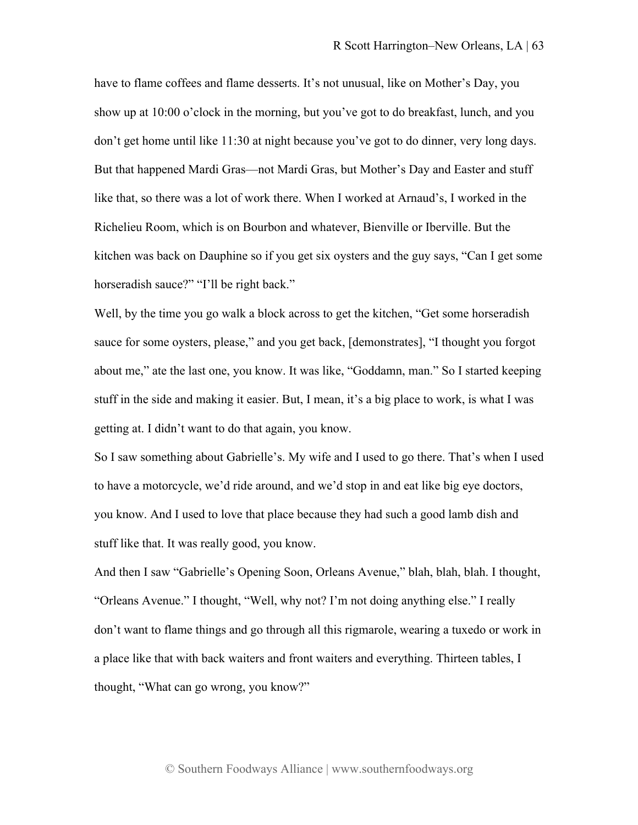have to flame coffees and flame desserts. It's not unusual, like on Mother's Day, you show up at 10:00 o'clock in the morning, but you've got to do breakfast, lunch, and you don't get home until like 11:30 at night because you've got to do dinner, very long days. But that happened Mardi Gras—not Mardi Gras, but Mother's Day and Easter and stuff like that, so there was a lot of work there. When I worked at Arnaud's, I worked in the Richelieu Room, which is on Bourbon and whatever, Bienville or Iberville. But the kitchen was back on Dauphine so if you get six oysters and the guy says, "Can I get some horseradish sauce?" "I'll be right back."

Well, by the time you go walk a block across to get the kitchen, "Get some horseradish sauce for some oysters, please," and you get back, [demonstrates], "I thought you forgot about me," ate the last one, you know. It was like, "Goddamn, man." So I started keeping stuff in the side and making it easier. But, I mean, it's a big place to work, is what I was getting at. I didn't want to do that again, you know.

So I saw something about Gabrielle's. My wife and I used to go there. That's when I used to have a motorcycle, we'd ride around, and we'd stop in and eat like big eye doctors, you know. And I used to love that place because they had such a good lamb dish and stuff like that. It was really good, you know.

And then I saw "Gabrielle's Opening Soon, Orleans Avenue," blah, blah, blah. I thought, "Orleans Avenue." I thought, "Well, why not? I'm not doing anything else." I really don't want to flame things and go through all this rigmarole, wearing a tuxedo or work in a place like that with back waiters and front waiters and everything. Thirteen tables, I thought, "What can go wrong, you know?"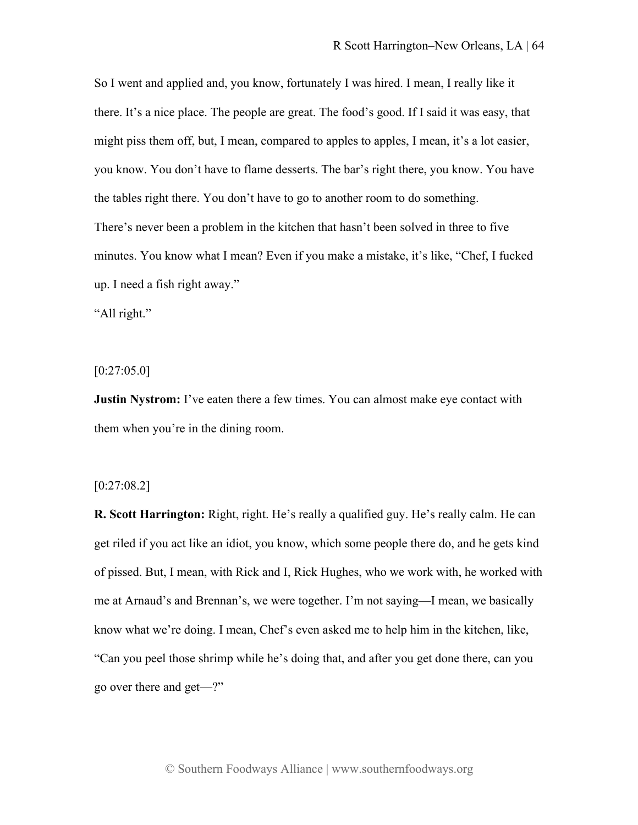So I went and applied and, you know, fortunately I was hired. I mean, I really like it there. It's a nice place. The people are great. The food's good. If I said it was easy, that might piss them off, but, I mean, compared to apples to apples, I mean, it's a lot easier, you know. You don't have to flame desserts. The bar's right there, you know. You have the tables right there. You don't have to go to another room to do something. There's never been a problem in the kitchen that hasn't been solved in three to five minutes. You know what I mean? Even if you make a mistake, it's like, "Chef, I fucked up. I need a fish right away."

"All right."

 $[0:27:05.0]$ 

**Justin Nystrom:** I've eaten there a few times. You can almost make eye contact with them when you're in the dining room.

 $[0:27:08.2]$ 

**R. Scott Harrington:** Right, right. He's really a qualified guy. He's really calm. He can get riled if you act like an idiot, you know, which some people there do, and he gets kind of pissed. But, I mean, with Rick and I, Rick Hughes, who we work with, he worked with me at Arnaud's and Brennan's, we were together. I'm not saying—I mean, we basically know what we're doing. I mean, Chef's even asked me to help him in the kitchen, like, "Can you peel those shrimp while he's doing that, and after you get done there, can you go over there and get—?"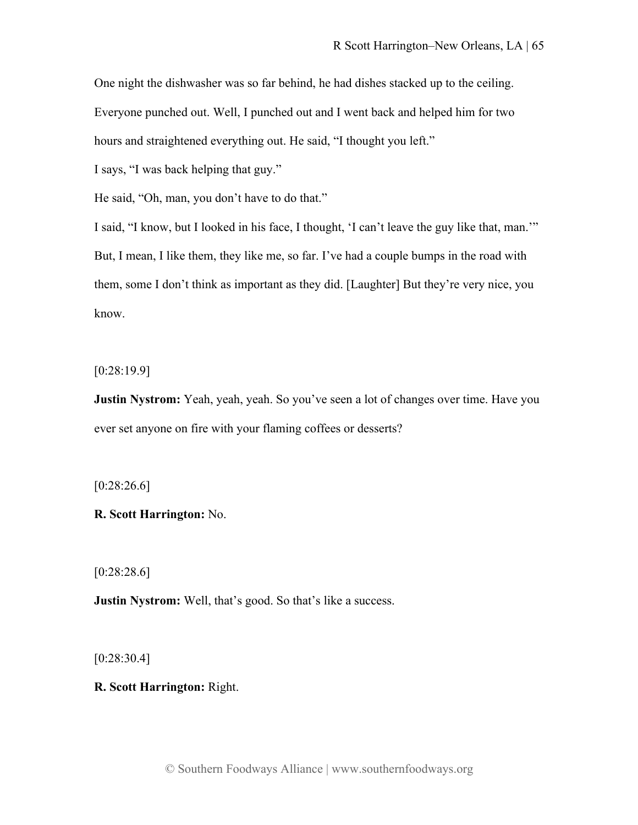One night the dishwasher was so far behind, he had dishes stacked up to the ceiling. Everyone punched out. Well, I punched out and I went back and helped him for two hours and straightened everything out. He said, "I thought you left."

I says, "I was back helping that guy."

He said, "Oh, man, you don't have to do that."

I said, "I know, but I looked in his face, I thought, 'I can't leave the guy like that, man.'" But, I mean, I like them, they like me, so far. I've had a couple bumps in the road with them, some I don't think as important as they did. [Laughter] But they're very nice, you know.

[0:28:19.9]

**Justin Nystrom:** Yeah, yeah, yeah. So you've seen a lot of changes over time. Have you ever set anyone on fire with your flaming coffees or desserts?

[0:28:26.6]

**R. Scott Harrington:** No.

[0:28:28.6]

**Justin Nystrom:** Well, that's good. So that's like a success.

[0:28:30.4]

**R. Scott Harrington:** Right.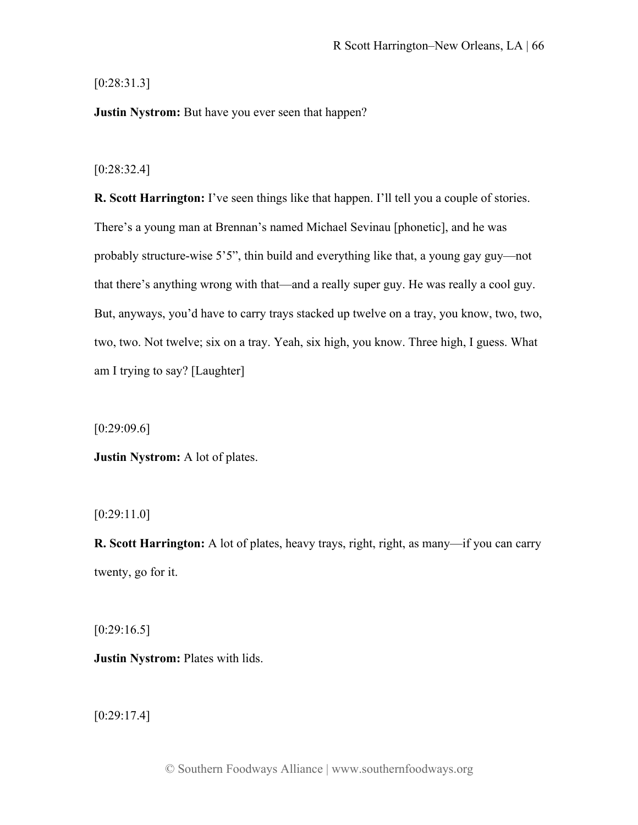[0:28:31.3]

**Justin Nystrom:** But have you ever seen that happen?

[0:28:32.4]

**R. Scott Harrington:** I've seen things like that happen. I'll tell you a couple of stories. There's a young man at Brennan's named Michael Sevinau [phonetic], and he was probably structure-wise 5'5", thin build and everything like that, a young gay guy—not that there's anything wrong with that—and a really super guy. He was really a cool guy. But, anyways, you'd have to carry trays stacked up twelve on a tray, you know, two, two, two, two. Not twelve; six on a tray. Yeah, six high, you know. Three high, I guess. What am I trying to say? [Laughter]

[0:29:09.6]

**Justin Nystrom:** A lot of plates.

[0:29:11.0]

**R. Scott Harrington:** A lot of plates, heavy trays, right, right, as many—if you can carry twenty, go for it.

 $[0:29:16.5]$ 

**Justin Nystrom:** Plates with lids.

[0:29:17.4]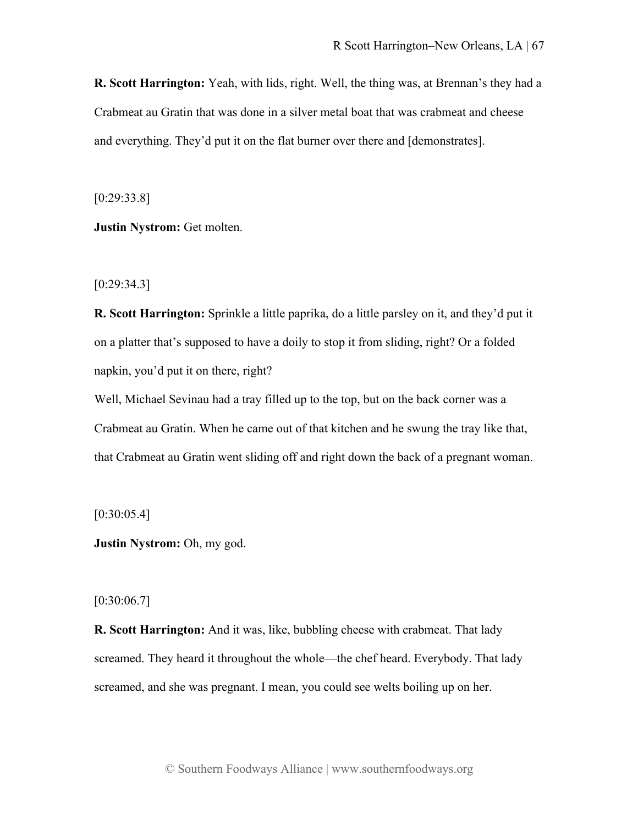**R. Scott Harrington:** Yeah, with lids, right. Well, the thing was, at Brennan's they had a Crabmeat au Gratin that was done in a silver metal boat that was crabmeat and cheese and everything. They'd put it on the flat burner over there and [demonstrates].

[0:29:33.8]

**Justin Nystrom:** Get molten.

[0:29:34.3]

**R. Scott Harrington:** Sprinkle a little paprika, do a little parsley on it, and they'd put it on a platter that's supposed to have a doily to stop it from sliding, right? Or a folded napkin, you'd put it on there, right?

Well, Michael Sevinau had a tray filled up to the top, but on the back corner was a Crabmeat au Gratin. When he came out of that kitchen and he swung the tray like that, that Crabmeat au Gratin went sliding off and right down the back of a pregnant woman.

 $[0:30:05.4]$ 

**Justin Nystrom:** Oh, my god.

 $[0:30:06.7]$ 

**R. Scott Harrington:** And it was, like, bubbling cheese with crabmeat. That lady screamed. They heard it throughout the whole—the chef heard. Everybody. That lady screamed, and she was pregnant. I mean, you could see welts boiling up on her.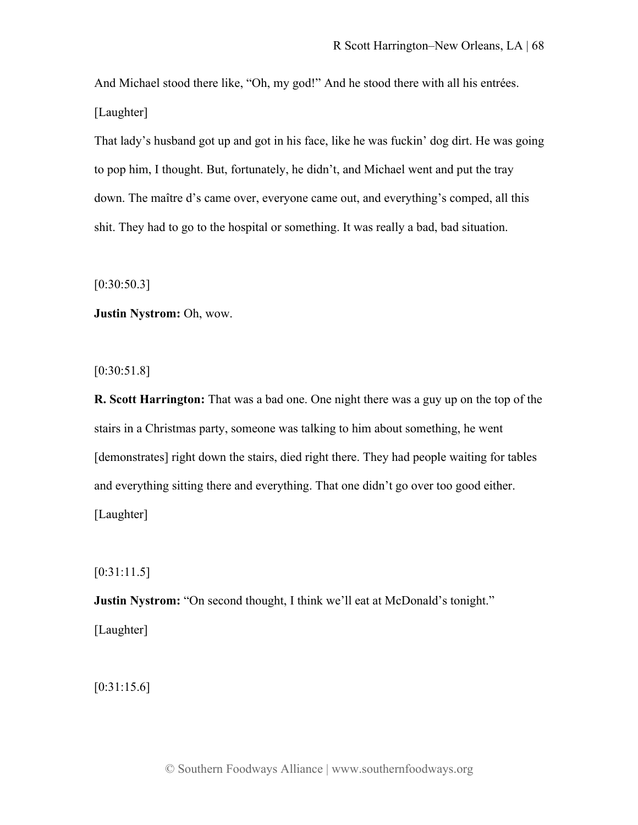And Michael stood there like, "Oh, my god!" And he stood there with all his entrées. [Laughter]

That lady's husband got up and got in his face, like he was fuckin' dog dirt. He was going to pop him, I thought. But, fortunately, he didn't, and Michael went and put the tray down. The maître d's came over, everyone came out, and everything's comped, all this shit. They had to go to the hospital or something. It was really a bad, bad situation.

[0:30:50.3]

**Justin Nystrom:** Oh, wow.

[0:30:51.8]

**R. Scott Harrington:** That was a bad one. One night there was a guy up on the top of the stairs in a Christmas party, someone was talking to him about something, he went [demonstrates] right down the stairs, died right there. They had people waiting for tables and everything sitting there and everything. That one didn't go over too good either. [Laughter]

[0:31:11.5]

**Justin Nystrom:** "On second thought, I think we'll eat at McDonald's tonight." [Laughter]

[0:31:15.6]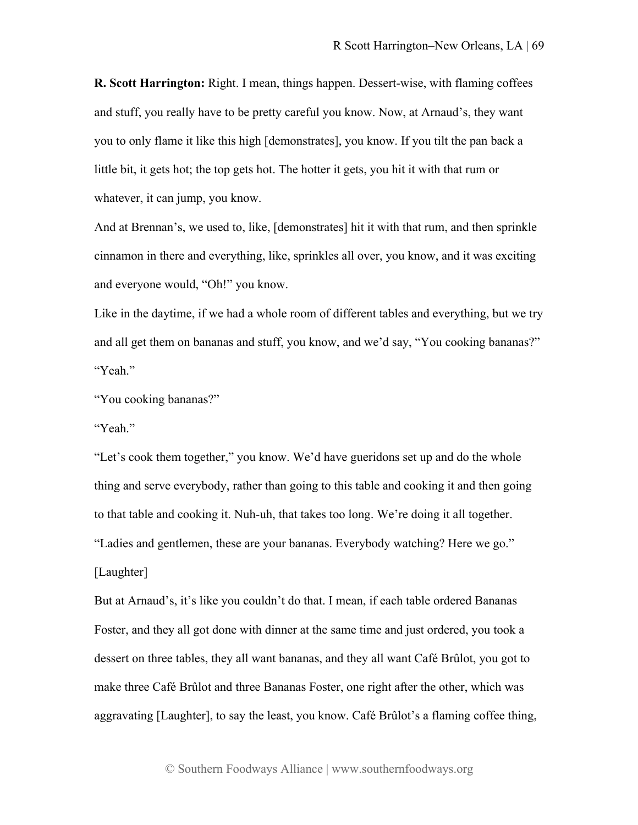**R. Scott Harrington:** Right. I mean, things happen. Dessert-wise, with flaming coffees and stuff, you really have to be pretty careful you know. Now, at Arnaud's, they want you to only flame it like this high [demonstrates], you know. If you tilt the pan back a little bit, it gets hot; the top gets hot. The hotter it gets, you hit it with that rum or whatever, it can jump, you know.

And at Brennan's, we used to, like, [demonstrates] hit it with that rum, and then sprinkle cinnamon in there and everything, like, sprinkles all over, you know, and it was exciting and everyone would, "Oh!" you know.

Like in the daytime, if we had a whole room of different tables and everything, but we try and all get them on bananas and stuff, you know, and we'd say, "You cooking bananas?" "Yeah."

"You cooking bananas?"

"Yeah."

"Let's cook them together," you know. We'd have gueridons set up and do the whole thing and serve everybody, rather than going to this table and cooking it and then going to that table and cooking it. Nuh-uh, that takes too long. We're doing it all together. "Ladies and gentlemen, these are your bananas. Everybody watching? Here we go." [Laughter]

But at Arnaud's, it's like you couldn't do that. I mean, if each table ordered Bananas Foster, and they all got done with dinner at the same time and just ordered, you took a dessert on three tables, they all want bananas, and they all want Café Brûlot, you got to make three Café Brûlot and three Bananas Foster, one right after the other, which was aggravating [Laughter], to say the least, you know. Café Brûlot's a flaming coffee thing,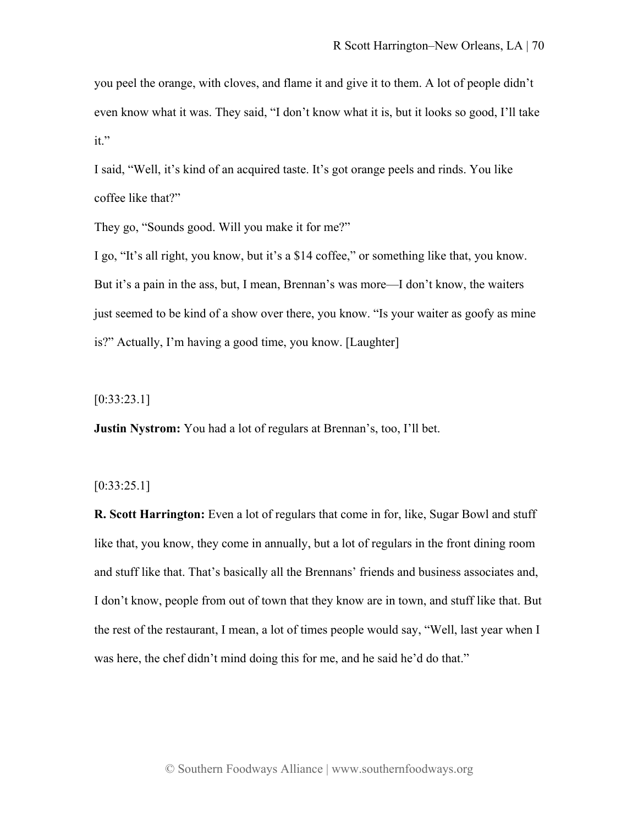you peel the orange, with cloves, and flame it and give it to them. A lot of people didn't even know what it was. They said, "I don't know what it is, but it looks so good, I'll take it."

I said, "Well, it's kind of an acquired taste. It's got orange peels and rinds. You like coffee like that?"

They go, "Sounds good. Will you make it for me?"

I go, "It's all right, you know, but it's a \$14 coffee," or something like that, you know. But it's a pain in the ass, but, I mean, Brennan's was more—I don't know, the waiters just seemed to be kind of a show over there, you know. "Is your waiter as goofy as mine is?" Actually, I'm having a good time, you know. [Laughter]

[0:33:23.1]

**Justin Nystrom:** You had a lot of regulars at Brennan's, too, I'll bet.

## [0:33:25.1]

**R. Scott Harrington:** Even a lot of regulars that come in for, like, Sugar Bowl and stuff like that, you know, they come in annually, but a lot of regulars in the front dining room and stuff like that. That's basically all the Brennans' friends and business associates and, I don't know, people from out of town that they know are in town, and stuff like that. But the rest of the restaurant, I mean, a lot of times people would say, "Well, last year when I was here, the chef didn't mind doing this for me, and he said he'd do that."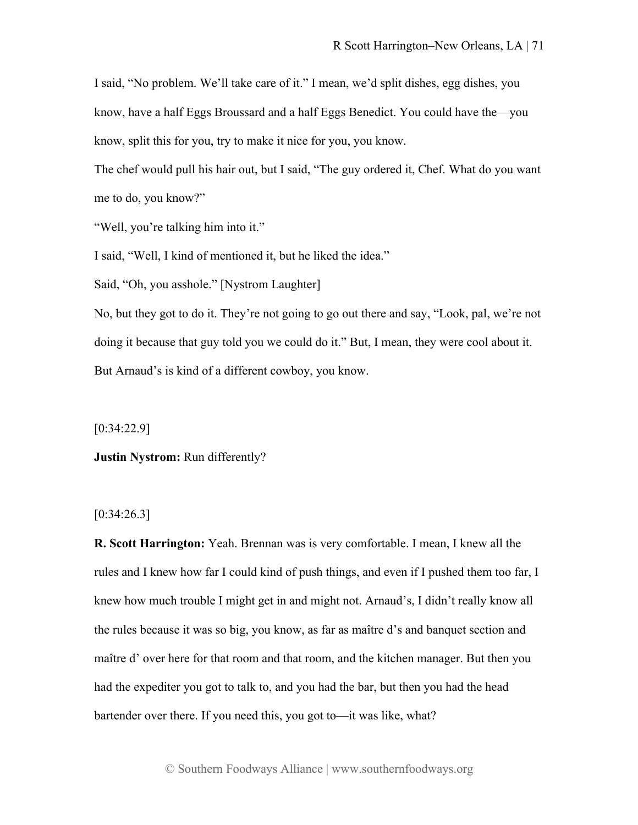I said, "No problem. We'll take care of it." I mean, we'd split dishes, egg dishes, you know, have a half Eggs Broussard and a half Eggs Benedict. You could have the—you know, split this for you, try to make it nice for you, you know.

The chef would pull his hair out, but I said, "The guy ordered it, Chef. What do you want me to do, you know?"

"Well, you're talking him into it."

I said, "Well, I kind of mentioned it, but he liked the idea."

Said, "Oh, you asshole." [Nystrom Laughter]

No, but they got to do it. They're not going to go out there and say, "Look, pal, we're not doing it because that guy told you we could do it." But, I mean, they were cool about it. But Arnaud's is kind of a different cowboy, you know.

[0:34:22.9]

**Justin Nystrom:** Run differently?

### [0:34:26.3]

**R. Scott Harrington:** Yeah. Brennan was is very comfortable. I mean, I knew all the rules and I knew how far I could kind of push things, and even if I pushed them too far, I knew how much trouble I might get in and might not. Arnaud's, I didn't really know all the rules because it was so big, you know, as far as maître d's and banquet section and maître d' over here for that room and that room, and the kitchen manager. But then you had the expediter you got to talk to, and you had the bar, but then you had the head bartender over there. If you need this, you got to—it was like, what?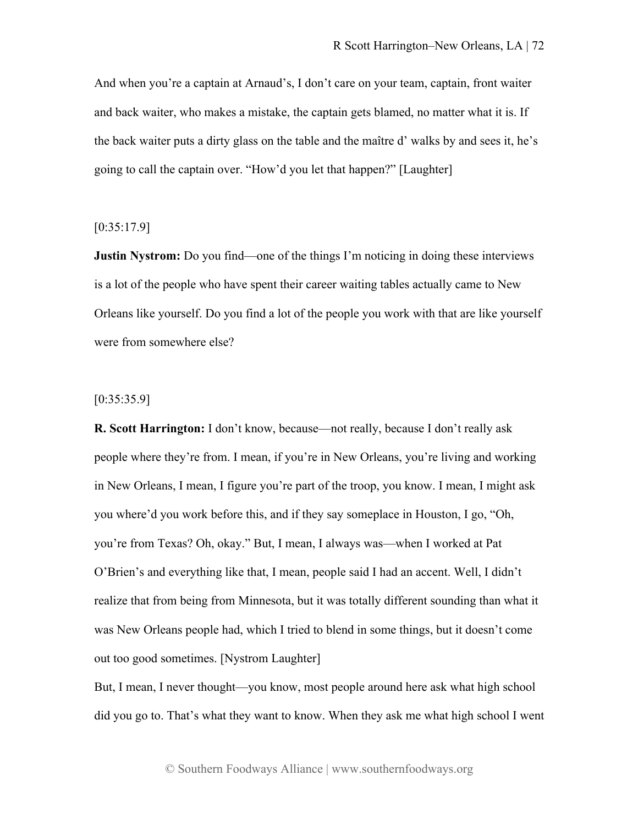And when you're a captain at Arnaud's, I don't care on your team, captain, front waiter and back waiter, who makes a mistake, the captain gets blamed, no matter what it is. If the back waiter puts a dirty glass on the table and the maître d' walks by and sees it, he's going to call the captain over. "How'd you let that happen?" [Laughter]

### $[0:35:17.9]$

**Justin Nystrom:** Do you find—one of the things I'm noticing in doing these interviews is a lot of the people who have spent their career waiting tables actually came to New Orleans like yourself. Do you find a lot of the people you work with that are like yourself were from somewhere else?

### [0:35:35.9]

**R. Scott Harrington:** I don't know, because—not really, because I don't really ask people where they're from. I mean, if you're in New Orleans, you're living and working in New Orleans, I mean, I figure you're part of the troop, you know. I mean, I might ask you where'd you work before this, and if they say someplace in Houston, I go, "Oh, you're from Texas? Oh, okay." But, I mean, I always was—when I worked at Pat O'Brien's and everything like that, I mean, people said I had an accent. Well, I didn't realize that from being from Minnesota, but it was totally different sounding than what it was New Orleans people had, which I tried to blend in some things, but it doesn't come out too good sometimes. [Nystrom Laughter]

But, I mean, I never thought—you know, most people around here ask what high school did you go to. That's what they want to know. When they ask me what high school I went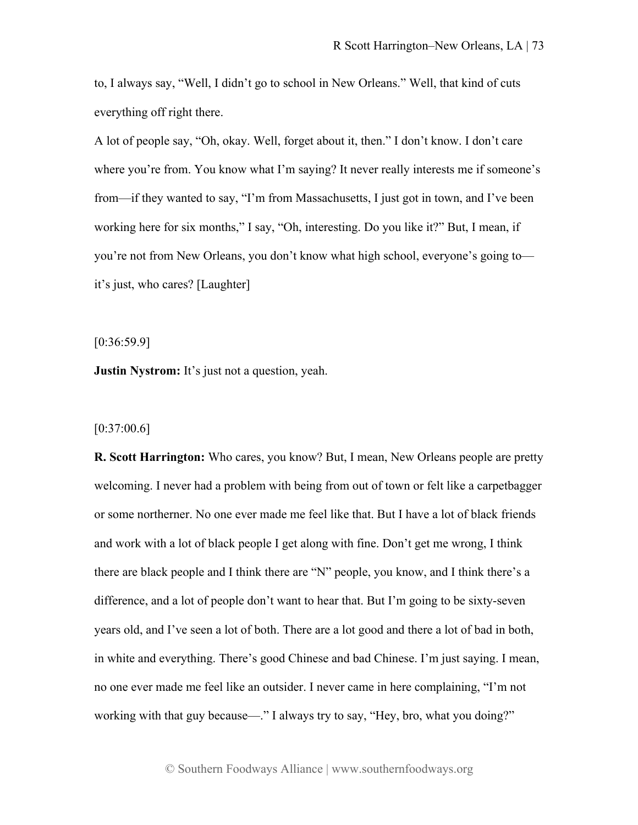to, I always say, "Well, I didn't go to school in New Orleans." Well, that kind of cuts everything off right there.

A lot of people say, "Oh, okay. Well, forget about it, then." I don't know. I don't care where you're from. You know what I'm saying? It never really interests me if someone's from—if they wanted to say, "I'm from Massachusetts, I just got in town, and I've been working here for six months," I say, "Oh, interesting. Do you like it?" But, I mean, if you're not from New Orleans, you don't know what high school, everyone's going to it's just, who cares? [Laughter]

[0:36:59.9]

**Justin Nystrom:** It's just not a question, yeah.

#### [0:37:00.6]

**R. Scott Harrington:** Who cares, you know? But, I mean, New Orleans people are pretty welcoming. I never had a problem with being from out of town or felt like a carpetbagger or some northerner. No one ever made me feel like that. But I have a lot of black friends and work with a lot of black people I get along with fine. Don't get me wrong, I think there are black people and I think there are "N" people, you know, and I think there's a difference, and a lot of people don't want to hear that. But I'm going to be sixty-seven years old, and I've seen a lot of both. There are a lot good and there a lot of bad in both, in white and everything. There's good Chinese and bad Chinese. I'm just saying. I mean, no one ever made me feel like an outsider. I never came in here complaining, "I'm not working with that guy because—." I always try to say, "Hey, bro, what you doing?"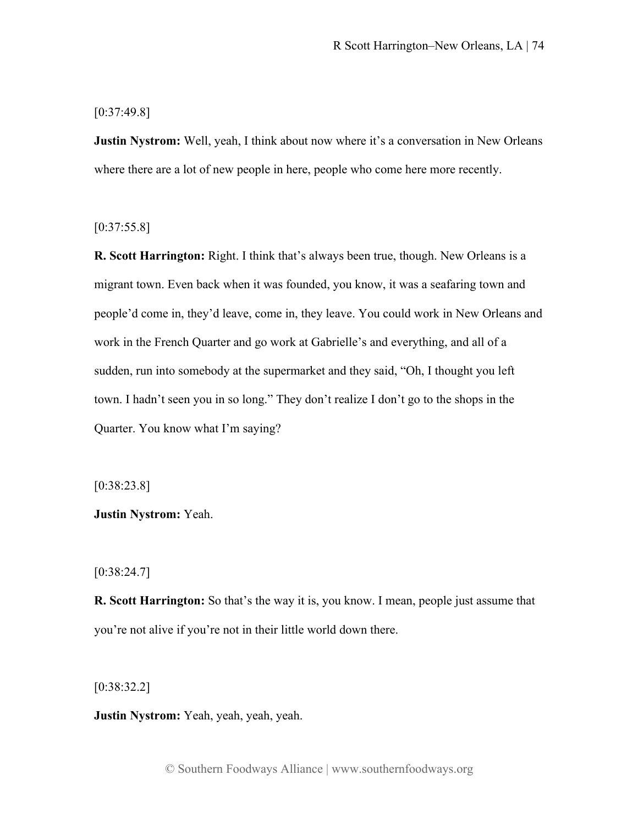# [0:37:49.8]

**Justin Nystrom:** Well, yeah, I think about now where it's a conversation in New Orleans where there are a lot of new people in here, people who come here more recently.

[0:37:55.8]

**R. Scott Harrington:** Right. I think that's always been true, though. New Orleans is a migrant town. Even back when it was founded, you know, it was a seafaring town and people'd come in, they'd leave, come in, they leave. You could work in New Orleans and work in the French Quarter and go work at Gabrielle's and everything, and all of a sudden, run into somebody at the supermarket and they said, "Oh, I thought you left town. I hadn't seen you in so long." They don't realize I don't go to the shops in the Quarter. You know what I'm saying?

[0:38:23.8]

**Justin Nystrom:** Yeah.

[0:38:24.7]

**R. Scott Harrington:** So that's the way it is, you know. I mean, people just assume that you're not alive if you're not in their little world down there.

[0:38:32.2]

**Justin Nystrom:** Yeah, yeah, yeah, yeah.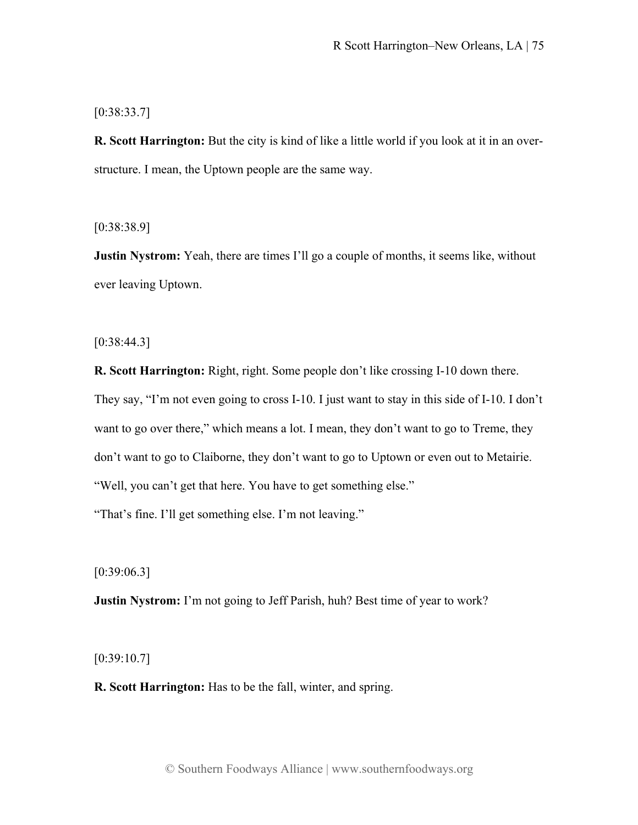[0:38:33.7]

**R. Scott Harrington:** But the city is kind of like a little world if you look at it in an overstructure. I mean, the Uptown people are the same way.

[0:38:38.9]

**Justin Nystrom:** Yeah, there are times I'll go a couple of months, it seems like, without ever leaving Uptown.

[0:38:44.3]

**R. Scott Harrington:** Right, right. Some people don't like crossing I-10 down there. They say, "I'm not even going to cross I-10. I just want to stay in this side of I-10. I don't want to go over there," which means a lot. I mean, they don't want to go to Treme, they don't want to go to Claiborne, they don't want to go to Uptown or even out to Metairie. "Well, you can't get that here. You have to get something else." "That's fine. I'll get something else. I'm not leaving."

[0:39:06.3]

**Justin Nystrom:** I'm not going to Jeff Parish, huh? Best time of year to work?

 $[0:39:10.7]$ 

**R. Scott Harrington:** Has to be the fall, winter, and spring.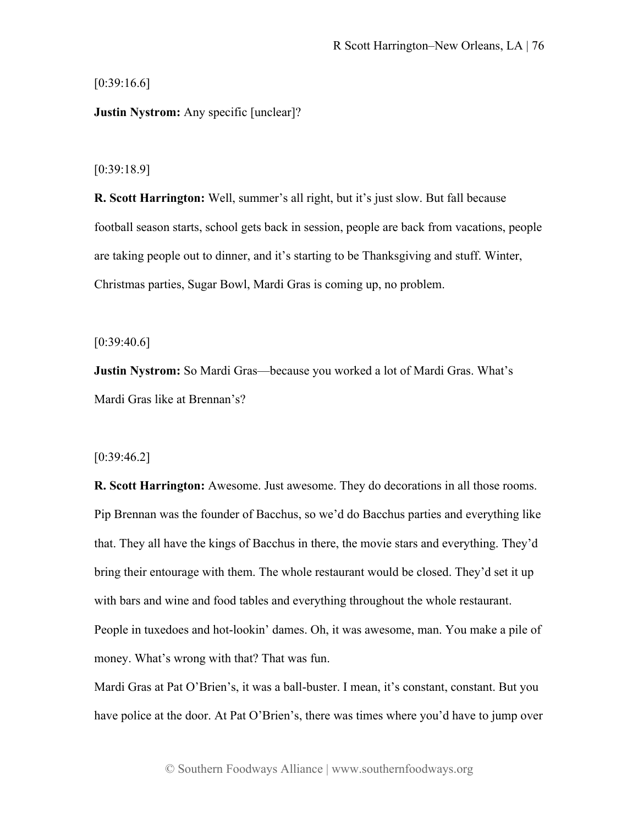[0:39:16.6]

**Justin Nystrom:** Any specific [unclear]?

[0:39:18.9]

**R. Scott Harrington:** Well, summer's all right, but it's just slow. But fall because football season starts, school gets back in session, people are back from vacations, people are taking people out to dinner, and it's starting to be Thanksgiving and stuff. Winter, Christmas parties, Sugar Bowl, Mardi Gras is coming up, no problem.

 $[0:39:40.6]$ 

**Justin Nystrom:** So Mardi Gras—because you worked a lot of Mardi Gras. What's Mardi Gras like at Brennan's?

 $[0:39:46.2]$ 

**R. Scott Harrington:** Awesome. Just awesome. They do decorations in all those rooms. Pip Brennan was the founder of Bacchus, so we'd do Bacchus parties and everything like that. They all have the kings of Bacchus in there, the movie stars and everything. They'd bring their entourage with them. The whole restaurant would be closed. They'd set it up with bars and wine and food tables and everything throughout the whole restaurant. People in tuxedoes and hot-lookin' dames. Oh, it was awesome, man. You make a pile of money. What's wrong with that? That was fun.

Mardi Gras at Pat O'Brien's, it was a ball-buster. I mean, it's constant, constant. But you have police at the door. At Pat O'Brien's, there was times where you'd have to jump over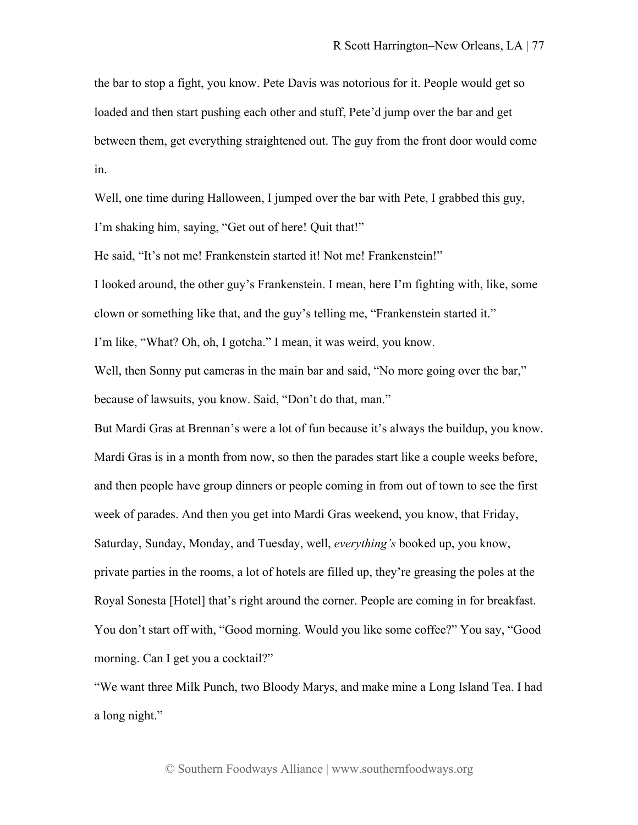the bar to stop a fight, you know. Pete Davis was notorious for it. People would get so loaded and then start pushing each other and stuff, Pete'd jump over the bar and get between them, get everything straightened out. The guy from the front door would come in.

Well, one time during Halloween, I jumped over the bar with Pete, I grabbed this guy, I'm shaking him, saying, "Get out of here! Quit that!"

He said, "It's not me! Frankenstein started it! Not me! Frankenstein!"

I looked around, the other guy's Frankenstein. I mean, here I'm fighting with, like, some

clown or something like that, and the guy's telling me, "Frankenstein started it."

I'm like, "What? Oh, oh, I gotcha." I mean, it was weird, you know.

Well, then Sonny put cameras in the main bar and said, "No more going over the bar," because of lawsuits, you know. Said, "Don't do that, man."

But Mardi Gras at Brennan's were a lot of fun because it's always the buildup, you know. Mardi Gras is in a month from now, so then the parades start like a couple weeks before, and then people have group dinners or people coming in from out of town to see the first week of parades. And then you get into Mardi Gras weekend, you know, that Friday, Saturday, Sunday, Monday, and Tuesday, well, *everything's* booked up, you know, private parties in the rooms, a lot of hotels are filled up, they're greasing the poles at the Royal Sonesta [Hotel] that's right around the corner. People are coming in for breakfast. You don't start off with, "Good morning. Would you like some coffee?" You say, "Good morning. Can I get you a cocktail?"

"We want three Milk Punch, two Bloody Marys, and make mine a Long Island Tea. I had a long night."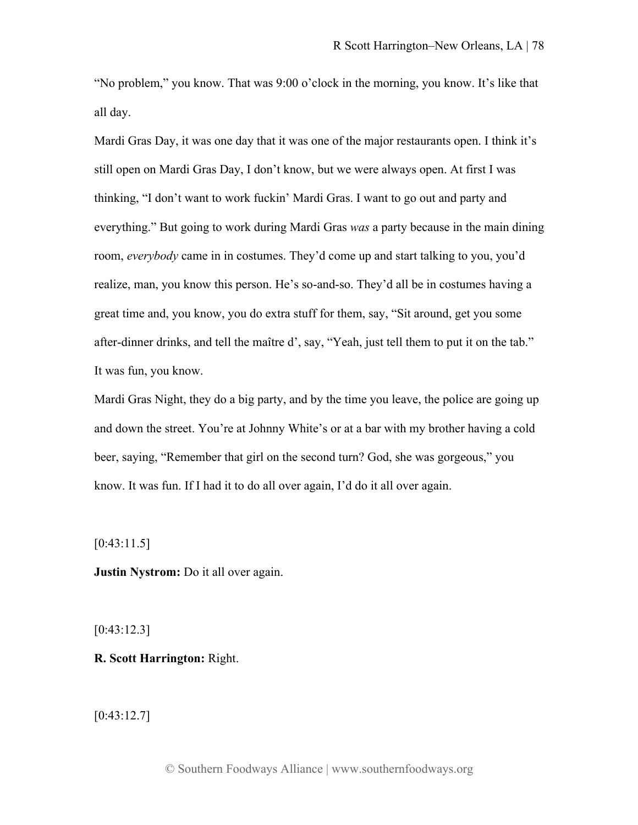"No problem," you know. That was 9:00 o'clock in the morning, you know. It's like that all day.

Mardi Gras Day, it was one day that it was one of the major restaurants open. I think it's still open on Mardi Gras Day, I don't know, but we were always open. At first I was thinking, "I don't want to work fuckin' Mardi Gras. I want to go out and party and everything." But going to work during Mardi Gras *was* a party because in the main dining room, *everybody* came in in costumes. They'd come up and start talking to you, you'd realize, man, you know this person. He's so-and-so. They'd all be in costumes having a great time and, you know, you do extra stuff for them, say, "Sit around, get you some after-dinner drinks, and tell the maître d', say, "Yeah, just tell them to put it on the tab." It was fun, you know.

Mardi Gras Night, they do a big party, and by the time you leave, the police are going up and down the street. You're at Johnny White's or at a bar with my brother having a cold beer, saying, "Remember that girl on the second turn? God, she was gorgeous," you know. It was fun. If I had it to do all over again, I'd do it all over again.

 $[0:43:11.5]$ 

**Justin Nystrom:** Do it all over again.

[0:43:12.3]

**R. Scott Harrington:** Right.

[0:43:12.7]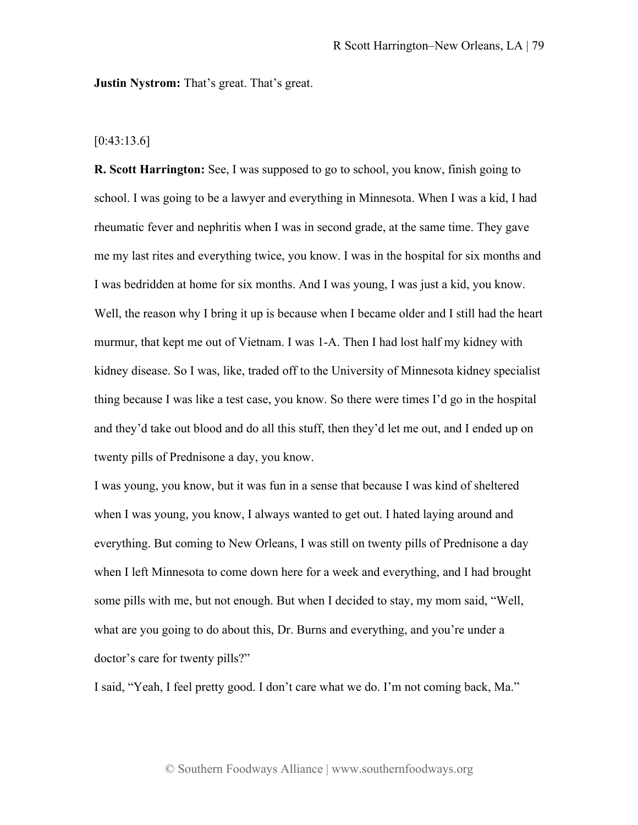**Justin Nystrom:** That's great. That's great.

### $[0:43:13.6]$

**R. Scott Harrington:** See, I was supposed to go to school, you know, finish going to school. I was going to be a lawyer and everything in Minnesota. When I was a kid, I had rheumatic fever and nephritis when I was in second grade, at the same time. They gave me my last rites and everything twice, you know. I was in the hospital for six months and I was bedridden at home for six months. And I was young, I was just a kid, you know. Well, the reason why I bring it up is because when I became older and I still had the heart murmur, that kept me out of Vietnam. I was 1-A. Then I had lost half my kidney with kidney disease. So I was, like, traded off to the University of Minnesota kidney specialist thing because I was like a test case, you know. So there were times I'd go in the hospital and they'd take out blood and do all this stuff, then they'd let me out, and I ended up on twenty pills of Prednisone a day, you know.

I was young, you know, but it was fun in a sense that because I was kind of sheltered when I was young, you know, I always wanted to get out. I hated laying around and everything. But coming to New Orleans, I was still on twenty pills of Prednisone a day when I left Minnesota to come down here for a week and everything, and I had brought some pills with me, but not enough. But when I decided to stay, my mom said, "Well, what are you going to do about this, Dr. Burns and everything, and you're under a doctor's care for twenty pills?"

I said, "Yeah, I feel pretty good. I don't care what we do. I'm not coming back, Ma."

© Southern Foodways Alliance | www.southernfoodways.org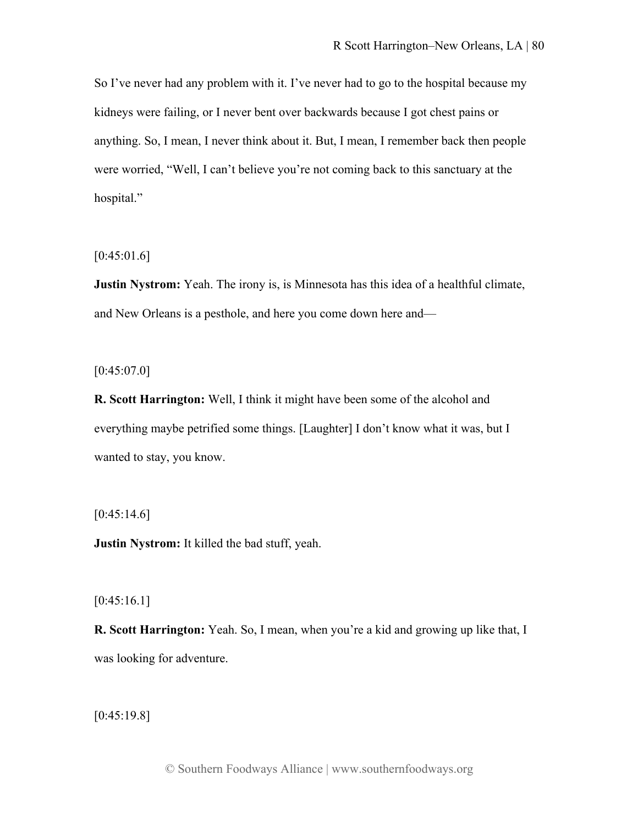So I've never had any problem with it. I've never had to go to the hospital because my kidneys were failing, or I never bent over backwards because I got chest pains or anything. So, I mean, I never think about it. But, I mean, I remember back then people were worried, "Well, I can't believe you're not coming back to this sanctuary at the hospital."

# $[0:45:01.6]$

**Justin Nystrom:** Yeah. The irony is, is Minnesota has this idea of a healthful climate, and New Orleans is a pesthole, and here you come down here and—

 $[0:45:07.0]$ 

**R. Scott Harrington:** Well, I think it might have been some of the alcohol and everything maybe petrified some things. [Laughter] I don't know what it was, but I wanted to stay, you know.

 $[0:45:14.6]$ 

**Justin Nystrom:** It killed the bad stuff, yeah.

 $[0:45:16.1]$ 

**R. Scott Harrington:** Yeah. So, I mean, when you're a kid and growing up like that, I was looking for adventure.

[0:45:19.8]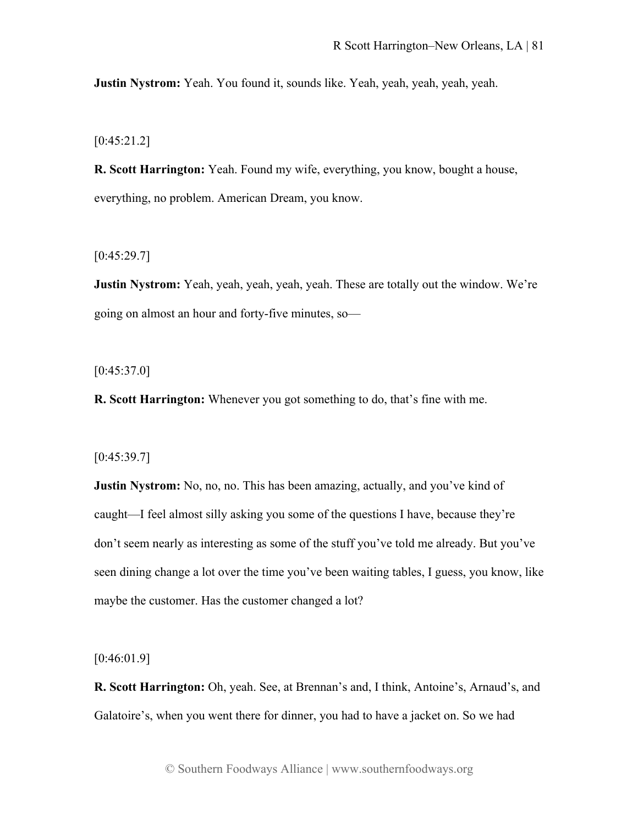**Justin Nystrom:** Yeah. You found it, sounds like. Yeah, yeah, yeah, yeah, yeah.

[0:45:21.2]

**R. Scott Harrington:** Yeah. Found my wife, everything, you know, bought a house, everything, no problem. American Dream, you know.

 $[0:45:29.7]$ 

**Justin Nystrom:** Yeah, yeah, yeah, yeah, yeah. These are totally out the window. We're going on almost an hour and forty-five minutes, so—

 $[0:45:37.0]$ 

**R. Scott Harrington:** Whenever you got something to do, that's fine with me.

[0:45:39.7]

**Justin Nystrom:** No, no, no. This has been amazing, actually, and you've kind of caught—I feel almost silly asking you some of the questions I have, because they're don't seem nearly as interesting as some of the stuff you've told me already. But you've seen dining change a lot over the time you've been waiting tables, I guess, you know, like maybe the customer. Has the customer changed a lot?

[0:46:01.9]

**R. Scott Harrington:** Oh, yeah. See, at Brennan's and, I think, Antoine's, Arnaud's, and Galatoire's, when you went there for dinner, you had to have a jacket on. So we had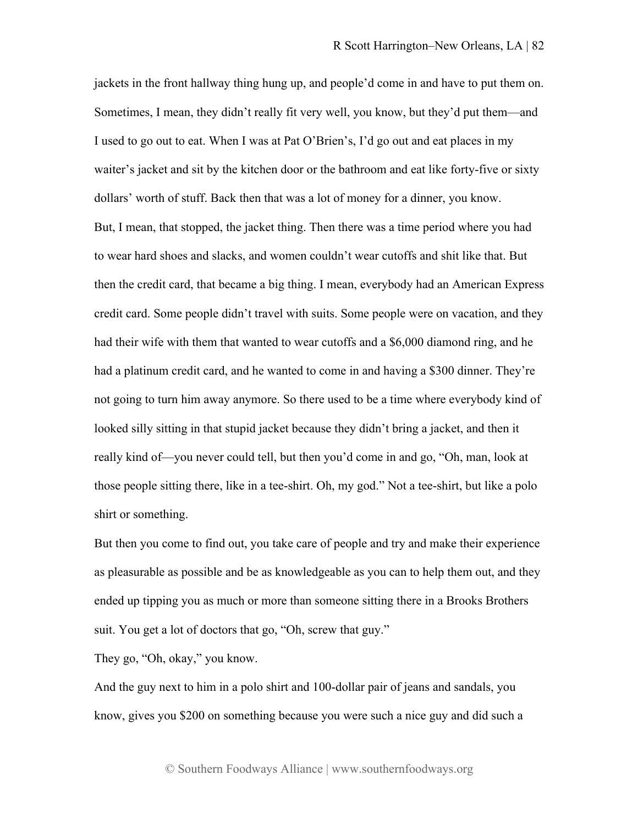jackets in the front hallway thing hung up, and people'd come in and have to put them on. Sometimes, I mean, they didn't really fit very well, you know, but they'd put them—and I used to go out to eat. When I was at Pat O'Brien's, I'd go out and eat places in my waiter's jacket and sit by the kitchen door or the bathroom and eat like forty-five or sixty dollars' worth of stuff. Back then that was a lot of money for a dinner, you know. But, I mean, that stopped, the jacket thing. Then there was a time period where you had to wear hard shoes and slacks, and women couldn't wear cutoffs and shit like that. But then the credit card, that became a big thing. I mean, everybody had an American Express credit card. Some people didn't travel with suits. Some people were on vacation, and they had their wife with them that wanted to wear cutoffs and a \$6,000 diamond ring, and he had a platinum credit card, and he wanted to come in and having a \$300 dinner. They're not going to turn him away anymore. So there used to be a time where everybody kind of looked silly sitting in that stupid jacket because they didn't bring a jacket, and then it really kind of—you never could tell, but then you'd come in and go, "Oh, man, look at those people sitting there, like in a tee-shirt. Oh, my god." Not a tee-shirt, but like a polo shirt or something.

But then you come to find out, you take care of people and try and make their experience as pleasurable as possible and be as knowledgeable as you can to help them out, and they ended up tipping you as much or more than someone sitting there in a Brooks Brothers suit. You get a lot of doctors that go, "Oh, screw that guy."

They go, "Oh, okay," you know.

And the guy next to him in a polo shirt and 100-dollar pair of jeans and sandals, you know, gives you \$200 on something because you were such a nice guy and did such a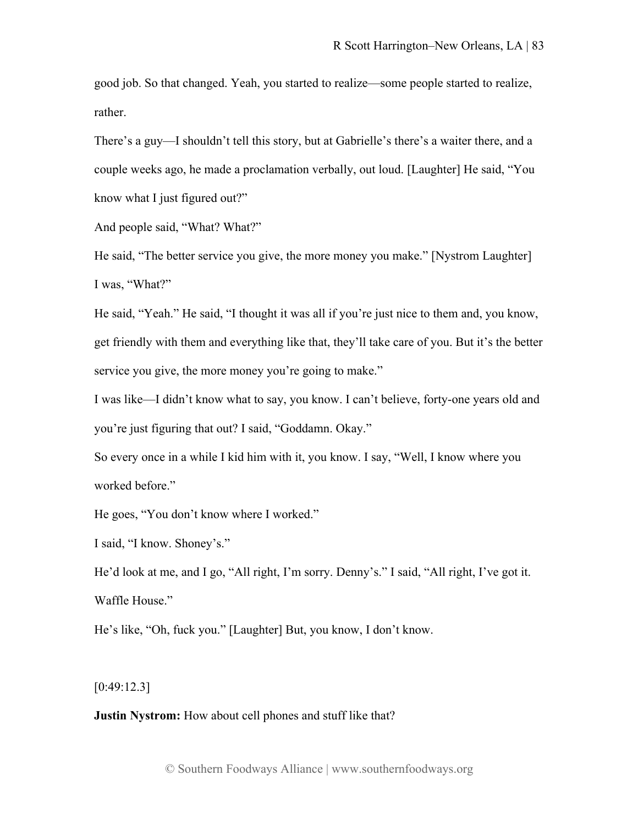good job. So that changed. Yeah, you started to realize—some people started to realize, rather.

There's a guy—I shouldn't tell this story, but at Gabrielle's there's a waiter there, and a couple weeks ago, he made a proclamation verbally, out loud. [Laughter] He said, "You know what I just figured out?"

And people said, "What? What?"

He said, "The better service you give, the more money you make." [Nystrom Laughter] I was, "What?"

He said, "Yeah." He said, "I thought it was all if you're just nice to them and, you know, get friendly with them and everything like that, they'll take care of you. But it's the better service you give, the more money you're going to make."

I was like—I didn't know what to say, you know. I can't believe, forty-one years old and you're just figuring that out? I said, "Goddamn. Okay."

So every once in a while I kid him with it, you know. I say, "Well, I know where you worked before."

He goes, "You don't know where I worked."

I said, "I know. Shoney's."

He'd look at me, and I go, "All right, I'm sorry. Denny's." I said, "All right, I've got it. Waffle House."

He's like, "Oh, fuck you." [Laughter] But, you know, I don't know.

[0:49:12.3]

**Justin Nystrom:** How about cell phones and stuff like that?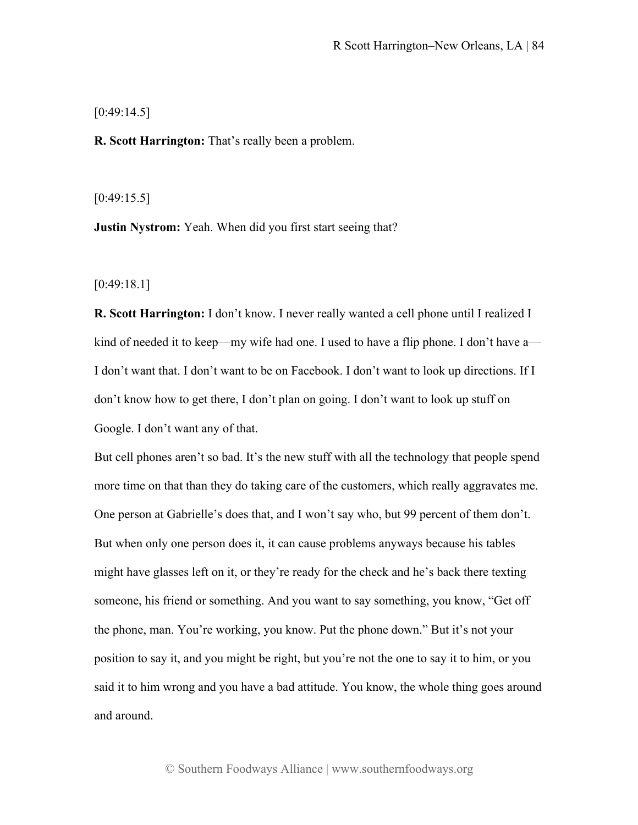$[0:49:14.5]$ 

**R. Scott Harrington:** That's really been a problem.

 $[0:49:15.5]$ 

**Justin Nystrom:** Yeah. When did you first start seeing that?

[0:49:18.1]

**R. Scott Harrington:** I don't know. I never really wanted a cell phone until I realized I kind of needed it to keep—my wife had one. I used to have a flip phone. I don't have a— I don't want that. I don't want to be on Facebook. I don't want to look up directions. If I don't know how to get there, I don't plan on going. I don't want to look up stuff on Google. I don't want any of that.

But cell phones aren't so bad. It's the new stuff with all the technology that people spend more time on that than they do taking care of the customers, which really aggravates me. One person at Gabrielle's does that, and I won't say who, but 99 percent of them don't. But when only one person does it, it can cause problems anyways because his tables might have glasses left on it, or they're ready for the check and he's back there texting someone, his friend or something. And you want to say something, you know, "Get off the phone, man. You're working, you know. Put the phone down." But it's not your position to say it, and you might be right, but you're not the one to say it to him, or you said it to him wrong and you have a bad attitude. You know, the whole thing goes around and around.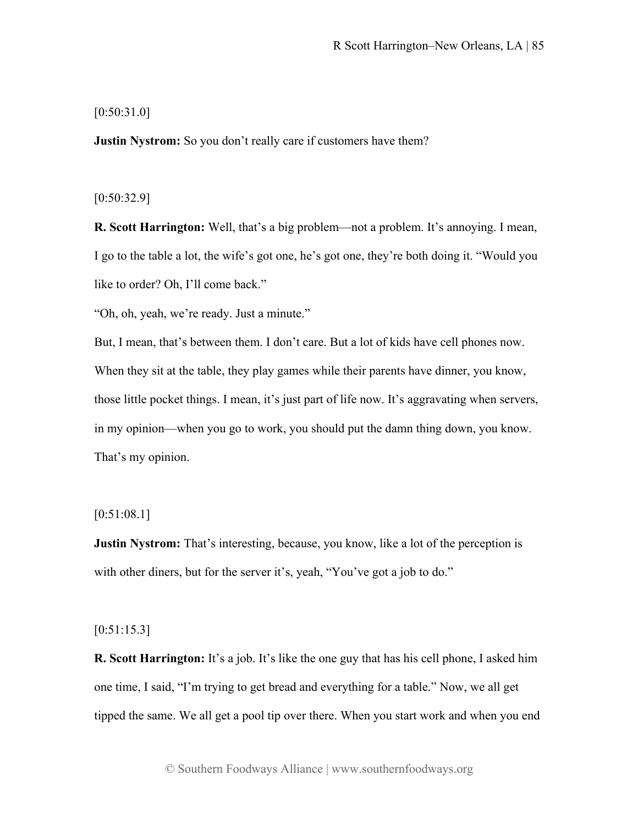# [0:50:31.0]

**Justin Nystrom:** So you don't really care if customers have them?

### [0:50:32.9]

**R. Scott Harrington:** Well, that's a big problem—not a problem. It's annoying. I mean, I go to the table a lot, the wife's got one, he's got one, they're both doing it. "Would you like to order? Oh, I'll come back."

"Oh, oh, yeah, we're ready. Just a minute."

But, I mean, that's between them. I don't care. But a lot of kids have cell phones now. When they sit at the table, they play games while their parents have dinner, you know, those little pocket things. I mean, it's just part of life now. It's aggravating when servers, in my opinion—when you go to work, you should put the damn thing down, you know. That's my opinion.

# [0:51:08.1]

**Justin Nystrom:** That's interesting, because, you know, like a lot of the perception is with other diners, but for the server it's, yeah, "You've got a job to do."

### [0:51:15.3]

**R. Scott Harrington:** It's a job. It's like the one guy that has his cell phone, I asked him one time, I said, "I'm trying to get bread and everything for a table." Now, we all get tipped the same. We all get a pool tip over there. When you start work and when you end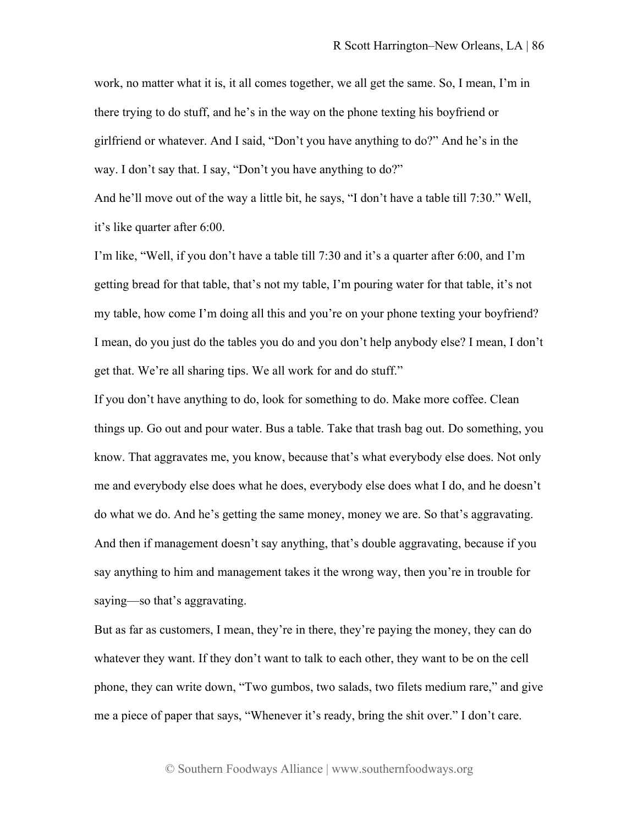work, no matter what it is, it all comes together, we all get the same. So, I mean, I'm in there trying to do stuff, and he's in the way on the phone texting his boyfriend or girlfriend or whatever. And I said, "Don't you have anything to do?" And he's in the way. I don't say that. I say, "Don't you have anything to do?"

And he'll move out of the way a little bit, he says, "I don't have a table till 7:30." Well, it's like quarter after 6:00.

I'm like, "Well, if you don't have a table till 7:30 and it's a quarter after 6:00, and I'm getting bread for that table, that's not my table, I'm pouring water for that table, it's not my table, how come I'm doing all this and you're on your phone texting your boyfriend? I mean, do you just do the tables you do and you don't help anybody else? I mean, I don't get that. We're all sharing tips. We all work for and do stuff."

If you don't have anything to do, look for something to do. Make more coffee. Clean things up. Go out and pour water. Bus a table. Take that trash bag out. Do something, you know. That aggravates me, you know, because that's what everybody else does. Not only me and everybody else does what he does, everybody else does what I do, and he doesn't do what we do. And he's getting the same money, money we are. So that's aggravating. And then if management doesn't say anything, that's double aggravating, because if you say anything to him and management takes it the wrong way, then you're in trouble for saying—so that's aggravating.

But as far as customers, I mean, they're in there, they're paying the money, they can do whatever they want. If they don't want to talk to each other, they want to be on the cell phone, they can write down, "Two gumbos, two salads, two filets medium rare," and give me a piece of paper that says, "Whenever it's ready, bring the shit over." I don't care.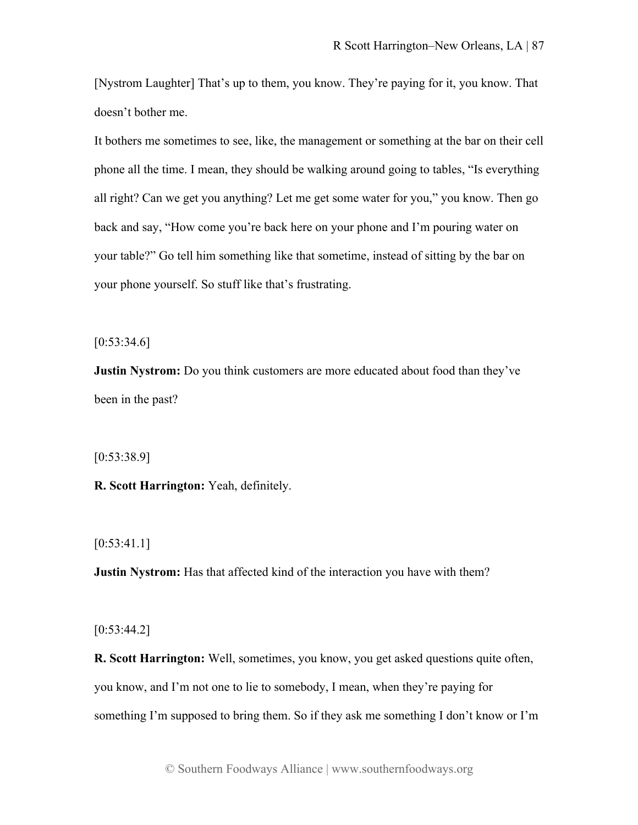[Nystrom Laughter] That's up to them, you know. They're paying for it, you know. That doesn't bother me.

It bothers me sometimes to see, like, the management or something at the bar on their cell phone all the time. I mean, they should be walking around going to tables, "Is everything all right? Can we get you anything? Let me get some water for you," you know. Then go back and say, "How come you're back here on your phone and I'm pouring water on your table?" Go tell him something like that sometime, instead of sitting by the bar on your phone yourself. So stuff like that's frustrating.

 $[0:53:34.6]$ 

**Justin Nystrom:** Do you think customers are more educated about food than they've been in the past?

[0:53:38.9]

**R. Scott Harrington:** Yeah, definitely.

[0:53:41.1]

**Justin Nystrom:** Has that affected kind of the interaction you have with them?

 $[0:53:44.2]$ 

**R. Scott Harrington:** Well, sometimes, you know, you get asked questions quite often, you know, and I'm not one to lie to somebody, I mean, when they're paying for something I'm supposed to bring them. So if they ask me something I don't know or I'm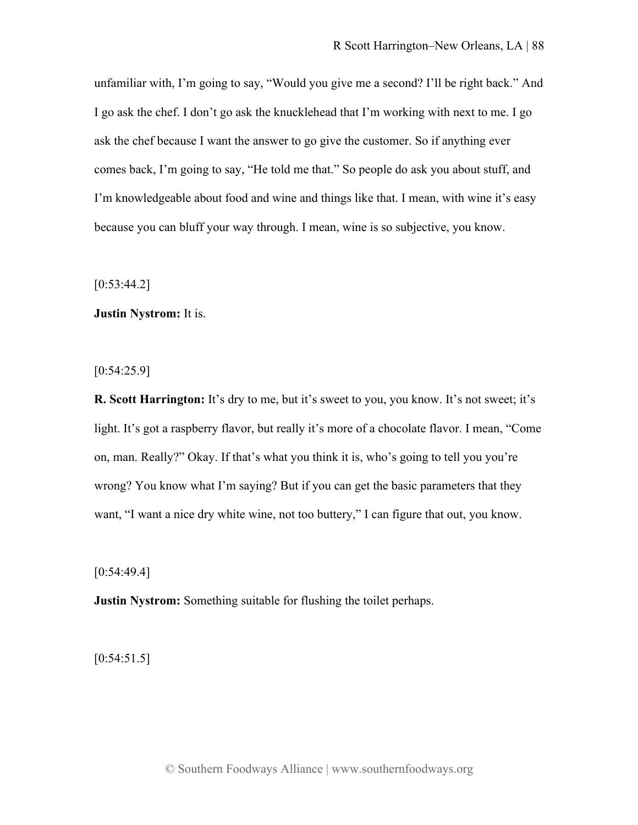unfamiliar with, I'm going to say, "Would you give me a second? I'll be right back." And I go ask the chef. I don't go ask the knucklehead that I'm working with next to me. I go ask the chef because I want the answer to go give the customer. So if anything ever comes back, I'm going to say, "He told me that." So people do ask you about stuff, and I'm knowledgeable about food and wine and things like that. I mean, with wine it's easy because you can bluff your way through. I mean, wine is so subjective, you know.

[0:53:44.2]

#### **Justin Nystrom:** It is.

 $[0:54:25.9]$ 

**R. Scott Harrington:** It's dry to me, but it's sweet to you, you know. It's not sweet; it's light. It's got a raspberry flavor, but really it's more of a chocolate flavor. I mean, "Come on, man. Really?" Okay. If that's what you think it is, who's going to tell you you're wrong? You know what I'm saying? But if you can get the basic parameters that they want, "I want a nice dry white wine, not too buttery," I can figure that out, you know.

[0:54:49.4]

**Justin Nystrom:** Something suitable for flushing the toilet perhaps.

 $[0:54:51.5]$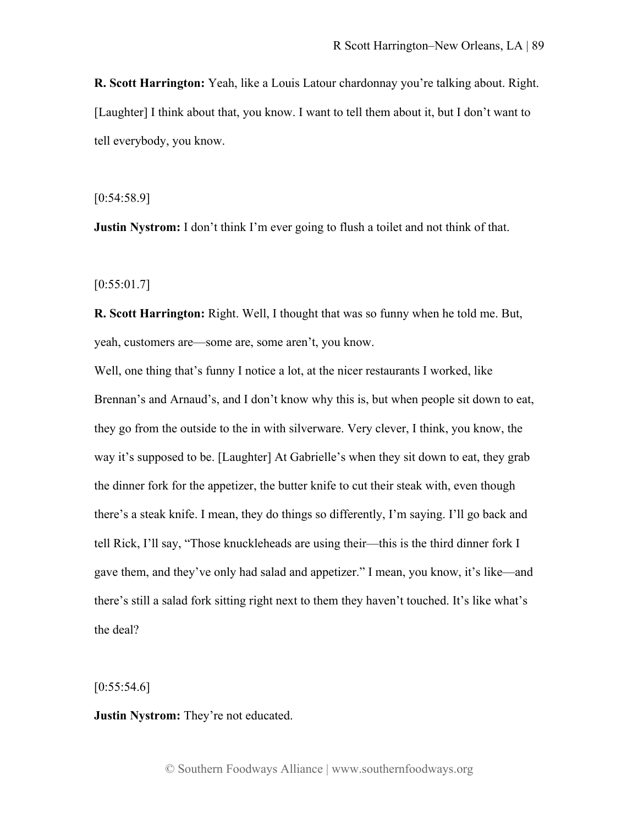**R. Scott Harrington:** Yeah, like a Louis Latour chardonnay you're talking about. Right. [Laughter] I think about that, you know. I want to tell them about it, but I don't want to tell everybody, you know.

[0:54:58.9]

**Justin Nystrom:** I don't think I'm ever going to flush a toilet and not think of that.

 $[0:55:01.7]$ 

**R. Scott Harrington:** Right. Well, I thought that was so funny when he told me. But, yeah, customers are—some are, some aren't, you know.

Well, one thing that's funny I notice a lot, at the nicer restaurants I worked, like Brennan's and Arnaud's, and I don't know why this is, but when people sit down to eat, they go from the outside to the in with silverware. Very clever, I think, you know, the way it's supposed to be. [Laughter] At Gabrielle's when they sit down to eat, they grab the dinner fork for the appetizer, the butter knife to cut their steak with, even though there's a steak knife. I mean, they do things so differently, I'm saying. I'll go back and tell Rick, I'll say, "Those knuckleheads are using their—this is the third dinner fork I gave them, and they've only had salad and appetizer." I mean, you know, it's like—and there's still a salad fork sitting right next to them they haven't touched. It's like what's the deal?

 $[0:55:54.6]$ 

**Justin Nystrom:** They're not educated.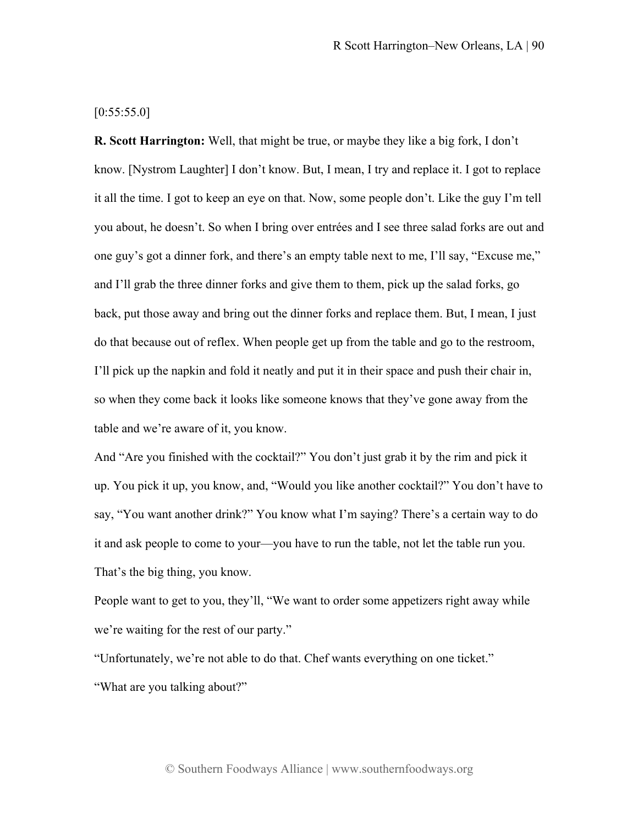[0:55:55.0]

**R. Scott Harrington:** Well, that might be true, or maybe they like a big fork, I don't know. [Nystrom Laughter] I don't know. But, I mean, I try and replace it. I got to replace it all the time. I got to keep an eye on that. Now, some people don't. Like the guy I'm tell you about, he doesn't. So when I bring over entrées and I see three salad forks are out and one guy's got a dinner fork, and there's an empty table next to me, I'll say, "Excuse me," and I'll grab the three dinner forks and give them to them, pick up the salad forks, go back, put those away and bring out the dinner forks and replace them. But, I mean, I just do that because out of reflex. When people get up from the table and go to the restroom, I'll pick up the napkin and fold it neatly and put it in their space and push their chair in, so when they come back it looks like someone knows that they've gone away from the table and we're aware of it, you know.

And "Are you finished with the cocktail?" You don't just grab it by the rim and pick it up. You pick it up, you know, and, "Would you like another cocktail?" You don't have to say, "You want another drink?" You know what I'm saying? There's a certain way to do it and ask people to come to your—you have to run the table, not let the table run you. That's the big thing, you know.

People want to get to you, they'll, "We want to order some appetizers right away while we're waiting for the rest of our party."

"Unfortunately, we're not able to do that. Chef wants everything on one ticket." "What are you talking about?"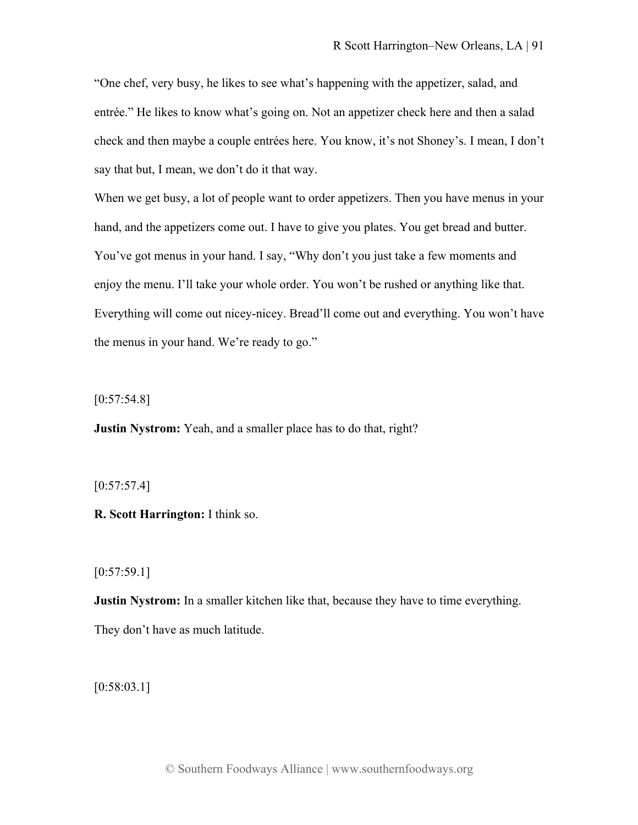"One chef, very busy, he likes to see what's happening with the appetizer, salad, and entrée." He likes to know what's going on. Not an appetizer check here and then a salad check and then maybe a couple entrées here. You know, it's not Shoney's. I mean, I don't say that but, I mean, we don't do it that way.

When we get busy, a lot of people want to order appetizers. Then you have menus in your hand, and the appetizers come out. I have to give you plates. You get bread and butter. You've got menus in your hand. I say, "Why don't you just take a few moments and enjoy the menu. I'll take your whole order. You won't be rushed or anything like that. Everything will come out nicey-nicey. Bread'll come out and everything. You won't have the menus in your hand. We're ready to go."

 $[0:57:54.8]$ 

**Justin Nystrom:** Yeah, and a smaller place has to do that, right?

 $[0:57:57.4]$ 

**R. Scott Harrington:** I think so.

 $[0:57:59.1]$ 

**Justin Nystrom:** In a smaller kitchen like that, because they have to time everything. They don't have as much latitude.

[0:58:03.1]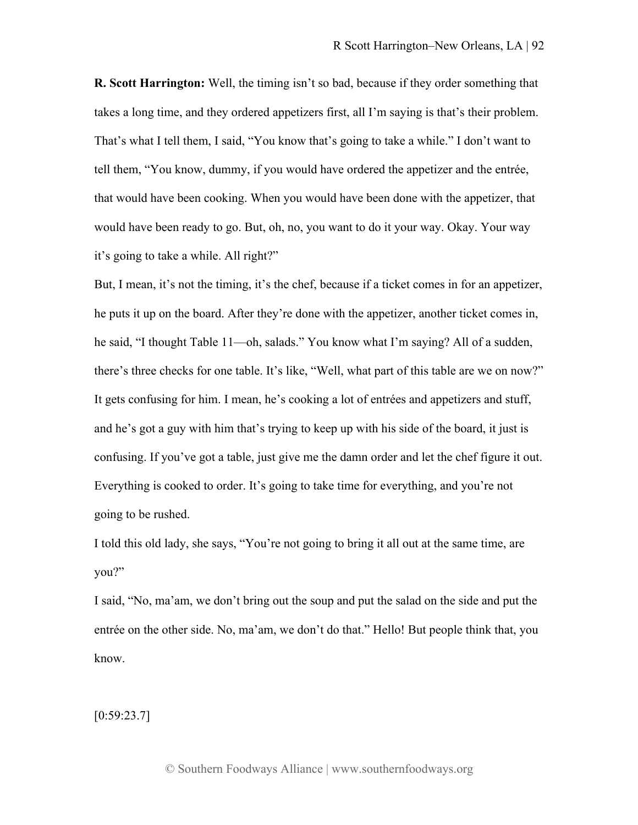**R. Scott Harrington:** Well, the timing isn't so bad, because if they order something that takes a long time, and they ordered appetizers first, all I'm saying is that's their problem. That's what I tell them, I said, "You know that's going to take a while." I don't want to tell them, "You know, dummy, if you would have ordered the appetizer and the entrée, that would have been cooking. When you would have been done with the appetizer, that would have been ready to go. But, oh, no, you want to do it your way. Okay. Your way it's going to take a while. All right?"

But, I mean, it's not the timing, it's the chef, because if a ticket comes in for an appetizer, he puts it up on the board. After they're done with the appetizer, another ticket comes in, he said, "I thought Table 11—oh, salads." You know what I'm saying? All of a sudden, there's three checks for one table. It's like, "Well, what part of this table are we on now?" It gets confusing for him. I mean, he's cooking a lot of entrées and appetizers and stuff, and he's got a guy with him that's trying to keep up with his side of the board, it just is confusing. If you've got a table, just give me the damn order and let the chef figure it out. Everything is cooked to order. It's going to take time for everything, and you're not going to be rushed.

I told this old lady, she says, "You're not going to bring it all out at the same time, are you?"

I said, "No, ma'am, we don't bring out the soup and put the salad on the side and put the entrée on the other side. No, ma'am, we don't do that." Hello! But people think that, you know.

[0:59:23.7]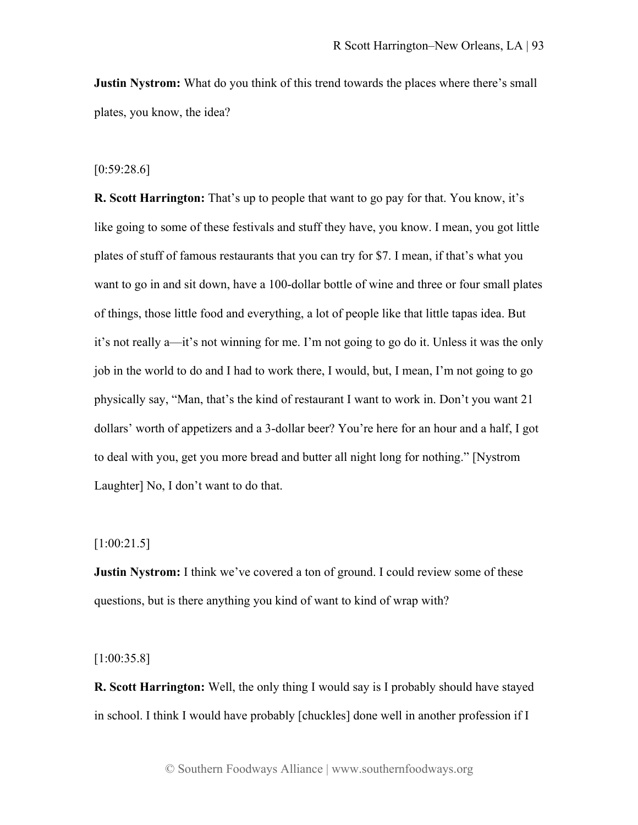**Justin Nystrom:** What do you think of this trend towards the places where there's small plates, you know, the idea?

#### $[0:59:28.6]$

**R. Scott Harrington:** That's up to people that want to go pay for that. You know, it's like going to some of these festivals and stuff they have, you know. I mean, you got little plates of stuff of famous restaurants that you can try for \$7. I mean, if that's what you want to go in and sit down, have a 100-dollar bottle of wine and three or four small plates of things, those little food and everything, a lot of people like that little tapas idea. But it's not really a—it's not winning for me. I'm not going to go do it. Unless it was the only job in the world to do and I had to work there, I would, but, I mean, I'm not going to go physically say, "Man, that's the kind of restaurant I want to work in. Don't you want 21 dollars' worth of appetizers and a 3-dollar beer? You're here for an hour and a half, I got to deal with you, get you more bread and butter all night long for nothing." [Nystrom Laughter] No, I don't want to do that.

## [1:00:21.5]

**Justin Nystrom:** I think we've covered a ton of ground. I could review some of these questions, but is there anything you kind of want to kind of wrap with?

# [1:00:35.8]

**R. Scott Harrington:** Well, the only thing I would say is I probably should have stayed in school. I think I would have probably [chuckles] done well in another profession if I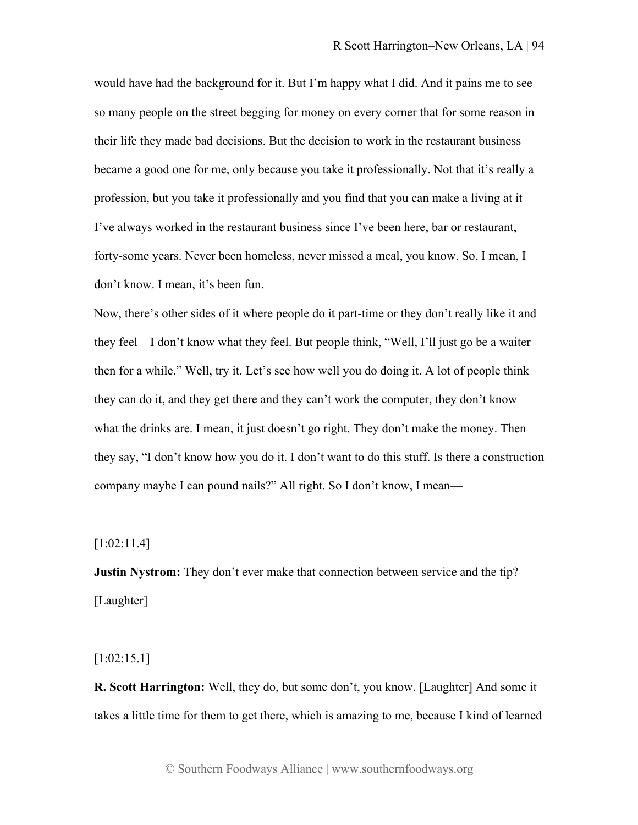would have had the background for it. But I'm happy what I did. And it pains me to see so many people on the street begging for money on every corner that for some reason in their life they made bad decisions. But the decision to work in the restaurant business became a good one for me, only because you take it professionally. Not that it's really a profession, but you take it professionally and you find that you can make a living at it— I've always worked in the restaurant business since I've been here, bar or restaurant, forty-some years. Never been homeless, never missed a meal, you know. So, I mean, I don't know. I mean, it's been fun.

Now, there's other sides of it where people do it part-time or they don't really like it and they feel—I don't know what they feel. But people think, "Well, I'll just go be a waiter then for a while." Well, try it. Let's see how well you do doing it. A lot of people think they can do it, and they get there and they can't work the computer, they don't know what the drinks are. I mean, it just doesn't go right. They don't make the money. Then they say, "I don't know how you do it. I don't want to do this stuff. Is there a construction company maybe I can pound nails?" All right. So I don't know, I mean—

# [1:02:11.4]

**Justin Nystrom:** They don't ever make that connection between service and the tip? [Laughter]

[1:02:15.1]

**R. Scott Harrington:** Well, they do, but some don't, you know. [Laughter] And some it takes a little time for them to get there, which is amazing to me, because I kind of learned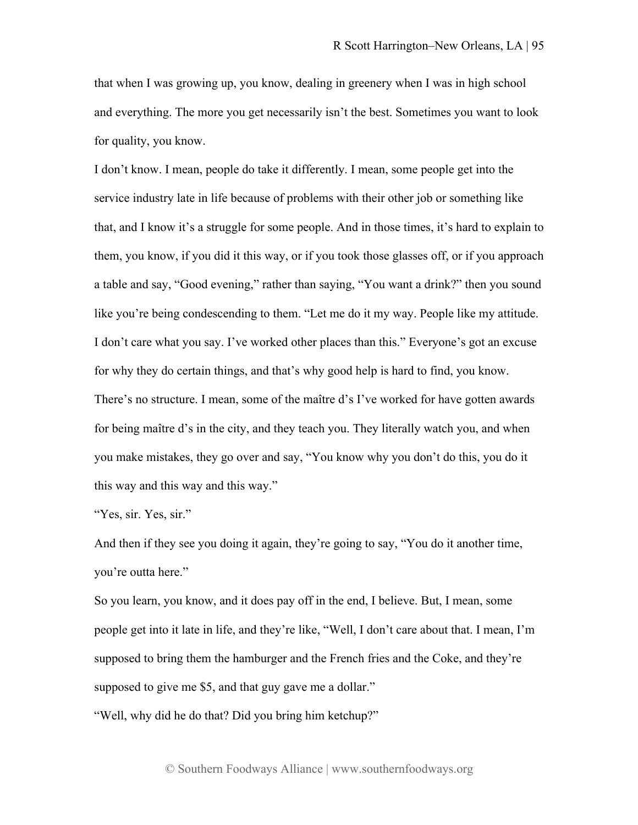that when I was growing up, you know, dealing in greenery when I was in high school and everything. The more you get necessarily isn't the best. Sometimes you want to look for quality, you know.

I don't know. I mean, people do take it differently. I mean, some people get into the service industry late in life because of problems with their other job or something like that, and I know it's a struggle for some people. And in those times, it's hard to explain to them, you know, if you did it this way, or if you took those glasses off, or if you approach a table and say, "Good evening," rather than saying, "You want a drink?" then you sound like you're being condescending to them. "Let me do it my way. People like my attitude. I don't care what you say. I've worked other places than this." Everyone's got an excuse for why they do certain things, and that's why good help is hard to find, you know. There's no structure. I mean, some of the maître d's I've worked for have gotten awards for being maître d's in the city, and they teach you. They literally watch you, and when you make mistakes, they go over and say, "You know why you don't do this, you do it this way and this way and this way."

# "Yes, sir. Yes, sir."

And then if they see you doing it again, they're going to say, "You do it another time, you're outta here."

So you learn, you know, and it does pay off in the end, I believe. But, I mean, some people get into it late in life, and they're like, "Well, I don't care about that. I mean, I'm supposed to bring them the hamburger and the French fries and the Coke, and they're supposed to give me \$5, and that guy gave me a dollar."

"Well, why did he do that? Did you bring him ketchup?"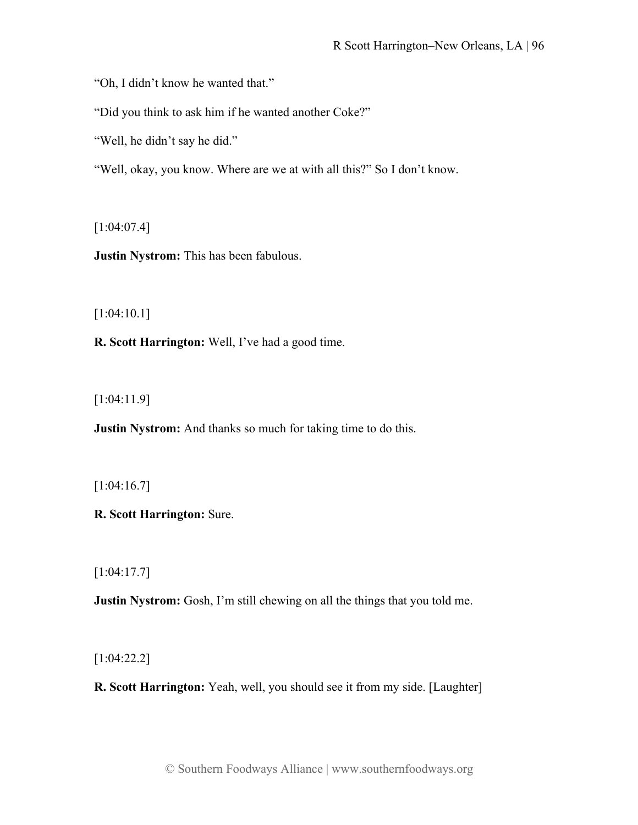"Oh, I didn't know he wanted that."

"Did you think to ask him if he wanted another Coke?"

"Well, he didn't say he did."

"Well, okay, you know. Where are we at with all this?" So I don't know.

[1:04:07.4]

**Justin Nystrom:** This has been fabulous.

[1:04:10.1]

**R. Scott Harrington:** Well, I've had a good time.

[1:04:11.9]

**Justin Nystrom:** And thanks so much for taking time to do this.

[1:04:16.7]

**R. Scott Harrington:** Sure.

[1:04:17.7]

**Justin Nystrom:** Gosh, I'm still chewing on all the things that you told me.

[1:04:22.2]

**R. Scott Harrington:** Yeah, well, you should see it from my side. [Laughter]

© Southern Foodways Alliance | www.southernfoodways.org